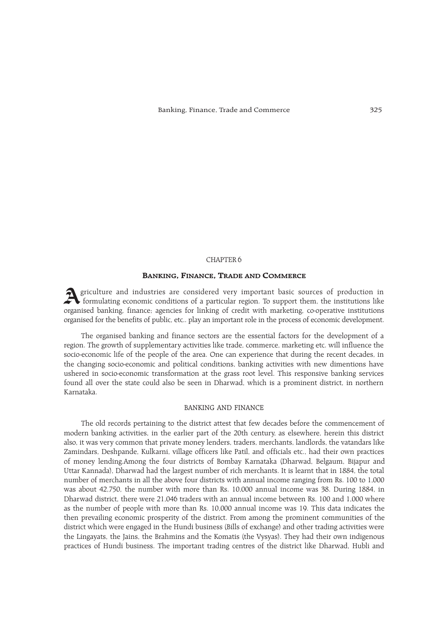## CHAPTER 6

# BANKING, FINANCE, TRADE AND COMMERCE

Agriculture and industries are considered very important basic sources of production in formulating economic conditions of a particular region. To support them, the institutions like organised banking, finance; agencies for linking of credit with marketing, co-operative institutions organised for the benefits of public, etc.. play an important role in the process of economic development.

The organised banking and finance sectors are the essential factors for the development of a region. The growth of supplementary activities like trade, commerce, marketing etc. will influence the socio-economic life of the people of the area. One can experience that during the recent decades, in the changing socio-economic and political conditions, banking activities with new dimentions have ushered in socio-economic transformation at the grass root level. This responsive banking services found all over the state could also be seen in Dharwad, which is a prominent district, in northern Karnataka.

## BANKING AND FINANCE

The old records pertaining to the district attest that few decades before the commencement of modern banking activities, in the earlier part of the 20th century, as elsewhere, herein this district also, it was very common that private money lenders, traders, merchants, landlords, the vatandars like Zamindars, Deshpande, Kulkarni, village officers like Patil, and officials etc., had their own practices of money lending.Among the four districts of Bombay Karnataka (Dharwad, Belgaum, Bijapur and Uttar Kannada), Dharwad had the largest number of rich merchants. It is learnt that in 1884, the total number of merchants in all the above four districts with annual income ranging from Rs. 100 to 1,000 was about 42,750, the number with more than Rs. 10,000 annual income was 38. During 1884, in Dharwad district, there were 21,046 traders with an annual income between Rs. 100 and 1,000 where as the number of people with more than Rs. 10,000 annual income was 19. This data indicates the then prevailing economic prosperity of the district. From among the prominent communities of the district which were engaged in the Hundi business (Bills of exchange) and other trading activities were the Lingayats, the Jains, the Brahmins and the Komatis (the Vysyas). They had their own indigenous practices of Hundi business. The important trading centres of the district like Dharwad, Hubli and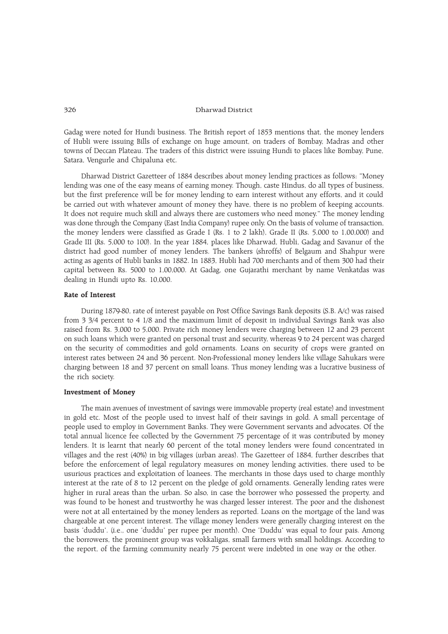Gadag were noted for Hundi business. The British report of 1853 mentions that, the money lenders of Hubli were issuing Bills of exchange on huge amount, on traders of Bombay, Madras and other towns of Deccan Plateau. The traders of this district were issuing Hundi to places like Bombay, Pune, Satara, Vengurle and Chipaluna etc.

Dharwad District Gazetteer of 1884 describes about money lending practices as follows: "Money lending was one of the easy means of earning money. Though, caste Hindus, do all types of business, but the first preference will be for money lending to earn interest without any efforts, and it could be carried out with whatever amount of money they have, there is no problem of keeping accounts. It does not require much skill and always there are customers who need money. The money lending was done through the Company (East India Company) rupee only. On the basis of volume of transaction, the money lenders were classified as Grade I (Rs. 1 to 2 lakh), Grade II (Rs. 5,000 to 1,00,000) and Grade III (Rs. 5,000 to 100). In the year 1884, places like Dharwad, Hubli, Gadag and Savanur of the district had good number of money lenders. The bankers (shroffs) of Belgaum and Shahpur were acting as agents of Hubli banks in 1882. In 1883, Hubli had 700 merchants and of them 300 had their capital between Rs. 5000 to 1,00,000. At Gadag, one Gujarathi merchant by name Venkatdas was dealing in Hundi upto Rs. 10,000.

# Rate of Interest

During 1879-80, rate of interest payable on Post Office Savings Bank deposits (S.B. A/c) was raised from 3 3/4 percent to 4 1/8 and the maximum limit of deposit in individual Savings Bank was also raised from Rs. 3,000 to 5,000. Private rich money lenders were charging between 12 and 23 percent on such loans which were granted on personal trust and security, whereas 9 to 24 percent was charged on the security of commodities and gold ornaments. Loans on security of crops were granted on interest rates between 24 and 36 percent. Non-Professional money lenders like village Sahukars were charging between 18 and 37 percent on small loans. Thus money lending was a lucrative business of the rich society.

## Investment of Money

The main avenues of investment of savings were immovable property (real estate) and investment in gold etc. Most of the people used to invest half of their savings in gold. A small percentage of people used to employ in Government Banks. They were Government servants and advocates. Of the total annual licence fee collected by the Government 75 percentage of it was contributed by money lenders. It is learnt that nearly 60 percent of the total money lenders were found concentrated in villages and the rest (40%) in big villages (urban areas). The Gazetteer of 1884, further describes that before the enforcement of legal regulatory measures on money lending activities, there used to be usurious practices and exploitation of loanees. The merchants in those days used to charge monthly interest at the rate of 8 to 12 percent on the pledge of gold ornaments. Generally lending rates were higher in rural areas than the urban. So also, in case the borrower who possessed the property, and was found to be honest and trustworthy he was charged lesser interest. The poor and the dishonest were not at all entertained by the money lenders as reported. Loans on the mortgage of the land was chargeable at one percent interest. The village money lenders were generally charging interest on the basis 'duddu'. (i.e., one 'duddu' per rupee per month). One 'Duddu' was equal to four pais. Among the borrowers, the prominent group was vokkaligas, small farmers with small holdings. According to the report, of the farming community nearly 75 percent were indebted in one way or the other.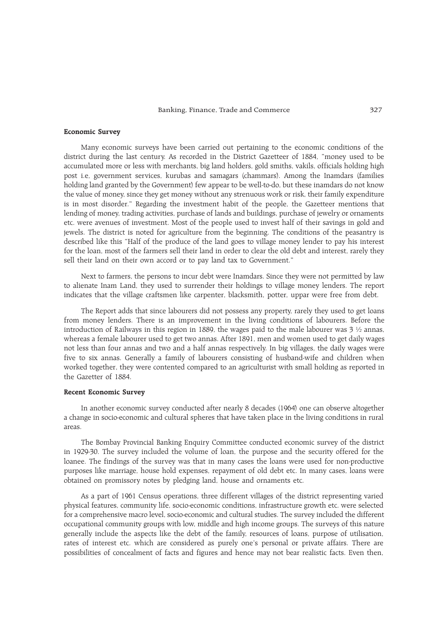#### Economic Survey

Many economic surveys have been carried out pertaining to the economic conditions of the district during the last century. As recorded in the District Gazetteer of 1884, "money used to be accumulated more or less with merchants, big land holders, gold smiths, vakils, officials holding high post i.e, government services, kurubas and samagars (chammars). Among the Inamdars (families holding land granted by the Government) few appear to be well-to-do, but these inamdars do not know the value of money, since they get money without any strenuous work or risk, their family expenditure is in most disorder." Regarding the investment habit of the people, the Gazetteer mentions that lending of money, trading activities, purchase of lands and buildings, purchase of jewelry or ornaments etc. were avenues of investment. Most of the people used to invest half of their savings in gold and jewels. The district is noted for agriculture from the beginning. The conditions of the peasantry is described like this Half of the produce of the land goes to village money lender to pay his interest for the loan, most of the farmers sell their land in order to clear the old debt and interest, rarely they sell their land on their own accord or to pay land tax to Government."

Next to farmers, the persons to incur debt were Inamdars. Since they were not permitted by law to alienate Inam Land, they used to surrender their holdings to village money lenders. The report indicates that the village craftsmen like carpenter, blacksmith, potter, uppar were free from debt.

The Report adds that since labourers did not possess any property, rarely they used to get loans from money lenders. There is an improvement in the living conditions of labourers. Before the introduction of Railways in this region in 1889, the wages paid to the male labourer was  $3\frac{1}{2}$  annas, whereas a female labourer used to get two annas. After 1891, men and women used to get daily wages not less than four annas and two and a half annas respectively. In big villages, the daily wages were five to six annas. Generally a family of labourers consisting of husband-wife and children when worked together, they were contented compared to an agriculturist with small holding as reported in the Gazetter of 1884.

## Recent Economic Survey

In another economic survey conducted after nearly 8 decades (1964) one can observe altogether a change in socio-economic and cultural spheres that have taken place in the living conditions in rural areas.

The Bombay Provincial Banking Enquiry Committee conducted economic survey of the district in 1929-30. The survey included the volume of loan, the purpose and the security offered for the loanee. The findings of the survey was that in many cases the loans were used for non-productive purposes like marriage, house hold expenses, repayment of old debt etc. In many cases, loans were obtained on promissory notes by pledging land, house and ornaments etc.

As a part of 1961 Census operations, three different villages of the district representing varied physical features, community life, socio-economic conditions, infrastructure growth etc. were selected for a comprehensive macro level, socio-economic and cultural studies. The survey included the different occupational community groups with low, middle and high income groups. The surveys of this nature generally include the aspects like the debt of the family, resources of loans, purpose of utilisation, rates of interest etc. which are considered as purely one's personal or private affairs. There are possibilities of concealment of facts and figures and hence may not bear realistic facts. Even then,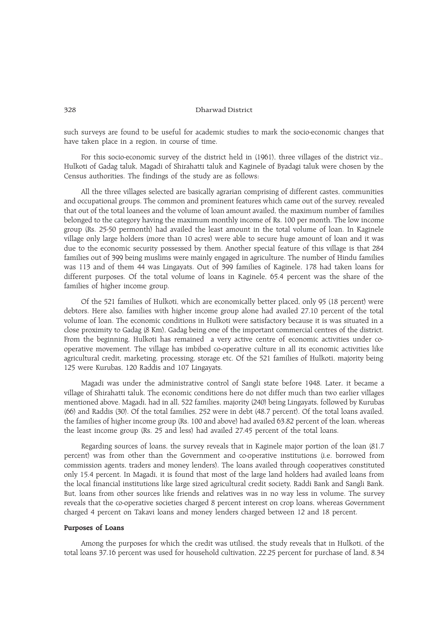such surveys are found to be useful for academic studies to mark the socio-economic changes that have taken place in a region, in course of time.

For this socio-economic survey of the district held in (1961), three villages of the district viz., Hulkoti of Gadag taluk, Magadi of Shirahatti taluk and Kaginele of Byadagi taluk were chosen by the Census authorities. The findings of the study are as follows:

All the three villages selected are basically agrarian comprising of different castes, communities and occupational groups. The common and prominent features which came out of the survey, revealed that out of the total loanees and the volume of loan amount availed, the maximum number of families belonged to the category having the maximum monthly income of Rs. 100 per month. The low income group (Rs. 25-50 permonth) had availed the least amount in the total volume of loan. In Kaginele village only large holders (more than 10 acres) were able to secure huge amount of loan and it was due to the economic security possessed by them. Another special feature of this village is that 284 families out of 399 being muslims were mainly engaged in agriculture. The number of Hindu families was 113 and of them 44 was Lingayats. Out of 399 families of Kaginele, 178 had taken loans for different purposes. Of the total volume of loans in Kaginele, 65.4 percent was the share of the families of higher income group.

Of the 521 families of Hulkoti, which are economically better placed, only 95 (18 percent) were debtors. Here also, families with higher income group alone had availed 27.10 percent of the total volume of loan. The economic conditions in Hulkoti were satisfactory because it is was situated in a close proximity to Gadag (8 Km), Gadag being one of the important commercial centres of the district. From the beginning, Hulkoti has remained a very active centre of economic activities under cooperative movement. The village has imbibed co-operative culture in all its economic activities like agricultural credit, marketing, processing, storage etc. Of the 521 families of Hulkoti, majority being 125 were Kurubas, 120 Raddis and 107 Lingayats.

Magadi was under the administrative control of Sangli state before 1948. Later, it became a village of Shirahatti taluk. The economic conditions here do not differ much than two earlier villages mentioned above. Magadi, had in all, 522 families, majority (240) being Lingayats, followed by Kurubas (66) and Raddis (30). Of the total families, 252 were in debt (48.7 percent). Of the total loans availed, the families of higher income group (Rs. 100 and above) had availed 63.82 percent of the loan, whereas the least income group (Rs. 25 and less) had availed 27.45 percent of the total loans.

Regarding sources of loans, the survey reveals that in Kaginele major portion of the loan (81.7 percent) was from other than the Government and co-operative institutions (i.e. borrowed from commission agents, traders and money lenders). The loans availed through cooperatives constituted only 15.4 percent. In Magadi, it is found that most of the large land holders had availed loans from the local financial institutions like large sized agricultural credit society, Raddi Bank and Sangli Bank. But, loans from other sources like friends and relatives was in no way less in volume. The survey reveals that the co-operative societies charged 8 percent interest on crop loans, whereas Government charged 4 percent on Takavi loans and money lenders charged between 12 and 18 percent.

## Purposes of Loans

Among the purposes for which the credit was utilised, the study reveals that in Hulkoti, of the total loans 37.16 percent was used for household cultivation, 22.25 percent for purchase of land, 8.34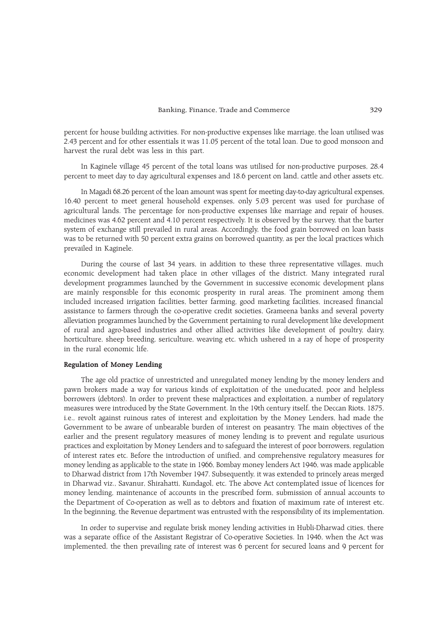percent for house building activities. For non-productive expenses like marriage, the loan utilised was 2.43 percent and for other essentials it was 11.05 percent of the total loan. Due to good monsoon and harvest the rural debt was less in this part.

In Kaginele village 45 percent of the total loans was utilised for non-productive purposes, 28.4 percent to meet day to day agricultural expenses and 18.6 percent on land, cattle and other assets etc.

In Magadi 68.26 percent of the loan amount was spent for meeting day-to-day agricultural expenses, 16.40 percent to meet general household expenses, only 5.03 percent was used for purchase of agricultural lands. The percentage for non-productive expenses like marriage and repair of houses, medicines was 4.62 percent and 4.10 percent respectively. It is observed by the survey, that the barter system of exchange still prevailed in rural areas. Accordingly, the food grain borrowed on loan basis was to be returned with 50 percent extra grains on borrowed quantity, as per the local practices which prevailed in Kaginele.

During the course of last 34 years, in addition to these three representative villages, much economic development had taken place in other villages of the district. Many integrated rural development programmes launched by the Government in successive economic development plans are mainly responsible for this economic prosperity in rural areas. The prominent among them included increased irrigation facilities, better farming, good marketing facilities, increased financial assistance to farmers through the co-operative credit societies, Grameena banks and several poverty alleviation programmes launched by the Government pertaining to rural development like development of rural and agro-based industries and other allied activities like development of poultry, dairy, horticulture, sheep breeding, sericulture, weaving etc. which ushered in a ray of hope of prosperity in the rural economic life.

# Regulation of Money Lending

The age old practice of unrestricted and unregulated money lending by the money lenders and pawn brokers made a way for various kinds of exploitation of the uneducated, poor and helpless borrowers (debtors). In order to prevent these malpractices and exploitation, a number of regulatory measures were introduced by the State Government. In the 19th century itself, the Deccan Riots, 1875, i.e., revolt against ruinous rates of interest and exploitation by the Money Lenders, had made the Government to be aware of unbearable burden of interest on peasantry. The main objectives of the earlier and the present regulatory measures of money lending is to prevent and regulate usurious practices and exploitation by Money Lenders and to safeguard the interest of poor borrowers, regulation of interest rates etc. Before the introduction of unified, and comprehensive regulatory measures for money lending as applicable to the state in 1966, Bombay money lenders Act 1946, was made applicable to Dharwad district from 17th November 1947. Subsequently, it was extended to princely areas merged in Dharwad viz., Savanur, Shirahatti, Kundagol, etc. The above Act contemplated issue of licences for money lending, maintenance of accounts in the prescribed form, submission of annual accounts to the Department of Co-operation as well as to debtors and fixation of maximum rate of interest etc. In the beginning, the Revenue department was entrusted with the responsibility of its implementation.

In order to supervise and regulate brisk money lending activities in Hubli-Dharwad cities, there was a separate office of the Assistant Registrar of Co-operative Societies. In 1946, when the Act was implemented, the then prevailing rate of interest was 6 percent for secured loans and 9 percent for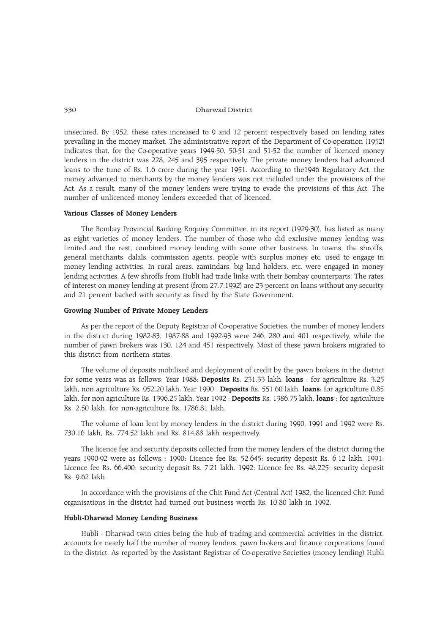unsecured. By 1952, these rates increased to 9 and 12 percent respectively based on lending rates prevailing in the money market. The administrative report of the Department of Co-operation (1952) indicates that, for the Co-operative years 1949-50, 50-51 and 51-52 the number of licenced money lenders in the district was 228, 245 and 395 respectively. The private money lenders had advanced loans to the tune of Rs. 1.6 crore during the year 1951. According to the1946 Regulatory Act, the money advanced to merchants by the money lenders was not included under the provisions of the Act. As a result, many of the money lenders were trying to evade the provisions of this Act. The number of unlicenced money lenders exceeded that of licenced.

## Various Classes of Money Lenders

The Bombay Provincial Banking Enquiry Committee, in its report (1929-30), has listed as many as eight varieties of money lenders. The number of those who did exclusive money lending was limited and the rest, combined money lending with some other business. In towns, the shroffs, general merchants, dalals, commission agents, people with surplus money etc. used to engage in money lending activities. In rural areas, zamindars, big land holders, etc. were engaged in money lending activities. A few shroffs from Hubli had trade links with their Bombay counterparts. The rates of interest on money lending at present (from 27.7.1992) are 23 percent on loans without any security and 21 percent backed with security as fixed by the State Government.

# Growing Number of Private Money Lenders

As per the report of the Deputy Registrar of Co-operative Societies, the number of money lenders in the district during 1982-83, 1987-88 and 1992-93 were 246, 280 and 401 respectively, while the number of pawn brokers was 130, 124 and 451 respectively. Most of these pawn brokers migrated to this district from northern states.

The volume of deposits mobilised and deployment of credit by the pawn brokers in the district for some years was as follows: Year 1988: Deposits Rs. 231.33 lakh, loans : for agriculture Rs. 3.25 lakh, non agriculture Rs. 952.20 lakh. Year 1990 : Deposits Rs. 551.60 lakh, loans: for agriculture 0.85 lakh, for non agriculture Rs. 1396.25 lakh. Year 1992 : Deposits Rs. 1386.75 lakh, loans : for agriculture Rs. 2.50 lakh, for non-agriculture Rs. 1786.81 lakh.

The volume of loan lent by money lenders in the district during 1990, 1991 and 1992 were Rs. 730.16 lakh, Rs. 774.52 lakh and Rs. 814.88 lakh respectively.

The licence fee and security deposits collected from the money lenders of the district during the years 1990-92 were as follows : 1990: Licence fee Rs. 52,645; security deposit Rs. 6.12 lakh. 1991: Licence fee Rs. 66,400; security deposit Rs. 7.21 lakh. 1992: Licence fee Rs. 48,225; security deposit Rs. 9.62 lakh.

In accordance with the provisions of the Chit Fund Act (Central Act) 1982, the licenced Chit Fund organisations in the district had turned out business worth Rs. 10.80 lakh in 1992.

# Hubli-Dharwad Money Lending Business

Hubli - Dharwad twin cities being the hub of trading and commercial activities in the district, accounts for nearly half the number of money lenders, pawn brokers and finance corporations found in the district. As reported by the Assistant Registrar of Co-operative Societies (money lending) Hubli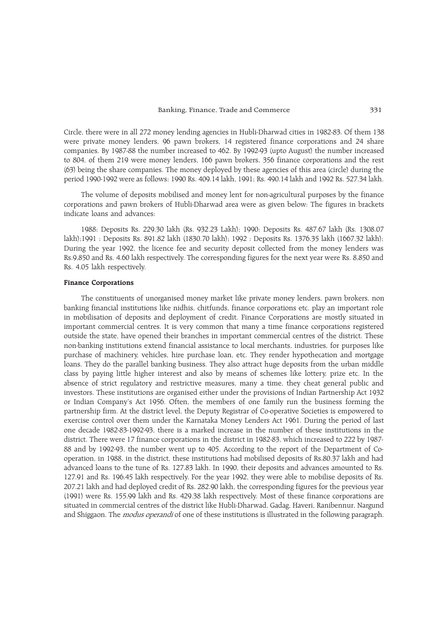Circle, there were in all 272 money lending agencies in Hubli-Dharwad cities in 1982-83. Of them 138 were private money lenders, 96 pawn brokers, 14 registered finance corporations and 24 share companies. By 1987-88 the number increased to 462. By 1992-93 (upto August) the number increased to 804, of them 219 were money lenders, 166 pawn brokers, 356 finance corporations and the rest (63) being the share companies. The money deployed by these agencies of this area (circle) during the period 1990-1992 were as follows: 1990 Rs. 409.14 lakh, 1991; Rs. 490.14 lakh and 1992 Rs. 527.34 lakh.

The volume of deposits mobilised and money lent for non-agricultural purposes by the finance corporations and pawn brokers of Hubli-Dharwad area were as given below: The figures in brackets indicate loans and advances:

1988: Deposits Rs. 229.30 lakh (Rs. 932.23 Lakh); 1990: Deposits Rs. 487.67 lakh (Rs. 1308.07 lakh);1991 : Deposits Rs. 891.82 lakh (1830.70 lakh); 1992 : Deposits Rs. 1376.35 lakh (1667.32 lakh); During the year 1992, the licence fee and security deposit collected from the money lenders was Rs.9,850 and Rs. 4.60 lakh respectively. The corresponding figures for the next year were Rs. 8,850 and Rs. 4.05 lakh respectively.

#### Finance Corporations

The constituents of unorganised money market like private money lenders, pawn brokers, non banking financial institutions like nidhis, chitfunds, finance corporations etc. play an important role in mobilisation of deposits and deployment of credit. Finance Corporations are mostly situated in important commercial centres. It is very common that many a time finance corporations registered outside the state, have opened their branches in important commercial centres of the district. These non-banking institutions extend financial assistance to local merchants, industries, for purposes like purchase of machinery, vehicles, hire purchase loan, etc. They render hypothecation and mortgage loans. They do the parallel banking business. They also attract huge deposits from the urban middle class by paying little higher interest and also by means of schemes like lottery, prize etc. In the absence of strict regulatory and restrictive measures, many a time, they cheat general public and investors. These institutions are organised either under the provisions of Indian Partnership Act 1932 or Indian Companys Act 1956. Often, the members of one family run the business forming the partnership firm. At the district level, the Deputy Registrar of Co-operative Societies is empowered to exercise control over them under the Karnataka Money Lenders Act 1961. During the period of last one decade 1982-83-1992-93, there is a marked increase in the number of these institutions in the district. There were 17 finance corporations in the district in 1982-83, which increased to 222 by 1987- 88 and by 1992-93, the number went up to 405. According to the report of the Department of Cooperation, in 1988, in the district, these institutions had mobilised deposits of Rs.80.37 lakh and had advanced loans to the tune of Rs. 127.83 lakh. In 1990, their deposits and advances amounted to Rs. 127.91 and Rs. 196.45 lakh respectively. For the year 1992, they were able to mobilise deposits of Rs. 207.21 lakh and had deployed credit of Rs. 282.90 lakh, the corresponding figures for the previous year (1991) were Rs. 155.99 lakh and Rs. 429.38 lakh respectively. Most of these finance corporations are situated in commercial centres of the district like Hubli-Dharwad, Gadag, Haveri, Ranibennur, Nargund and Shiggaon. The *modus operandi* of one of these institutions is illustrated in the following paragraph.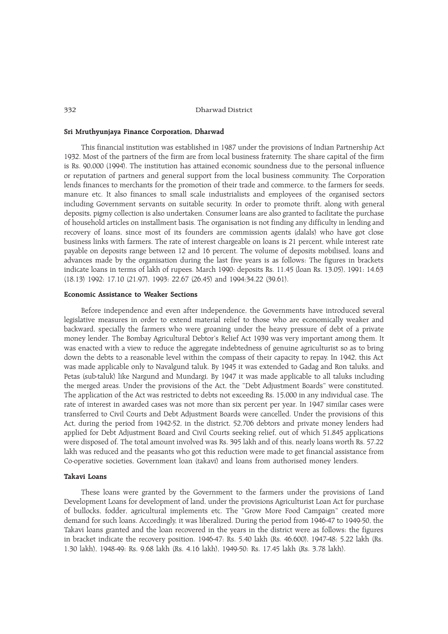## Sri Mruthyunjaya Finance Corporation, Dharwad

This financial institution was established in 1987 under the provisions of Indian Partnership Act 1932. Most of the partners of the firm are from local business fraternity. The share capital of the firm is Rs. 90,000 (1994). The institution has attained economic soundness due to the personal influence or reputation of partners and general support from the local business community. The Corporation lends finances to merchants for the promotion of their trade and commerce, to the farmers for seeds, manure etc. It also finances to small scale industrialists and employees of the organised sectors including Government servants on suitable security. In order to promote thrift, along with general deposits, pigmy collection is also undertaken. Consumer loans are also granted to facilitate the purchase of household articles on installment basis. The organisation is not finding any difficulty in lending and recovery of loans, since most of its founders are commission agents (dalals) who have got close business links with farmers. The rate of interest chargeable on loans is 21 percent, while interest rate payable on deposits range between 12 and 16 percent. The volume of deposits mobilised, loans and advances made by the organisation during the last five years is as follows: The figures in brackets indicate loans in terms of lakh of rupees. March 1990: deposits Rs. 11.45 (loan Rs. 13.05), 1991: 14.63 (18.13) 1992: 17.10 (21.97), 1993: 22.67 (26.45) and 1994:34.22 (39.61).

# Economic Assistance to Weaker Sections

Before independence and even after independence, the Governments have introduced several legislative measures in order to extend material relief to those who are economically weaker and backward, specially the farmers who were groaning under the heavy pressure of debt of a private money lender. The Bombay Agricultural Debtor's Relief Act 1939 was very important among them. It was enacted with a view to reduce the aggregate indebtedness of genuine agriculturist so as to bring down the debts to a reasonable level within the compass of their capacity to repay. In 1942, this Act was made applicable only to Navalgund taluk. By 1945 it was extended to Gadag and Ron taluks, and Petas (sub-taluk) like Nargund and Mundargi. By 1947 it was made applicable to all taluks including the merged areas. Under the provisions of the Act, the "Debt Adjustment Boards" were constituted. The application of the Act was restricted to debts not exceeding Rs. 15,000 in any individual case. The rate of interest in awarded cases was not more than six percent per year. In 1947 similar cases were transferred to Civil Courts and Debt Adjustment Boards were cancelled. Under the provisions of this Act, during the period from 1942-52, in the district, 52,706 debtors and private money lenders had applied for Debt Adjustment Board and Civil Courts seeking relief, out of which 51,845 applications were disposed of. The total amount involved was Rs. 395 lakh and of this, nearly loans worth Rs. 57.22 lakh was reduced and the peasants who got this reduction were made to get financial assistance from Co-operative societies, Government loan (takavi) and loans from authorised money lenders.

# Takavi Loans

These loans were granted by the Government to the farmers under the provisions of Land Development Loans for development of land, under the provisions Agriculturist Loan Act for purchase of bullocks, fodder, agricultural implements etc. The "Grow More Food Campaign" created more demand for such loans. Accordingly, it was liberalized. During the period from 1946-47 to 1949-50, the Takavi loans granted and the loan recovered in the years in the district were as follows: the figures in bracket indicate the recovery position. 1946-47: Rs. 5.40 lakh (Rs. 46,600), 1947-48: 5.22 lakh (Rs. 1.30 lakh), 1948-49: Rs. 9.68 lakh (Rs. 4.16 lakh), 1949-50: Rs. 17.45 lakh (Rs. 3.78 lakh).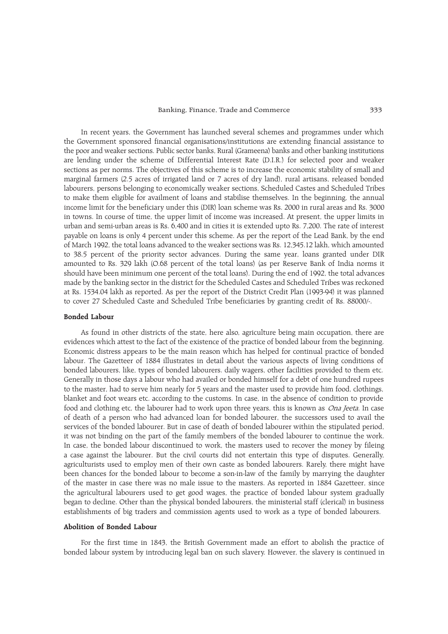## Banking, Finance, Trade and Commerce 333

In recent years, the Government has launched several schemes and programmes under which the Government sponsored financial organisations/institutions are extending financial assistance to the poor and weaker sections. Public sector banks, Rural (Grameena) banks and other banking institutions are lending under the scheme of Differential Interest Rate (D.I.R.) for selected poor and weaker sections as per norms. The objectives of this scheme is to increase the economic stability of small and marginal farmers (2.5 acres of irrigated land or 7 acres of dry land), rural artisans, released bonded labourers, persons belonging to economically weaker sections, Scheduled Castes and Scheduled Tribes to make them eligible for availment of loans and stabilise themselves. In the beginning, the annual income limit for the beneficiary under this (DIR) loan scheme was Rs. 2000 in rural areas and Rs. 3000 in towns. In course of time, the upper limit of income was increased. At present, the upper limits in urban and semi-urban areas is Rs. 6,400 and in cities it is extended upto Rs. 7,200. The rate of interest payable on loans is only 4 percent under this scheme. As per the report of the Lead Bank, by the end of March 1992, the total loans advanced to the weaker sections was Rs. 12,345.12 lakh, which amounted to 38.5 percent of the priority sector advances. During the same year, loans granted under DIR amounted to Rs. 329 lakh (O.68 percent of the total loans) (as per Reserve Bank of India norms it should have been minimum one percent of the total loans). During the end of 1992, the total advances made by the banking sector in the district for the Scheduled Castes and Scheduled Tribes was reckoned at Rs. 1534.04 lakh as reported. As per the report of the District Credit Plan (1993-94) it was planned to cover 27 Scheduled Caste and Scheduled Tribe beneficiaries by granting credit of Rs. 88000/-.

## Bonded Labour

As found in other districts of the state, here also, agriculture being main occupation, there are evidences which attest to the fact of the existence of the practice of bonded labour from the beginning. Economic distress appears to be the main reason which has helped for continual practice of bonded labour. The Gazetteer of 1884 illustrates in detail about the various aspects of living conditions of bonded labourers, like, types of bonded labourers. daily wagers, other facilities provided to them etc. Generally in those days a labour who had availed or bonded himself for a debt of one hundred rupees to the master, had to serve him nearly for 5 years and the master used to provide him food, clothings, blanket and foot wears etc. according to the customs. In case, in the absence of condition to provide food and clothing etc, the labourer had to work upon three years, this is known as *Ona Jeeta*. In case of death of a person who had advanced loan for bonded labourer, the successors used to avail the services of the bonded labourer. But in case of death of bonded labourer within the stipulated period, it was not binding on the part of the family members of the bonded labourer to continue the work. In case, the bonded labour discontinued to work, the masters used to recover the money by fileing a case against the labourer. But the civil courts did not entertain this type of disputes. Generally, agriculturists used to employ men of their own caste as bonded labourers. Rarely, there might have been chances for the bonded labour to become a son-in-law of the family by marrying the daughter of the master in case there was no male issue to the masters. As reported in 1884 Gazetteer, since the agricultural labourers used to get good wages, the practice of bonded labour system gradually began to decline. Other than the physical bonded labourers, the ministerial staff (clerical) in business establishments of big traders and commission agents used to work as a type of bonded labourers.

# Abolition of Bonded Labour

For the first time in 1843, the British Government made an effort to abolish the practice of bonded labour system by introducing legal ban on such slavery. However, the slavery is continued in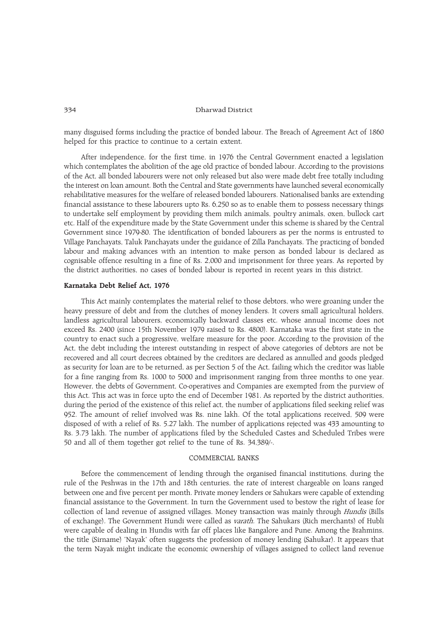many disguised forms including the practice of bonded labour. The Breach of Agreement Act of 1860 helped for this practice to continue to a certain extent.

After independence, for the first time, in 1976 the Central Government enacted a legislation which contemplates the abolition of the age old practice of bonded labour. According to the provisions of the Act, all bonded labourers were not only released but also were made debt free totally including the interest on loan amount. Both the Central and State governments have launched several economically rehabilitative measures for the welfare of released bonded labourers. Nationalised banks are extending financial assistance to these labourers upto Rs. 6,250 so as to enable them to possess necessary things to undertake self employment by providing them milch animals, poultry animals, oxen, bullock cart etc. Half of the expenditure made by the State Government under this scheme is shared by the Central Government since 1979-80. The identification of bonded labourers as per the norms is entrusted to Village Panchayats, Taluk Panchayats under the guidance of Zilla Panchayats. The practicing of bonded labour and making advances with an intention to make person as bonded labour is declared as cognisable offence resulting in a fine of Rs. 2,000 and imprisonment for three years. As reported by the district authorities, no cases of bonded labour is reported in recent years in this district.

# Karnataka Debt Relief Act, 1976

This Act mainly contemplates the material relief to those debtors, who were groaning under the heavy pressure of debt and from the clutches of money lenders. It covers small agricultural holders, landless agricultural labourers, economically backward classes etc. whose annual income does not exceed Rs. 2400 (since 15th November 1979 raised to Rs. 4800). Karnataka was the first state in the country to enact such a progressive, welfare measure for the poor. According to the provision of the Act, the debt including the interest outstanding in respect of above categories of debtors are not be recovered and all court decrees obtained by the creditors are declared as annulled and goods pledged as security for loan are to be returned, as per Section 5 of the Act, failing which the creditor was liable for a fine ranging from Rs. 1000 to 5000 and imprisonment ranging from three months to one year. However, the debts of Government, Co-operatives and Companies are exempted from the purview of this Act. This act was in force upto the end of December 1981. As reported by the district authorities, during the period of the existence of this relief act, the number of applications filed seeking relief was 952. The amount of relief involved was Rs. nine lakh. Of the total applications received, 509 were disposed of with a relief of Rs. 5.27 lakh. The number of applications rejected was 433 amounting to Rs. 3.73 lakh. The number of applications filed by the Scheduled Castes and Scheduled Tribes were 50 and all of them together got relief to the tune of Rs. 34,389/-.

# COMMERCIAL BANKS

Before the commencement of lending through the organised financial institutions, during the rule of the Peshwas in the 17th and 18th centuries, the rate of interest chargeable on loans ranged between one and five percent per month. Private money lenders or Sahukars were capable of extending financial assistance to the Government. In turn the Government used to bestow the right of lease for collection of land revenue of assigned villages. Money transaction was mainly through Hundis (Bills of exchange). The Government Hundi were called as varath. The Sahukars (Rich merchants) of Hubli were capable of dealing in Hundis with far off places like Bangalore and Pune. Among the Brahmins, the title (Sirname) 'Nayak' often suggests the profession of money lending (Sahukar). It appears that the term Nayak might indicate the economic ownership of villages assigned to collect land revenue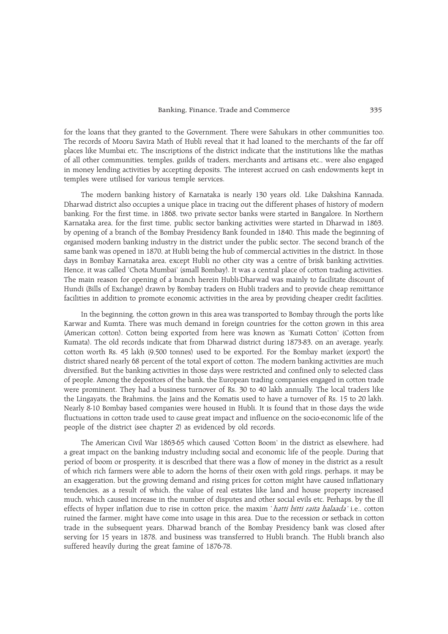for the loans that they granted to the Government. There were Sahukars in other communities too. The records of Mooru Savira Math of Hubli reveal that it had loaned to the merchants of the far off places like Mumbai etc. The inscriptions of the district indicate that the institutions like the mathas of all other communities, temples, guilds of traders, merchants and artisans etc., were also engaged in money lending activities by accepting deposits. The interest accrued on cash endowments kept in temples were utilised for various temple services.

The modern banking history of Karnataka is nearly 130 years old. Like Dakshina Kannada, Dharwad district also occupies a unique place in tracing out the different phases of history of modern banking. For the first time, in 1868, two private sector banks were started in Bangalore. In Northern Karnataka area, for the first time, public sector banking activities were started in Dharwad in 1863, by opening of a branch of the Bombay Presidency Bank founded in 1840. This made the beginning of organised modern banking industry in the district under the public sector. The second branch of the same bank was opened in 1870, at Hubli being the hub of commercial activities in the district. In those days in Bombay Karnataka area, except Hubli no other city was a centre of brisk banking activities. Hence, it was called 'Chota Mumbai' (small Bombay). It was a central place of cotton trading activities. The main reason for opening of a branch herein Hubli-Dharwad was mainly to facilitate discount of Hundi (Bills of Exchange) drawn by Bombay traders on Hubli traders and to provide cheap remittance facilities in addition to promote economic activities in the area by providing cheaper credit facilities.

In the beginning, the cotton grown in this area was transported to Bombay through the ports like Karwar and Kumta. There was much demand in foreign countries for the cotton grown in this area (American cotton). Cotton being exported from here was known as 'Kumati Cotton' (Cotton from Kumata). The old records indicate that from Dharwad district during 1873-83, on an average, yearly, cotton worth Rs. 45 lakh (9,500 tonnes) used to be exported. For the Bombay market (export) the district shared nearly 68 percent of the total export of cotton. The modern banking activities are much diversified. But the banking activities in those days were restricted and confined only to selected class of people. Among the depositors of the bank, the European trading companies engaged in cotton trade were prominent. They had a business turnover of Rs. 30 to 40 lakh annually. The local traders like the Lingayats, the Brahmins, the Jains and the Komatis used to have a turnover of Rs. 15 to 20 lakh. Nearly 8-10 Bombay based companies were housed in Hubli. It is found that in those days the wide fluctuations in cotton trade used to cause great impact and influence on the socio-economic life of the people of the district (see chapter 2) as evidenced by old records.

The American Civil War 1863-65 which caused Cotton Boom in the district as elsewhere, had a great impact on the banking industry including social and economic life of the people. During that period of boom or prosperity, it is described that there was a flow of money in the district as a result of which rich farmers were able to adorn the horns of their oxen with gold rings, perhaps, it may be an exaggeration, but the growing demand and rising prices for cotton might have caused inflationary tendencies, as a result of which, the value of real estates like land and house property increased much, which caused increase in the number of disputes and other social evils etc. Perhaps, by the ill effects of hyper inflation due to rise in cotton price, the maxim 'hatti bitti raita halaada' i.e., cotton ruined the farmer, might have come into usage in this area. Due to the recession or setback in cotton trade in the subsequent years, Dharwad branch of the Bombay Presidency bank was closed after serving for 15 years in 1878, and business was transferred to Hubli branch. The Hubli branch also suffered heavily during the great famine of 1876-78.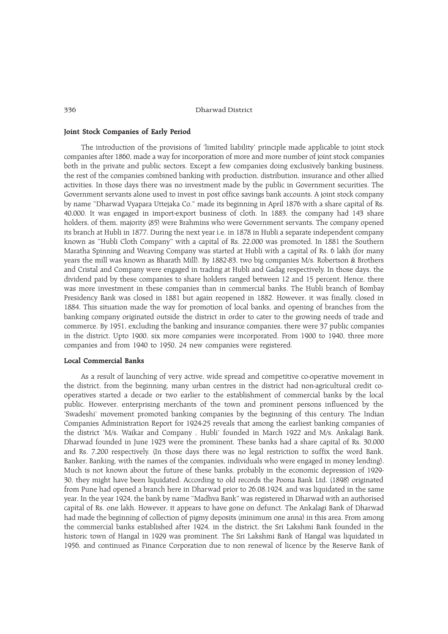## Joint Stock Companies of Early Period

The introduction of the provisions of 'limited liability' principle made applicable to joint stock companies after 1860, made a way for incorporation of more and more number of joint stock companies both in the private and public sectors. Except a few companies doing exclusively banking business, the rest of the companies combined banking with production, distribution, insurance and other allied activities. In those days there was no investment made by the public in Government securities. The Government servants alone used to invest in post office savings bank accounts. A joint stock company by name "Dharwad Vyapara Uttejaka Co." made its beginning in April 1876 with a share capital of Rs. 40,000. It was engaged in import-export business of cloth. In 1883, the company had 143 share holders, of them, majority (85) were Brahmins who were Government servants. The company opened its branch at Hubli in 1877. During the next year i.e. in 1878 in Hubli a separate independent company known as "Hubli Cloth Company" with a capital of Rs. 22,000 was promoted. In 1881 the Southern Maratha Spinning and Weaving Company was started at Hubli with a capital of Rs. 6 lakh (for many years the mill was known as Bharath Mill). By 1882-83, two big companies M/s. Robertson & Brothers and Cristal and Company were engaged in trading at Hubli and Gadag respectively. In those days, the dividend paid by these companies to share holders ranged between 12 and 15 percent. Hence, there was more investment in these companies than in commercial banks. The Hubli branch of Bombay Presidency Bank was closed in 1881 but again reopened in 1882. However, it was finally, closed in 1884. This situation made the way for promotion of local banks, and opening of branches from the banking company originated outside the district in order to cater to the growing needs of trade and commerce. By 1951, excluding the banking and insurance companies, there were 37 public companies in the district. Upto 1900, six more companies were incorporated. From 1900 to 1940, three more companies and from 1940 to 1950, 24 new companies were registered.

# Local Commercial Banks

As a result of launching of very active, wide spread and competitive co-operative movement in the district, from the beginning, many urban centres in the district had non-agricultural credit cooperatives started a decade or two earlier to the establishment of commercial banks by the local public. However, enterprising merchants of the town and prominent persons influenced by the 'Swadeshi' movement promoted banking companies by the beginning of this century. The Indian Companies Administration Report for 1924-25 reveals that among the earliest banking companies of the district 'M/s. Waikar and Company, Hubli' founded in March 1922 and M/s. Ankalagi Bank, Dharwad founded in June 1923 were the prominent. These banks had a share capital of Rs. 30,000 and Rs. 7,200 respectively. (In those days there was no legal restriction to suffix the word Bank, Banker, Banking, with the names of the companies, individuals who were engaged in money lending). Much is not known about the future of these banks, probably in the economic depression of 1929- 30, they might have been liquidated. According to old records the Poona Bank Ltd. (1898) originated from Pune had opened a branch here in Dharwad prior to 26.08.1924, and was liquidated in the same year. In the year 1924, the bank by name "Madhva Bank" was registered in Dharwad with an authorised capital of Rs. one lakh. However, it appears to have gone on defunct. The Ankalagi Bank of Dharwad had made the beginning of collection of pigmy deposits (minimum one anna) in this area. From among the commercial banks established after 1924, in the district, the Sri Lakshmi Bank founded in the historic town of Hangal in 1929 was prominent. The Sri Lakshmi Bank of Hangal was liquidated in 1956, and continued as Finance Corporation due to non renewal of licence by the Reserve Bank of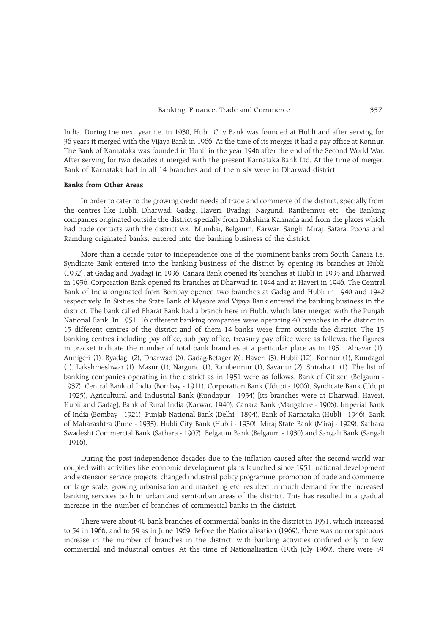India. During the next year i.e, in 1930, Hubli City Bank was founded at Hubli and after serving for 36 years it merged with the Vijaya Bank in 1966. At the time of its merger it had a pay office at Konnur. The Bank of Karnataka was founded in Hubli in the year 1946 after the end of the Second World War. After serving for two decades it merged with the present Karnataka Bank Ltd. At the time of merger, Bank of Karnataka had in all 14 branches and of them six were in Dharwad district.

# Banks from Other Areas

In order to cater to the growing credit needs of trade and commerce of the district, specially from the centres like Hubli, Dharwad, Gadag, Haveri, Byadagi, Nargund, Ranibennur etc., the Banking companies originated outside the district specially from Dakshina Kannada and from the places which had trade contacts with the district viz., Mumbai, Belgaum, Karwar, Sangli, Miraj, Satara, Poona and Ramdurg originated banks, entered into the banking business of the district.

More than a decade prior to independence one of the prominent banks from South Canara i.e. Syndicate Bank entered into the banking business of the district by opening its branches at Hubli (1932), at Gadag and Byadagi in 1936. Canara Bank opened its branches at Hubli in 1935 and Dharwad in 1936. Corporation Bank opened its branches at Dharwad in 1944 and at Haveri in 1946. The Central Bank of India originated from Bombay opened two branches at Gadag and Hubli in 1940 and 1942 respectively. In Sixties the State Bank of Mysore and Vijaya Bank entered the banking business in the district. The bank called Bharat Bank had a branch here in Hubli, which later merged with the Punjab National Bank. In 1951, 16 different banking companies were operating 40 branches in the district in 15 different centres of the district and of them 14 banks were from outside the district. The 15 banking centres including pay office, sub pay office, treasury pay office were as follows: the figures in bracket indicate the number of total bank branches at a particular place as in 1951. Alnavar (1), Annigeri (1), Byadagi (2), Dharwad (6), Gadag-Betageri(6), Haveri (3), Hubli (12), Konnur (1), Kundagol (1), Lakshmeshwar (1), Masur (1), Nargund (1), Ranibennur (1), Savanur (2), Shirahatti (1). The list of banking companies operating in the district as in 1951 were as follows: Bank of Citizen (Belgaum - 1937), Central Bank of India (Bombay - 1911), Corporation Bank (Udupi - 1906), Syndicate Bank (Udupi - 1925), Agricultural and Industrial Bank (Kundapur - 1934) [its branches were at Dharwad, Haveri, Hubli and Gadag], Bank of Rural India (Karwar, 1940), Canara Bank (Mangalore - 1906), Imperial Bank of India (Bombay - 1921), Punjab National Bank (Delhi - 1894), Bank of Karnataka (Hubli - 1946), Bank of Maharashtra (Pune - 1935), Hubli City Bank (Hubli - 1930), Miraj State Bank (Miraj - 1929), Sathara Swadeshi Commercial Bank (Sathara - 1907), Belgaum Bank (Belgaum - 1930) and Sangali Bank (Sangali - 1916).

During the post independence decades due to the inflation caused after the second world war coupled with activities like economic development plans launched since 1951, national development and extension service projects, changed industrial policy programme, promotion of trade and commerce on large scale, growing urbanisation and marketing etc. resulted in much demand for the increased banking services both in urban and semi-urban areas of the district. This has resulted in a gradual increase in the number of branches of commercial banks in the district.

There were about 40 bank branches of commercial banks in the district in 1951, which increased to 54 in 1966, and to 59 as in June 1969. Before the Nationalisation (1969), there was no conspicuous increase in the number of branches in the district, with banking activities confined only to few commercial and industrial centres. At the time of Nationalisation (19th July 1969), there were 59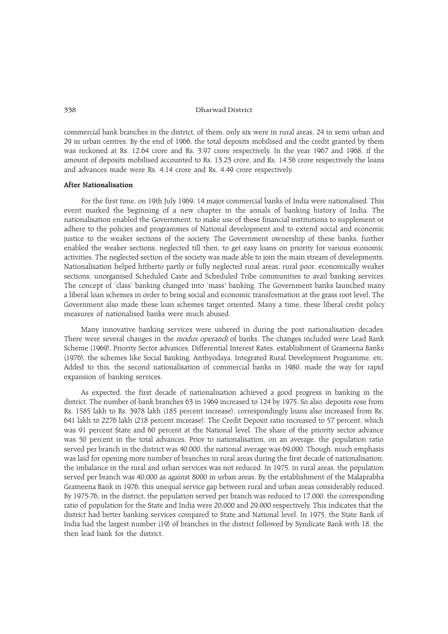commercial bank branches in the district, of them, only six were in rural areas, 24 in semi urban and 29 in urban centres. By the end of 1966, the total deposits mobilised and the credit granted by them was reckoned at Rs. 12.64 crore and Rs. 3.97 crore respectively. In the year 1967 and 1968, if the amount of deposits mobilised accounted to Rs. 13.23 crore, and Rs. 14.56 crore respectively the loans and advances made were Rs. 4.14 crore and Rs. 4.49 crore respectively.

# After Nationalisation

For the first time, on 19th July 1969, 14 major commercial banks of India were nationalised. This event marked the beginning of a new chapter in the annals of banking history of India. The nationalisation enabled the Government, to make use of these financial institutions to supplement or adhere to the policies and programmes of National development and to extend social and economic justice to the weaker sections of the society. The Government ownership of these banks, further enabled the weaker sections, neglected till then, to get easy loans on priority for various economic activities. The neglected section of the society was made able to join the main stream of developments. Nationalisation helped hitherto partly or fully neglected rural areas, rural poor, economically weaker sections, unorganised Scheduled Caste and Scheduled Tribe communities to avail banking services. The concept of 'class' banking changed into 'mass' banking. The Government banks launched many a liberal loan schemes in order to bring social and economic transformation at the grass root level. The Government also made these loan schemes target oriented. Many a time, these liberal credit policy measures of nationalised banks were much abused.

Many innovative banking services were ushered in during the post nationalisation decades. There were several changes in the *modus operandi* of banks. The changes included were Lead Bank Scheme (1969), Priority Sector advances, Differential Interest Rates, establishment of Grameena Banks (1976), the schemes like Social Banking, Anthyodaya, Integrated Rural Development Programme, etc. Added to this, the second nationalisation of commercial banks in 1980, made the way for rapid expansion of banking services.

As expected, the first decade of nationalisation achieved a good progress in banking in the district. The number of bank branches 63 in 1969 increased to 124 by 1975. So also, deposits rose from Rs. 1585 lakh to Rs. 3978 lakh (185 percent increase), correspondingly loans also increased from Rs. 641 lakh to 2276 lakh (218 percent increase). The Credit Deposit ratio increased to 57 percent, which was 91 percent State and 60 percent at the National level. The share of the priority sector advance was 50 percent in the total advances. Prior to nationalisation, on an average, the population ratio served per branch in the district was 40,000, the national average was 69,000. Though, much emphasis was laid for opening more number of branches in rural areas during the first decade of nationalisation, the imbalance in the rural and urban services was not reduced. In 1975, in rural areas, the population served per branch was 40,000 as against 8000 in urban areas. By the establishment of the Malaprabha Grameena Bank in 1976, this unequal service gap between rural and urban areas considerably reduced. By 1975-76, in the district, the population served per branch was reduced to 17,000, the corresponding ratio of population for the State and India were 20,000 and 29,000 respectively. This indicates that the district had better banking services compared to State and National level. In 1975, the State Bank of India had the largest number (19) of branches in the district followed by Syndicate Bank with 18, the then lead bank for the district.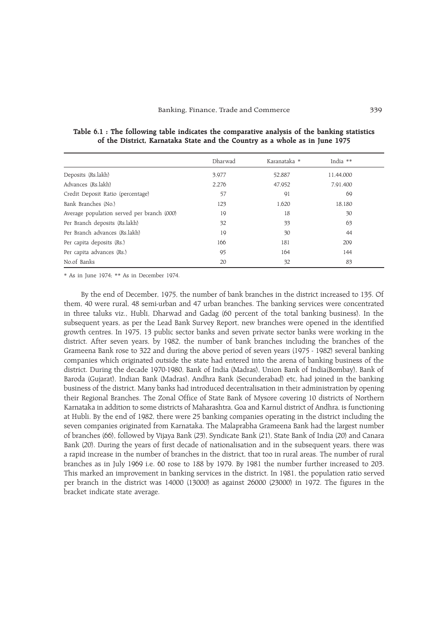|                                            | Dharwad | Karanataka * | India $**$ |
|--------------------------------------------|---------|--------------|------------|
| Deposits (Rs.lakh)                         | 3.977   | 52,887       | 11,44,000  |
| Advances (Rs.lakh)                         | 2,276   | 47,952       | 7,91,400   |
| Credit Deposit Ratio (percentage)          | 57      | 91           | 69         |
| Bank Branches (No.)                        | 123     | 1,620        | 18,180     |
| Average population served per branch (000) | 19      | 18           | 30         |
| Per Branch deposits (Rs.lakh)              | 32      | 33           | 63         |
| Per Branch advances (Rs.lakh)              | 19      | 30           | 44         |
| Per capita deposits (Rs.)                  | 166     | 181          | 209        |
| Per capita advances (Rs.)                  | 95      | 164          | 144        |
| No.of Banks                                | 20      | 32           | 83         |

Table 6.1 : The following table indicates the comparative analysis of the banking statistics of the District, Karnataka State and the Country as a whole as in June 1975

\* As in June 1974; \*\* As in December 1974.

By the end of December, 1975, the number of bank branches in the district increased to 135. Of them, 40 were rural, 48 semi-urban and 47 urban branches. The banking services were concentrated in three taluks viz., Hubli, Dharwad and Gadag (60 percent of the total banking business). In the subsequent years, as per the Lead Bank Survey Report, new branches were opened in the identified growth centres. In 1975, 13 public sector banks and seven private sector banks were working in the district. After seven years, by 1982, the number of bank branches including the branches of the Grameena Bank rose to 322 and during the above period of seven years (1975 - 1982) several banking companies which originated outside the state had entered into the arena of banking business of the district. During the decade 1970-1980, Bank of India (Madras), Union Bank of India(Bombay), Bank of Baroda (Gujarat), Indian Bank (Madras), Andhra Bank (Secunderabad) etc, had joined in the banking business of the district. Many banks had introduced decentralisation in their administration by opening their Regional Branches. The Zonal Office of State Bank of Mysore covering 10 districts of Northern Karnataka in addition to some districts of Maharashtra, Goa and Karnul district of Andhra, is functioning at Hubli. By the end of 1982, there were 25 banking companies operating in the district including the seven companies originated from Karnataka. The Malaprabha Grameena Bank had the largest number of branches (66), followed by Vijaya Bank (23), Syndicate Bank (21), State Bank of India (20) and Canara Bank (20). During the years of first decade of nationalisation and in the subsequent years, there was a rapid increase in the number of branches in the district, that too in rural areas. The number of rural branches as in July 1969 i.e. 60 rose to 188 by 1979. By 1981 the number further increased to 203. This marked an improvement in banking services in the district. In 1981, the population ratio served per branch in the district was 14000 (13000) as against 26000 (23000) in 1972. The figures in the bracket indicate state average.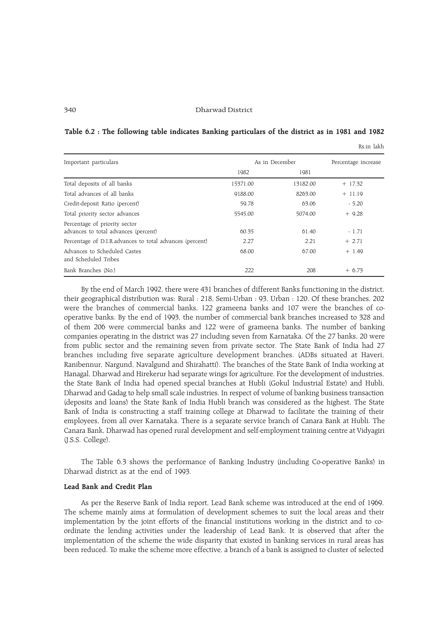Table 6.2 : The following table indicates Banking particulars of the district as in 1981 and 1982

Rs.in lakh

Important particulars and the set of the set of the set of the Secondary As in December Percentage increase 1982 1981 Total deposits of all banks 15371.00 13182.00 + 17.32 Total advances of all banks  $9188.00$   $8263.00$   $+ 11.19$ Credit-deposit Ratio (percent) 59.78 63.06 - 5.20 Total priority sector advances 5545.00 5074.00 + 9.28 Percentage of priority sector advances to total advances (percent) 60.35 61.40 - 1.71 Percentage of D.I.R.advances to total advances (percent)  $2.27$  2.21  $+ 2.71$ Advances to Scheduled Castes 68.00 67.00 + 1.49 and Scheduled Tribes  $Bank$  Branches (No.)  $222$   $208$   $+6.73$ 

By the end of March 1992, there were 431 branches of different Banks functioning in the district, their geographical distribution was: Rural : 218, Semi-Urban : 93, Urban : 120. Of these branches, 202 were the branches of commercial banks, 122 grameena banks and 107 were the branches of cooperative banks. By the end of 1993, the number of commercial bank branches increased to 328 and of them 206 were commercial banks and 122 were of grameena banks. The number of banking companies operating in the district was 27 including seven from Karnataka. Of the 27 banks, 20 were from public sector and the remaining seven from private sector. The State Bank of India had 27 branches including five separate agriculture development branches. (ADBs situated at Haveri, Ranibennur, Nargund, Navalgund and Shirahatti). The branches of the State Bank of India working at Hanagal, Dharwad and Hirekerur had separate wings for agriculture. For the development of industries, the State Bank of India had opened special branches at Hubli (Gokul Industrial Estate) and Hubli, Dharwad and Gadag to help small scale industries. In respect of volume of banking business transaction (deposits and loans) the State Bank of India Hubli branch was considered as the highest. The State Bank of India is constructing a staff training college at Dharwad to facilitate the training of their employees, from all over Karnataka. There is a separate service branch of Canara Bank at Hubli. The Canara Bank, Dharwad has opened rural development and self-employment training centre at Vidyagiri (J.S.S. College).

The Table 6.3 shows the performance of Banking Industry (including Co-operative Banks) in Dharwad district as at the end of 1993.

## Lead Bank and Credit Plan

As per the Reserve Bank of India report, Lead Bank scheme was introduced at the end of 1969. The scheme mainly aims at formulation of development schemes to suit the local areas and their implementation by the joint efforts of the financial institutions working in the district and to coordinate the lending activities under the leadership of Lead Bank. It is observed that after the implementation of the scheme the wide disparity that existed in banking services in rural areas has been reduced. To make the scheme more effective, a branch of a bank is assigned to cluster of selected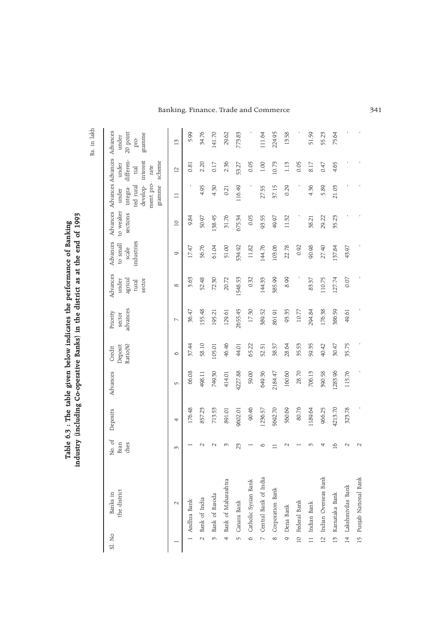Rs. in lakh Rs. in lakh

Table 6.3 : The table given below indicates the performance of Banking industry (including Co-operative Banks) in the district as at the end of 1993

Table 6.3 : The table given below indicates the performance of Banking<br>industry (including Co-operative Banks) in the district as at the end of 1993

| Sl. No   | the district<br>Banks in | No. of<br>ches<br>Bran | Deposits | Advances   | Deposit<br>Ratio(%)<br>Credit | advances<br>Priority<br>sector | Advances<br>agricul<br>under<br>sector<br>tural | Advances<br>industries<br>to small<br>scale | to weaker<br>sections | Advances Advances Advances<br>ment pro-<br>develop-<br>gramme<br>ted rural<br>integra-<br>under | differen-<br>scheme<br>interest<br>under<br>rate<br>tial | Advances<br>$20\,$ point<br>gramme<br>under<br>pro- |
|----------|--------------------------|------------------------|----------|------------|-------------------------------|--------------------------------|-------------------------------------------------|---------------------------------------------|-----------------------|-------------------------------------------------------------------------------------------------|----------------------------------------------------------|-----------------------------------------------------|
|          | $\sim$                   | $\omega$               | 4        | $\sqrt{ }$ | $\circ$                       | $\overline{ }$                 | $\infty$                                        | $\circ$                                     | $\overline{a}$        | $\Box$                                                                                          | $\overline{C}$                                           | $\vec{5}$                                           |
|          | $1$ Andhra Bank          |                        | 176.48   | 66.08      | 37.44                         | 36.47                          | 3.63                                            | 17.47                                       | 9.84                  |                                                                                                 | 0.81                                                     | 5.99                                                |
|          | 2 Bank of India          |                        | 857.23   | 498.11     | 58.10                         | 155.48                         | 52.48                                           | 56.76                                       | 50.97                 | 4.95                                                                                            | 2.20                                                     | 34.76                                               |
|          | 3 Bank of Baroda         | $\sim$                 | 713.53   | 749.30     | 105.01                        | 195.21                         | 72.30                                           | 61.04                                       | 138.45                | 4.30                                                                                            | 0.17                                                     | 141.70                                              |
|          | 4 Bank of Maharashtra    | $\omega$               | 891.01   | 414.01     | 46.46                         | 129.61                         | 20.72                                           | 51.00                                       | 31.76                 | 0.21                                                                                            | 2.36                                                     | 29.62                                               |
|          | 5 Canara Bank            | 23                     | 9602.01  | 4227.88    | 44.01                         | 2655.45                        | 1548.53                                         | 534.92                                      | 675.34                | 116.49                                                                                          | 53.27                                                    | 773.83                                              |
|          | 6 Catholic Syrian Bank   |                        | 90.46    | 59.00      | 65.22                         | 17.30                          | 0.32                                            | 11.82                                       | 0.05                  |                                                                                                 | 0.05                                                     |                                                     |
|          | 7 Central Bank of India  | ◡                      | 1236.57  | 649.36     | 52.51                         | 389.52                         | 144.33                                          | 144.76                                      | 93.55                 | 27.55                                                                                           | 1.00                                                     | 111.64                                              |
| $\infty$ | Corporation Bank         |                        | 5692.70  | 2184.47    | 38.37                         | 861.91                         | 385.99                                          | 103.06                                      | 49.97                 | 37.15                                                                                           | 10.73                                                    | 224.95                                              |
| $\circ$  | Dena Bank                | $\scriptstyle\sim$     | 560.69   | 160.60     | 28.64                         | 93.35                          | 8.99                                            | 22.78                                       | 11.32                 | 0.29                                                                                            | 1.13                                                     | 13.58                                               |
|          | 10 Federal Bank          |                        | 80.76    | 28.70      | 35.53                         | 10.77                          |                                                 | 0.92                                        |                       |                                                                                                 | 0.05                                                     |                                                     |
|          | 11 Indian Bank           | ᡢ                      | 1189.64  | 706.13     | 59.35                         | 294.84                         | 83.37                                           | 90.98                                       | 38.21                 | 4.36                                                                                            | 8.17                                                     | 51.59                                               |
|          | 12 Indian Overseas Bank  | 4                      | 966.25   | 390.58     | 40.42                         | 176.38                         | 110.75                                          | 27.40                                       | 29.22                 | 5.89                                                                                            | 0.47                                                     | 55.23                                               |
|          | 13 Karnataka Bank        | $\overline{16}$        | 4213.70  | 1283.96    | 30.47                         | 386.59                         | 127.74                                          | 137.84                                      | 35.23                 | 21.03                                                                                           | 4.65                                                     | 75.64                                               |
|          | 14 Lakshmivilas Bank     | N                      | 323.78   | 115.76     | 35.75                         | 49.61                          | 0.07                                            | 43.97                                       |                       |                                                                                                 |                                                          |                                                     |
|          | 15 Punjab National Bank  | $\sim$                 |          |            |                               |                                |                                                 |                                             |                       |                                                                                                 |                                                          |                                                     |

Banking, Finance, Trade and Commerce 341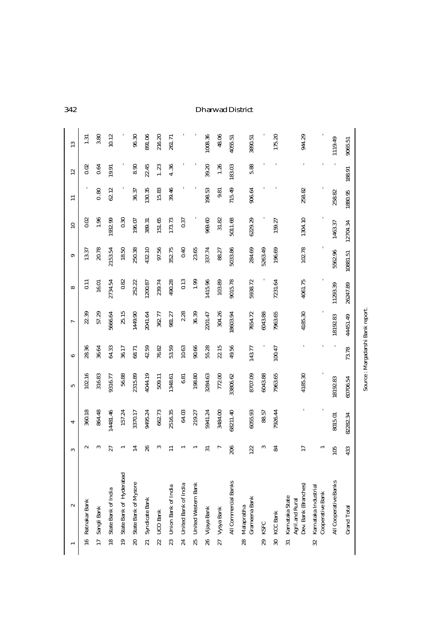|                 | $\sim$                                                     | S               | 4        | ما       | ဇ      | L        | $\infty$  | ၜ        | $\mathbf{r}$ | $\Xi$   | $\overline{12}$ | 13      |
|-----------------|------------------------------------------------------------|-----------------|----------|----------|--------|----------|-----------|----------|--------------|---------|-----------------|---------|
|                 | 16 Ratnakar Bank                                           | $\sim$          | 360.18   | 102.16   | 28.36  | 22.39    | $\Xi$     | 13.37    | 0.02         |         | 0.02            | 1.31    |
|                 | 17 Sangli Bank                                             | ∾               | 864.48   | 316.83   | 36.64  | 57.29    | $16.01\,$ | 20.78    | 1.96         | 0.80    | 0.64            | 3.80    |
|                 | 18 State Bank of India                                     | 27              | 14481.46 | 9316.77  | 64.33  | 5666.64  | 2734.54   | 2153.54  | 1932.99      | 62.12   | 19.91           | 10.12   |
|                 | 19 State Bank of Hyderabad                                 |                 | 157.24   | 56.88    | 36.17  | 25.15    | 0.82      | 18.50    | 0.30         |         |                 |         |
|                 | 20 State Bank of Mysore                                    | ⋣               | 3370.17  | 2315.89  | 68.71  | 1449.90  | 252.22    | 250.38   | 196.07       | 36.37   | 8.90            | 96.30   |
| 21              | Syndicate Bank                                             | 26              | 9495.24  | 4044.19  | 42.59  | 2041.64  | 1200.87   | 432.10   | 389.31       | 130.35  | 22.45           | 891.06  |
| 22              | UCO Bank                                                   | S               | 662.73   | 509.11   | 76.82  | 362.77   | 239.74    | 97.56    | 151.65       | 15.83   | 1.23            | 216.20  |
| 23              | Union Bank of India                                        |                 | 2516.35  | 1348.61  | 53.59  | 981.27   | 490.28    | 352.75   | 173.73       | 39.46   | 4.36            | 261.71  |
| 24              | United Bank of India                                       |                 | 64.03    | 6.81     | 10.63  | 2.28     | 0.13      | 0.40     | 0.37         |         |                 |         |
| 25              | United Western Bank                                        |                 | 219.27   | 198.80   | 90.66  | 36.39    | 1.99      | 23.65    |              |         |                 |         |
| 26              | Vijaya Bank                                                | ಸ               | 5941.24  | 3284.63  | 55.28  | 2201.47  | 1415.96   | 337.74   | 969.60       | 198.53  | 39.20           | 1008.36 |
| 27              | Vysya Bank                                                 |                 | 3484.00  | 772.00   | 22.15  | 304.26   | 103.89    | 88.27    | 31.82        | 9.81    | 1.26            | 48.06   |
|                 | All Commercial Banks                                       | 206             | 68211.40 | 33806.62 | 49.56  | 18603.94 | 9015.78   | 5033.86  | 5011.68      | 715.49  | 183.03          | 4055.51 |
| 28              | Grameena Bank<br>Malaprabha                                | 122             | 6055.93  | 8707.09  | 143.77 | 7654.72  | 5938.72   | 284.69   | 6229.29      | 906.64  | 5.88            | 3890.51 |
| 29              | <b>KSFC</b>                                                | S               | 88.57    | 6043.88  |        | 6043.88  |           | 5263.49  |              |         |                 |         |
| $\overline{30}$ | <b>KCC Bank</b>                                            | 84              | 7926.44  | 7963.65  | 100.47 | 7963.65  | 7231.64   | 196.69   | 159.27       |         |                 | 175.20  |
| $\overline{31}$ | Dev. Bank (Branches)<br>Karnataka State<br>Agril.and Rural | $\overline{17}$ |          | 4185.30  |        | 4185.30  | 4061.75   | 102.78   | 1304.10      | 258.82  |                 | 944.29  |
| 32              | Karnataka Industrial<br>Cooperative Bank                   |                 |          |          |        |          |           |          |              |         |                 |         |
|                 | All Cooperative Banks                                      | 105             | 8015.01  | 8192.83  |        | 18192.83 | 11293.39  | 5562.96  | 1463.37      | 258.82  |                 | 119.49  |
|                 | <b>Grand Total</b>                                         | 433             | 82282.34 | 60706.54 | 73.78  | 44451.49 | 26247.89  | 10881.51 | 12704.34     | 1880.95 | 188.91          | 9065.51 |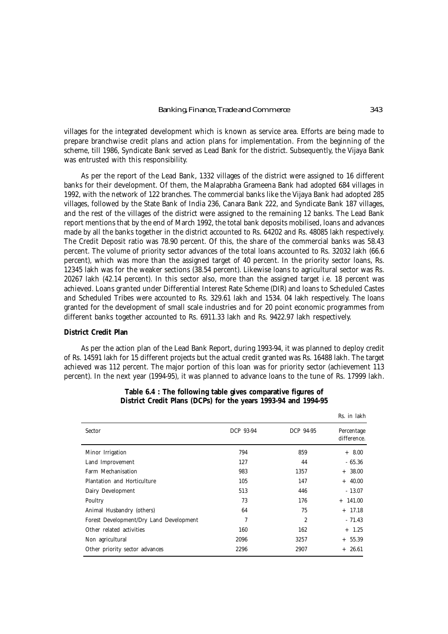villages for the integrated development which is known as service area. Efforts are being made to prepare branchwise credit plans and action plans for implementation. From the beginning of the scheme, till 1986, Syndicate Bank served as Lead Bank for the district. Subsequently, the Vijaya Bank was entrusted with this responsibility.

As per the report of the Lead Bank, 1332 villages of the district were assigned to 16 different banks for their development. Of them, the Malaprabha Grameena Bank had adopted 684 villages in 1992, with the network of 122 branches. The commercial banks like the Vijaya Bank had adopted 285 villages, followed by the State Bank of India 236, Canara Bank 222, and Syndicate Bank 187 villages, and the rest of the villages of the district were assigned to the remaining 12 banks. The Lead Bank report mentions that by the end of March 1992, the total bank deposits mobilised, loans and advances made by all the banks together in the district accounted to Rs. 64202 and Rs. 48085 lakh respectively. The Credit Deposit ratio was 78.90 percent. Of this, the share of the commercial banks was 58.43 percent. The volume of priority sector advances of the total loans accounted to Rs. 32032 lakh (66.6 percent), which was more than the assigned target of 40 percent. In the priority sector loans, Rs. 12345 lakh was for the weaker sections (38.54 percent). Likewise loans to agricultural sector was Rs. 20267 lakh (42.14 percent). In this sector also, more than the assigned target i.e. 18 percent was achieved. Loans granted under Differential Interest Rate Scheme (DIR) and loans to Scheduled Castes and Scheduled Tribes were accounted to Rs. 329.61 lakh and 1534. 04 lakh respectively. The loans granted for the development of small scale industries and for 20 point economic programmes from different banks together accounted to Rs. 6911.33 lakh and Rs. 9422.97 lakh respectively.

# **District Credit Plan**

As per the action plan of the Lead Bank Report, during 1993-94, it was planned to deploy credit of Rs. 14591 lakh for 15 different projects but the actual credit granted was Rs. 16488 lakh. The target achieved was 112 percent. The major portion of this loan was for priority sector (achievement 113 percent). In the next year (1994-95), it was planned to advance loans to the tune of Rs. 17999 lakh.

|                                         |           |                | Rs. in lakh               |
|-----------------------------------------|-----------|----------------|---------------------------|
| Sector                                  | DCP 93-94 | DCP 94-95      | Percentage<br>difference. |
| Minor Irrigation                        | 794       | 859            | $+8.00$                   |
| Land Improvement                        | 127       | 44             | $-65.36$                  |
| Farm Mechanisation                      | 983       | 1357           | $+38.00$                  |
| Plantation and Horticulture             | 105       | 147            | $+ 40.00$                 |
| Dairy Development                       | 513       | 446            | $-13.07$                  |
| Poultry                                 | 73        | 176            | $+ 141.00$                |
| Animal Husbandry (others)               | 64        | 75             | $+$ 17.18                 |
| Forest Development/Dry Land Development | 7         | $\overline{c}$ | $-71.43$                  |
| Other related activities                | 160       | 162            | $+ 1.25$                  |
| Non agricultural                        | 2096      | 3257           | $+ 55.39$                 |
| Other priority sector advances          | 2296      | 2907           | $+26.61$                  |

# **Table 6.4 : The following table gives comparative figures of District Credit Plans (DCPs) for the years 1993-94 and 1994-95**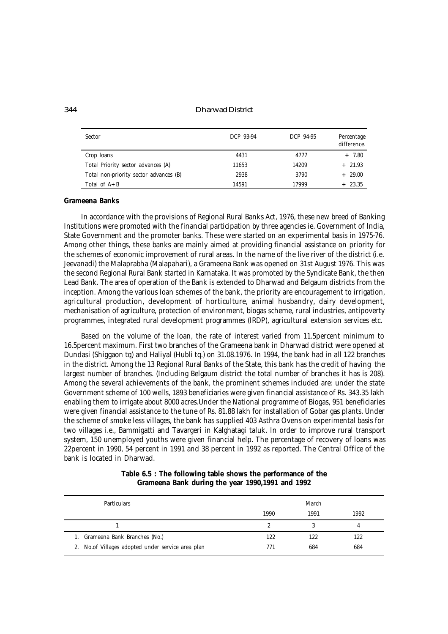344 Dharwad District

| Sector                                 | DCP 93-94 | DCP 94-95 | Percentage<br>difference. |
|----------------------------------------|-----------|-----------|---------------------------|
| Crop loans                             | 4431      | 4777      | $+ 7.80$                  |
| Total Priority sector advances (A)     | 11653     | 14209     | $+21.93$                  |
| Total non-priority sector advances (B) | 2938      | 3790      | $+29.00$                  |
| Total of $A + B$                       | 14591     | 17999     | $+23.35$                  |

# **Grameena Banks**

In accordance with the provisions of Regional Rural Banks Act, 1976, these new breed of Banking Institutions were promoted with the financial participation by three agencies ie. Government of India, State Government and the promoter banks. These were started on an experimental basis in 1975-76. Among other things, these banks are mainly aimed at providing financial assistance on priority for the schemes of economic improvement of rural areas. In the name of the live river of the district (i.e. Jeevanadi) the Malaprabha (Malapahari), a Grameena Bank was opened on 31st August 1976. This was the second Regional Rural Bank started in Karnataka. It was promoted by the Syndicate Bank, the then Lead Bank. The area of operation of the Bank is extended to Dharwad and Belgaum districts from the inception. Among the various loan schemes of the bank, the priority are encouragement to irrigation, agricultural production, development of horticulture, animal husbandry, dairy development, mechanisation of agriculture, protection of environment, biogas scheme, rural industries, antipoverty programmes, integrated rural development programmes (IRDP), agricultural extension services etc.

Based on the volume of the loan, the rate of interest varied from 11.5percent minimum to 16.5percent maximum. First two branches of the Grameena bank in Dharwad district were opened at Dundasi (Shiggaon tq) and Haliyal (Hubli tq.) on 31.08.1976. In 1994, the bank had in all 122 branches in the district. Among the 13 Regional Rural Banks of the State, this bank has the credit of having the largest number of branches. (Including Belgaum district the total number of branches it has is 208). Among the several achievements of the bank, the prominent schemes included are: under the state Government scheme of 100 wells, 1893 beneficiaries were given financial assistance of Rs. 343.35 lakh enabling them to irrigate about 8000 acres.Under the National programme of Biogas, 951 beneficiaries were given financial assistance to the tune of Rs. 81.88 lakh for installation of Gobar gas plants. Under the scheme of smoke less villages, the bank has supplied 403 *Asthra Ovens* on experimental basis for two villages i.e., Bammigatti and Tavargeri in Kalghatagi taluk. In order to improve rural transport system, 150 unemployed youths were given financial help. The percentage of recovery of loans was 22percent in 1990, 54 percent in 1991 and 38 percent in 1992 as reported. The Central Office of the bank is located in Dharwad.

| <b>Particulars</b>                                 |      | March |      |
|----------------------------------------------------|------|-------|------|
|                                                    | 1990 | 1991  | 1992 |
|                                                    | 2    |       | 4    |
| Grameena Bank Branches (No.)<br>1.                 | 122  | 122   | 122  |
| 2. No. of Villages adopted under service area plan | 771  | 684   | 684  |

**Table 6.5 : The following table shows the performance of the Grameena Bank during the year 1990,1991 and 1992**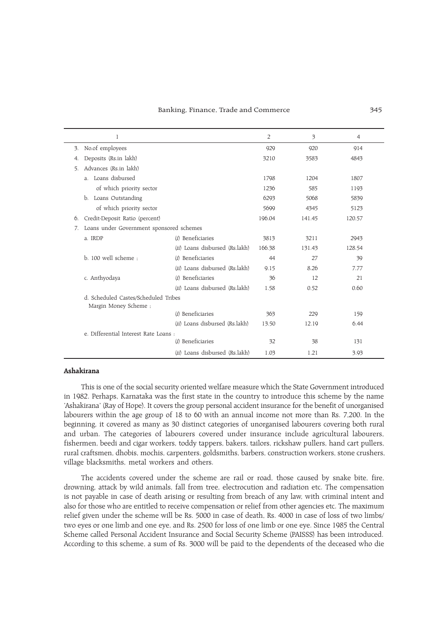#### Banking, Finance, Trade and Commerce 345

|    | 1                                                            |                                | 2      | 3      | 4      |
|----|--------------------------------------------------------------|--------------------------------|--------|--------|--------|
| 3. | No.of employees                                              |                                | 929    | 920    | 914    |
| 4. | Deposits (Rs.in lakh)                                        |                                | 3210   | 3583   | 4843   |
| 5. | Advances (Rs.in lakh)                                        |                                |        |        |        |
|    | Loans disbursed<br>$\overline{a}$ .                          |                                | 1798   | 1204   | 1807   |
|    | of which priority sector                                     |                                | 1236   | 585    | 1193   |
|    | b. Loans Outstanding                                         |                                | 6293   | 5068   | 5839   |
|    | of which priority sector                                     |                                | 5699   | 4345   | 5123   |
| 6. | Credit-Deposit Ratio (percent)                               |                                | 196.04 | 141.45 | 120.57 |
| 7. | Loans under Government sponsored schemes                     |                                |        |        |        |
|    | a. IRDP                                                      | (i) Beneficiaries              | 3813   | 3211   | 2943   |
|    |                                                              | (ii) Loans disbursed (Rs.lakh) | 166.38 | 131.43 | 128.54 |
|    | b. 100 well scheme:                                          | (i) Beneficiaries              | 44     | 27     | 39     |
|    |                                                              | (ii) Loans disbursed (Rs.lakh) | 9.15   | 8.26   | 7.77   |
|    | c. Anthyodaya                                                | (i) Beneficiaries              | 36     | 12     | 21     |
|    |                                                              | (ii) Loans disbursed (Rs.lakh) | 1.58   | 0.52   | 0.60   |
|    | d. Scheduled Castes/Scheduled Tribes<br>Margin Money Scheme; |                                |        |        |        |
|    |                                                              | (i) Beneficiaries              | 363    | 229    | 159    |
|    |                                                              | (ii) Loans disbursed (Rs.lakh) | 13.50  | 12.19  | 6.44   |
|    | e. Differential Interest Rate Loans :                        |                                |        |        |        |
|    |                                                              | (i) Beneficiaries              | 32     | 38     | 131    |
|    |                                                              | (ii) Loans disbursed (Rs.lakh) | 1.03   | 1.21   | 3.93   |

## Ashakirana

This is one of the social security oriented welfare measure which the State Government introduced in 1982. Perhaps, Karnataka was the first state in the country to introduce this scheme by the name 'Ashakirana' (Ray of Hope). It covers the group personal accident insurance for the benefit of unorganised labourers within the age group of 18 to 60 with an annual income not more than Rs. 7,200. In the beginning, it covered as many as 30 distinct categories of unorganised labourers covering both rural and urban. The categories of labourers covered under insurance include agricultural labourers, fishermen, beedi and cigar workers, toddy tappers, bakers, tailors, rickshaw pullers, hand cart pullers, rural craftsmen, dhobis, mochis, carpenters, goldsmiths, barbers, construction workers, stone crushers, village blacksmiths, metal workers and others.

The accidents covered under the scheme are rail or road, those caused by snake bite, fire, drowning, attack by wild animals, fall from tree, electrocution and radiation etc. The compensation is not payable in case of death arising or resulting from breach of any law, with criminal intent and also for those who are entitled to receive compensation or relief from other agencies etc. The maximum relief given under the scheme will be Rs. 5000 in case of death, Rs. 4000 in case of loss of two limbs/ two eyes or one limb and one eye, and Rs. 2500 for loss of one limb or one eye. Since 1985 the Central Scheme called Personal Accident Insurance and Social Security Scheme (PAISSS) has been introduced. According to this scheme, a sum of Rs. 3000 will be paid to the dependents of the deceased who die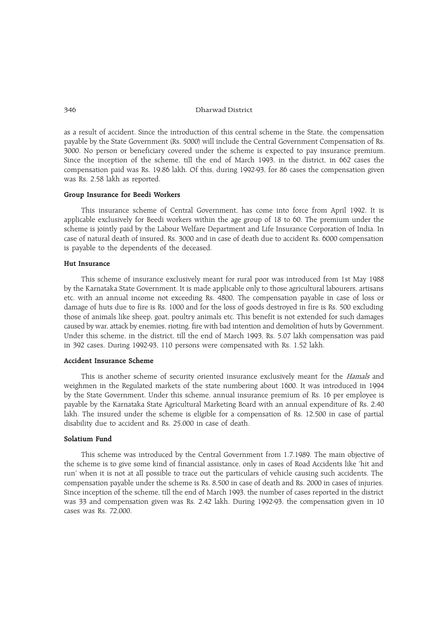as a result of accident. Since the introduction of this central scheme in the State, the compensation payable by the State Government (Rs. 5000) will include the Central Government Compensation of Rs. 3000. No person or beneficiary covered under the scheme is expected to pay insurance premium. Since the inception of the scheme, till the end of March 1993, in the district, in 662 cases the compensation paid was Rs. 19.86 lakh. Of this, during 1992-93, for 86 cases the compensation given was Rs. 2.58 lakh as reported.

# Group Insurance for Beedi Workers

This insurance scheme of Central Government, has come into force from April 1992. It is applicable exclusively for Beedi workers within the age group of 18 to 60. The premium under the scheme is jointly paid by the Labour Welfare Department and Life Insurance Corporation of India. In case of natural death of insured, Rs. 3000 and in case of death due to accident Rs. 6000 compensation is payable to the dependents of the deceased.

# Hut Insurance

This scheme of insurance exclusively meant for rural poor was introduced from 1st May 1988 by the Karnataka State Government. It is made applicable only to those agricultural labourers, artisans etc. with an annual income not exceeding Rs. 4800. The compensation payable in case of loss or damage of huts due to fire is Rs. 1000 and for the loss of goods destroyed in fire is Rs. 500 excluding those of animals like sheep, goat, poultry animals etc. This benefit is not extended for such damages caused by war, attack by enemies, rioting, fire with bad intention and demolition of huts by Government. Under this scheme, in the district, till the end of March 1993, Rs. 5.07 lakh compensation was paid in 392 cases. During 1992-93, 110 persons were compensated with Rs. 1.52 lakh.

# Accident Insurance Scheme

This is another scheme of security oriented insurance exclusively meant for the *Hamals* and weighmen in the Regulated markets of the state numbering about 1600. It was introduced in 1994 by the State Government. Under this scheme, annual insurance premium of Rs. 16 per employee is payable by the Karnataka State Agricultural Marketing Board with an annual expenditure of Rs. 2.40 lakh. The insured under the scheme is eligible for a compensation of Rs. 12,500 in case of partial disability due to accident and Rs. 25,000 in case of death.

# Solatium Fund

This scheme was introduced by the Central Government from 1.7.1989. The main objective of the scheme is to give some kind of financial assistance, only in cases of Road Accidents like 'hit and run' when it is not at all possible to trace out the particulars of vehicle causing such accidents. The compensation payable under the scheme is Rs. 8,500 in case of death and Rs. 2000 in cases of injuries. Since inception of the scheme, till the end of March 1993, the number of cases reported in the district was 33 and compensation given was Rs. 2.42 lakh. During 1992-93, the compensation given in 10 cases was Rs. 72,000.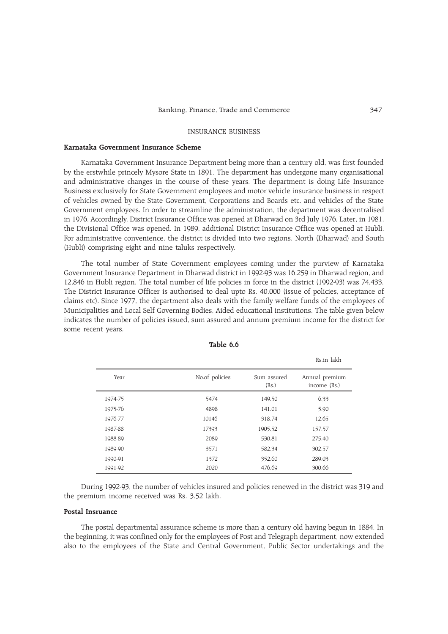## INSURANCE BUSINESS

# Karnataka Government Insurance Scheme

Karnataka Government Insurance Department being more than a century old, was first founded by the erstwhile princely Mysore State in 1891. The department has undergone many organisational and administrative changes in the course of these years. The department is doing Life Insurance Business exclusively for State Government employees and motor vehicle insurance business in respect of vehicles owned by the State Government, Corporations and Boards etc. and vehicles of the State Government employees. In order to streamline the administration, the department was decentralised in 1976. Accordingly, District Insurance Office was opened at Dharwad on 3rd July 1976. Later, in 1981, the Divisional Office was opened. In 1989, additional District Insurance Office was opened at Hubli. For administrative convenience, the district is divided into two regions. North (Dharwad) and South (Hubli) comprising eight and nine taluks respectively.

The total number of State Government employees coming under the purview of Karnataka Government Insurance Department in Dharwad district in 1992-93 was 16,259 in Dharwad region, and 12,846 in Hubli region. The total number of life policies in force in the district (1992-93) was 74,433. The District Insurance Officer is authorised to deal upto Rs. 40,000 (issue of policies, acceptance of claims etc). Since 1977, the department also deals with the family welfare funds of the employees of Municipalities and Local Self Governing Bodies, Aided educational institutions. The table given below indicates the number of policies issued, sum assured and annum premium income for the district for some recent years.

|         |                |                      | Rs.in lakh                     |
|---------|----------------|----------------------|--------------------------------|
| Year    | No.of policies | Sum assured<br>(Rs.) | Annual premium<br>income (Rs.) |
| 1974-75 | 5474           | 149.50               | 6.33                           |
| 1975-76 | 4898           | 141.01               | 5.90                           |
| 1976-77 | 10146          | 318.74               | 12.65                          |
| 1987-88 | 17393          | 1905.52              | 157.57                         |
| 1988-89 | 2089           | 530.81               | 275.40                         |
| 1989-90 | 3571           | 582.34               | 302.57                         |
| 1990-91 | 1372           | 352.60               | 289.03                         |
| 1991-92 | 2020           | 476.69               | 300.66                         |

Table 6.6

During 1992-93, the number of vehicles insured and policies renewed in the district was 319 and the premium income received was Rs. 3.52 lakh.

#### Postal Insruance

The postal departmental assurance scheme is more than a century old having begun in 1884. In the beginning, it was confined only for the employees of Post and Telegraph department, now extended also to the employees of the State and Central Government, Public Sector undertakings and the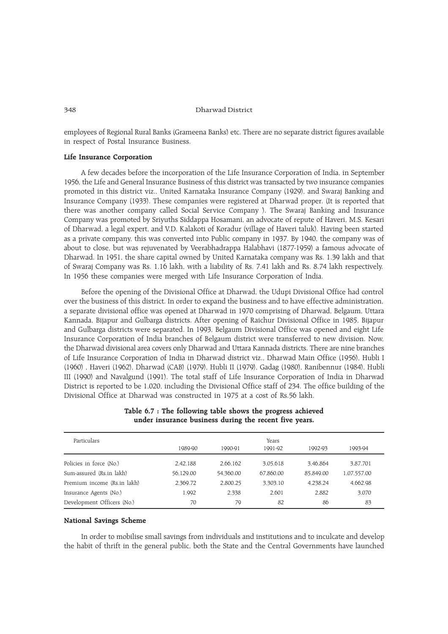employees of Regional Rural Banks (Grameena Banks) etc. There are no separate district figures available in respect of Postal Insurance Business.

## Life Insurance Corporation

A few decades before the incorporation of the Life Insurance Corporation of India, in September 1956, the Life and General Insurance Business of this district was transacted by two insurance companies promoted in this district viz., United Karnataka Insurance Company (1929), and Swaraj Banking and Insurance Company (1933). These companies were registered at Dharwad proper. (It is reported that there was another company called Social Service Company ). The Swaraj Banking and Insurance Company was promoted by Sriyuths Siddappa Hosamani, an advocate of repute of Haveri, M.S. Kesari of Dharwad, a legal expert, and V.D. Kalakoti of Koradur (village of Haveri taluk). Having been started as a private company, this was converted into Public company in 1937. By 1940, the company was of about to close, but was rejuvenated by Veerabhadrappa Halabhavi (1877-1959) a famous advocate of Dharwad. In 1951, the share capital owned by United Karnataka company was Rs. 1.39 lakh and that of Swaraj Company was Rs. 1.16 lakh, with a liability of Rs. 7.41 lakh and Rs. 8.74 lakh respectively. In 1956 these companies were merged with Life Insurance Corporation of India.

Before the opening of the Divisional Office at Dharwad, the Udupi Divisional Office had control over the business of this district. In order to expand the business and to have effective administration, a separate divisional office was opened at Dharwad in 1970 comprising of Dharwad, Belgaum, Uttara Kannada, Bijapur and Gulbarga districts. After opening of Raichur Divisional Office in 1985, Bijapur and Gulbarga districts were separated. In 1993, Belgaum Divisional Office was opened and eight Life Insurance Corporation of India branches of Belgaum district were transferred to new division. Now, the Dharwad divisional area covers only Dharwad and Uttara Kannada districts. There are nine branches of Life Insurance Corporation of India in Dharwad district viz., Dharwad Main Office (1956), Hubli I (1960) , Haveri (1962), Dharwad (CAB) (1979), Hubli II (1979), Gadag (1980), Ranibennur (1984), Hubli III (1990) and Navalgund (1991). The total staff of Life Insurance Corporation of India in Dharwad District is reported to be 1,020, including the Divisional Office staff of 234. The office building of the Divisional Office at Dharwad was constructed in 1975 at a cost of Rs.56 lakh.

| Particulars                 |           |           | Years     |           |             |  |
|-----------------------------|-----------|-----------|-----------|-----------|-------------|--|
|                             | 1989-90   | 1990-91   | 1991-92   | 1992-93   | 1993-94     |  |
| Policies in force (No.)     | 2.42.188  | 2.66.162  | 3.05.618  | 3.46.864  | 3.87.701    |  |
| Sum-assured (Rs.in lakh)    | 56,129.00 | 54.360.00 | 67.860.00 | 85.849.00 | 1.07.557.00 |  |
| Premium income (Rs.in lakh) | 2,369.72  | 2.800.25  | 3.303.10  | 4.238.24  | 4.662.98    |  |
| Insurance Agents (No.)      | 1,992     | 2,338     | 2.601     | 2.882     | 3,070       |  |
| Development Officers (No.)  | 70        | 79        | 82        | 86        | 83          |  |

# Table 6.7 : The following table shows the progress achieved under insurance business during the recent five years.

## National Savings Scheme

In order to mobilise small savings from individuals and institutions and to inculcate and develop the habit of thrift in the general public, both the State and the Central Governments have launched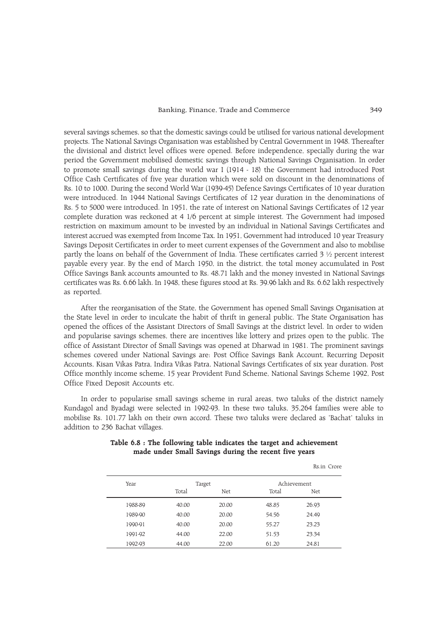## Banking, Finance, Trade and Commerce 349

several savings schemes, so that the domestic savings could be utilised for various national development projects. The National Savings Organisation was established by Central Government in 1948. Thereafter the divisional and district level offices were opened. Before independence, specially during the war period the Government mobilised domestic savings through National Savings Organisation. In order to promote small savings during the world war I (1914 - 18) the Government had introduced Post Office Cash Certificates of five year duration which were sold on discount in the denominations of Rs. 10 to 1000. During the second World War (1939-45) Defence Savings Certificates of 10 year duration were introduced. In 1944 National Savings Certificates of 12 year duration in the denominations of Rs. 5 to 5000 were introduced. In 1951, the rate of interest on National Savings Certificates of 12 year complete duration was reckoned at 4 1/6 percent at simple interest. The Government had imposed restriction on maximum amount to be invested by an individual in National Savings Certificates and interest accrued was exempted from Income Tax. In 1951, Government had introduced 10 year Treasury Savings Deposit Certificates in order to meet current expenses of the Government and also to mobilise partly the loans on behalf of the Government of India. These certificates carried 3 ½ percent interest payable every year. By the end of March 1950, in the district, the total money accumulated in Post Office Savings Bank accounts amounted to Rs. 48.71 lakh and the money invested in National Savings certificates was Rs. 6.66 lakh. In 1948, these figures stood at Rs. 39.96 lakh and Rs. 6.62 lakh respectively as reported.

After the reorganisation of the State, the Government has opened Small Savings Organisation at the State level in order to inculcate the habit of thrift in general public. The State Organisation has opened the offices of the Assistant Directors of Small Savings at the district level. In order to widen and popularise savings schemes, there are incentives like lottery and prizes open to the public. The office of Assistant Director of Small Savings was opened at Dharwad in 1981. The prominent savings schemes covered under National Savings are: Post Office Savings Bank Account, Recurring Deposit Accounts, Kisan Vikas Patra, Indira Vikas Patra, National Savings Certificates of six year duration. Post Office monthly income scheme, 15 year Provident Fund Scheme, National Savings Scheme 1992, Post Office Fixed Deposit Accounts etc.

In order to popularise small savings scheme in rural areas, two taluks of the district namely Kundagol and Byadagi were selected in 1992-93. In these two taluks, 35,264 families were able to mobilise Rs. 101.77 lakh on their own accord. These two taluks were declared as 'Bachat' taluks in addition to 236 Bachat villages.

|         |        |       |       | Rs.in Crore |
|---------|--------|-------|-------|-------------|
| Year    | Target |       |       | Achievement |
|         | Total  | Net   | Total | Net         |
| 1988-89 | 40.00  | 20.00 | 48.85 | 26.93       |
| 1989-90 | 40.00  | 20.00 | 54.56 | 24.49       |
| 1990-91 | 40.00  | 20.00 | 55.27 | 23.23       |
| 1991-92 | 44.00  | 22.00 | 51.53 | 23.34       |
| 1992-93 | 44.00  | 22.00 | 61.20 | 24.81       |

# Table 6.8 : The following table indicates the target and achievement made under Small Savings during the recent five years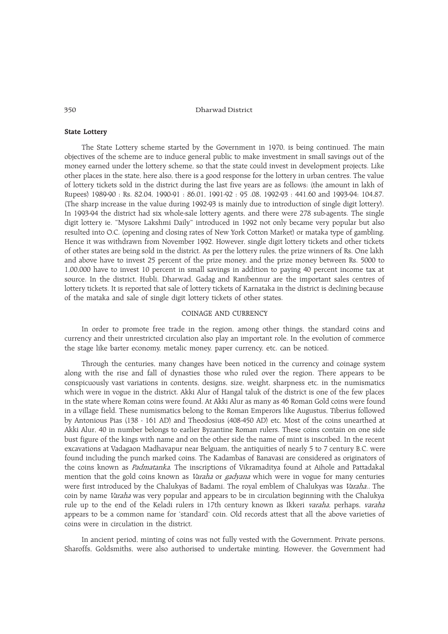## State Lottery

The State Lottery scheme started by the Government in 1970, is being continued. The main objectives of the scheme are to induce general public to make investment in small savings out of the money earned under the lottery scheme, so that the state could invest in development projects. Like other places in the state, here also, there is a good response for the lottery in urban centres. The value of lottery tickets sold in the district during the last five years are as follows: (the amount in lakh of Rupees) 1989-90 : Rs. 82.04, 1990-91 : 86.01, 1991-92 : 95 .08, 1992-93 : 441.60 and 1993-94: 104.87. (The sharp increase in the value during 1992-93 is mainly due to introduction of single digit lottery). In 1993-94 the district had six whole-sale lottery agents, and there were 278 sub-agents. The single digit lottery ie. "Mysore Lakshmi Daily" introduced in 1992 not only became very popular but also resulted into O.C. (opening and closing rates of New York Cotton Market) or mataka type of gambling. Hence it was withdrawn from November 1992. However, single digit lottery tickets and other tickets of other states are being sold in the district. As per the lottery rules, the prize winners of Rs. One lakh and above have to invest 25 percent of the prize money, and the prize money between Rs. 5000 to 1,00,000 have to invest 10 percent in small savings in addition to paying 40 percent income tax at source. In the district, Hubli, Dharwad, Gadag and Ranibennur are the important sales centres of lottery tickets. It is reported that sale of lottery tickets of Karnataka in the district is declining because of the mataka and sale of single digit lottery tickets of other states.

# COINAGE AND CURRENCY

In order to promote free trade in the region, among other things, the standard coins and currency and their unrestricted circulation also play an important role. In the evolution of commerce the stage like barter economy, metalic money, paper currency, etc. can be noticed.

Through the centuries, many changes have been noticed in the currency and coinage system along with the rise and fall of dynasties those who ruled over the region. There appears to be conspicuously vast variations in contents, designs, size, weight, sharpness etc. in the numismatics which were in vogue in the district. Akki Alur of Hangal taluk of the district is one of the few places in the state where Roman coins were found. At Akki Alur as many as 46 Roman Gold coins were found in a village field. These numismatics belong to the Roman Emperors like Augustus, Tiberius followed by Antonious Pias (138 - 161 AD) and Theodosius (408-450 AD) etc. Most of the coins unearthed at Akki Alur, 40 in number belongs to earlier Byzantine Roman rulers. These coins contain on one side bust figure of the kings with name and on the other side the name of mint is inscribed. In the recent excavations at Vadagaon Madhavapur near Belguam, the antiquities of nearly 5 to 7 century B.C. were found including the punch marked coins. The Kadambas of Banavasi are considered as originators of the coins known as *Padmatanka*. The inscriptions of Vikramaditya found at Aihole and Pattadakal mention that the gold coins known as *Varaha* or *gadyana* which were in vogue for many centuries were first introduced by the Chalukyas of Badami. The royal emblem of Chalukyas was Varaha.. The coin by name Varaha was very popular and appears to be in circulation beginning with the Chalukya rule up to the end of the Keladi rulers in 17th century known as Ikkeri varaha, perhaps, varaha appears to be a common name for 'standard' coin. Old records attest that all the above varieties of coins were in circulation in the district.

In ancient period, minting of coins was not fully vested with the Government. Private persons, Sharoffs, Goldsmiths, were also authorised to undertake minting. However, the Government had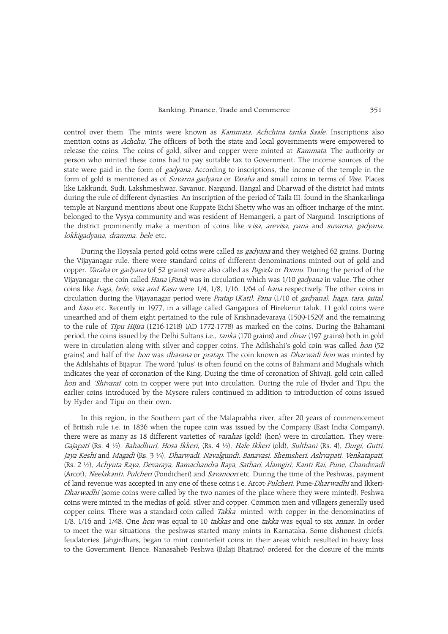control over them. The mints were known as Kammata, Achchina tanka Saale. Inscriptions also mention coins as *Achchu*. The officers of both the state and local governments were empowered to release the coins. The coins of gold, silver and copper were minted at *Kammata*. The authority or person who minted these coins had to pay suitable tax to Government. The income sources of the state were paid in the form of *gadyana*. According to inscriptions, the income of the temple in the form of gold is mentioned as of *Suvarna gadyana* or *Varaha* and small coins in terms of *Vise*. Places like Lakkundi, Sudi, Lakshmeshwar, Savanur, Nargund, Hangal and Dharwad of the district had mints during the rule of different dynasties. An inscription of the period of Taila III, found in the Shankarlinga temple at Nargund mentions about one Kuppate Eichi Shetty who was an officer incharge of the mint, belonged to the Vysya community and was resident of Hemangeri, a part of Nargund. Inscriptions of the district prominently make a mention of coins like v*isa, arevisa, pana* and *suvarna, gadyana*, lokkigadyana, dramma, bele etc.

During the Hoysala period gold coins were called as gadyana and they weighed 62 grains. During the Vijayanagar rule, there were standard coins of different denominations minted out of gold and copper. *Varaha* or *gadyana* (of 52 grains) were also called as *Pagoda* or *Ponnu*. During the period of the Vijayanagar, the coin called *Hana* (Pana) was in circulation which was 1/10 gadyana in value. The other coins like haga, bele, visa and Kasu were 1/4, 1/8, 1/16, 1/64 of hana respectively. The other coins in circulation during the Vijayanagar period were Pratap (Kati), Pana (1/10 of gadyana), haga, tara, jaital, and kasu etc. Recently in 1977, in a village called Gangapura of Hirekerur taluk, 11 gold coins were unearthed and of them eight pertained to the rule of Krishnadevaraya (1509-1529) and the remaining to the rule of *Tipu Hijira* (1216-1218) (AD 1772-1778) as marked on the coins. During the Bahamani period, the coins issued by the Delhi Sultans i.e., tanka (170 grains) and dinar (197 grains) both in gold were in circulation along with silver and copper coins. The Adilshahi's gold coin was called hon (52 grains) and half of the *hon* was *dharana* or *pratap*. The coin known as *Dharwadi hon* was minted by the Adilshahis of Bijapur. The word 'julus' is often found on the coins of Bahmani and Mughals which indicates the year of coronation of the King. During the time of coronation of Shivaji, gold coin called hon and 'Shivarai' coin in copper were put into circulation. During the rule of Hyder and Tipu the earlier coins introduced by the Mysore rulers continued in addition to introduction of coins issued by Hyder and Tipu on their own.

In this region, in the Southern part of the Malaprabha river, after 20 years of commencement of British rule i.e. in 1836 when the rupee coin was issued by the Company (East India Company), there were as many as 18 different varieties of varahas (gold) (hon) were in circulation. They were: Gajapati (Rs. 4 ½), Bahadhuri, Hosa Ikkeri, (Rs. 4 ½), Hale Ikkeri (old), Sulthani (Rs. 4), Durgi, Gutti, Jaya Keshi and Magadi (Rs. 3 ¾), Dharwadi, Navalgundi, Banavasi, Shemsheri, Ashvapati, Venkatapati, (Rs. 2 ½), Achyuta Raya, Devaraya, Ramachandra Raya, Sathari, Alamgiri, Kanti Rai, Pune, Chandwadi (Arcot), *Neelakanti, Pulcheri* (Pondicheri) and *Savanoori* etc. During the time of the Peshwas, payment of land revenue was accepted in any one of these coins i.e. Arcot-Pulcheri, Pune-Dharwadhi and Ikkeri-Dharwadhi (some coins were called by the two names of the place where they were minted). Peshwa coins were minted in the medias of gold, silver and copper. Common men and villagers generally used copper coins. There was a standard coin called *Takka* minted with copper in the denominatins of 1/8, 1/16 and 1/48. One *hon* was equal to 10 takkas and one takka was equal to six annas. In order to meet the war situations, the peshwas started many mints in Karnataka. Some dishonest chiefs, feudatories, Jahgirdhars, began to mint counterfeit coins in their areas which resulted in heavy loss to the Government. Hence, Nanasaheb Peshwa (Balaji Bhajirao) ordered for the closure of the mints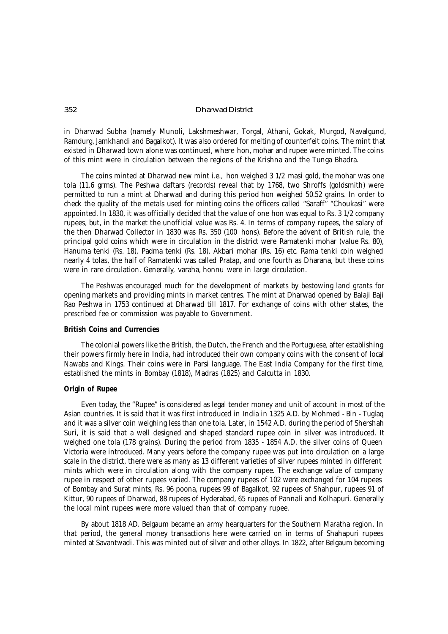in Dharwad Subha (namely Munoli, Lakshmeshwar, Torgal, Athani, Gokak, Murgod, Navalgund, Ramdurg, Jamkhandi and Bagalkot). It was also ordered for melting of counterfeit coins. The mint that existed in Dharwad town alone was continued, where *hon, mohar* and *rupee* were minted. The coins of this mint were in circulation between the regions of the Krishna and the Tunga Bhadra.

The coins minted at Dharwad new mint i.e., *hon* weighed 3 1/2 *masi* gold, the *mohar* was one tola (11.6 grms). The Peshwa *daftars* (records) reveal that by 1768, two Shroffs (goldsmith) were permitted to run a mint at Dharwad and during this period *hon* weighed 50.52 grains. In order to check the quality of the metals used for minting coins the officers called *"Saraff" "Choukasi"* were appointed. In 1830, it was officially decided that the value of one *hon* was equal to Rs. 3 1/2 company rupees, but, in the market the unofficial value was Rs. 4. In terms of company rupees, the salary of the then Dharwad Collector in 1830 was Rs. 350 (100 *hons*). Before the advent of British rule, the principal gold coins which were in circulation in the district were *Ramatenki mohar* (value Rs. 80), *Hanuma tenki* (Rs. 18), *Padma tenki* (Rs. 18), *Akbari mohar* (Rs. 16) etc. Rama tenki coin weighed nearly 4 tolas, the half of Ramatenki was called *Pratap,* and one fourth as *Dharana*, but these coins were in rare circulation. Generally, *varaha, honnu* were in large circulation.

The Peshwas encouraged much for the development of markets by bestowing land grants for opening markets and providing mints in market centres. The mint at Dharwad opened by Balaji Baji Rao Peshwa in 1753 continued at Dharwad till 1817. For exchange of coins with other states, the prescribed fee or commission was payable to Government.

## **British Coins and Currencies**

The colonial powers like the British, the Dutch, the French and the Portuguese, after establishing their powers firmly here in India, had introduced their own company coins with the consent of local Nawabs and Kings. Their coins were in Parsi language. The East India Company for the first time, established the mints in Bombay (1818), Madras (1825) and Calcutta in 1830.

# **Origin of Rupee**

Even today, the "Rupee" is considered as legal tender money and unit of account in most of the Asian countries. It is said that it was first introduced in India in 1325 A.D. by Mohmed - Bin - Tuglaq and it was a silver coin weighing less than one tola. Later, in 1542 A.D. during the period of Shershah Suri, it is said that a well designed and shaped standard rupee coin in silver was introduced. It weighed one tola (178 grains). During the period from 1835 - 1854 A.D. the silver coins of Queen Victoria were introduced. Many years before the company rupee was put into circulation on a large scale in the district, there were as many as 13 different varieties of silver rupees minted in different mints which were in circulation along with the company rupee. The exchange value of company rupee in respect of other rupees varied. The company rupees of 102 were exchanged for 104 rupees of Bombay and Surat mints, Rs. 96 poona, rupees 99 of Bagalkot, 92 rupees of Shahpur, rupees 91 of Kittur, 90 rupees of Dharwad, 88 rupees of Hyderabad, 65 rupees of Pannali and Kolhapuri. Generally the local mint rupees were more valued than that of company rupee.

By about 1818 AD. Belgaum became an army hearquarters for the Southern Maratha region. In that period, the general money transactions here were carried on in terms of Shahapuri rupees minted at Savantwadi. This was minted out of silver and other alloys. In 1822, after Belgaum becoming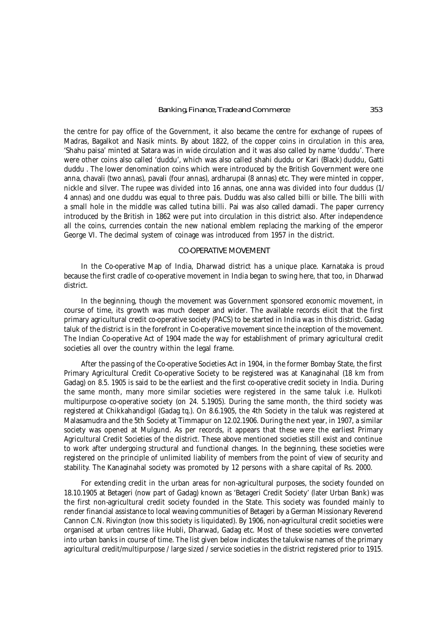the centre for pay office of the Government, it also became the centre for exchange of rupees of Madras, Bagalkot and Nasik mints. By about 1822, of the copper coins in circulation in this area, '*Shahu paisa*' minted at Satara was in wide circulation and it was also called by name '*duddu*'. There were other coins also called '*duddu*', which was also called *shahi duddu* or *Kari* (Black) duddu, *Gatti duddu* . The lower denomination coins which were introduced by the British Government were one *anna, chavali* (two annas), *pavali* (four annas), ardharupai (8 annas) etc. They were minted in copper, nickle and silver. The rupee was divided into 16 annas, one anna was divided into four *duddus* (1/ 4 annas) and one duddu was equal to three *pais. Duddu* was also called *billi* or *bille.* The *billi* with a small hole in the middle was called *tutina billi.* Pai was also called *damadi.* The paper currency introduced by the British in 1862 were put into circulation in this district also. After independence all the coins, currencies contain the new national emblem replacing the marking of the emperor George VI. The decimal system of coinage was introduced from 1957 in the district.

# CO-OPERATIVE MOVEMENT

In the Co-operative Map of India, Dharwad district has a unique place. Karnataka is proud because the first cradle of co-operative movement in India began to swing here, that too, in Dharwad district.

In the beginning, though the movement was Government sponsored economic movement, in course of time, its growth was much deeper and wider. The available records elicit that the first primary agricultural credit co-operative society (PACS) to be started in India was in this district. Gadag taluk of the district is in the forefront in Co-operative movement since the inception of the movement. The Indian Co-operative Act of 1904 made the way for establishment of primary agricultural credit societies all over the country within the legal frame.

After the passing of the Co-operative Societies Act in 1904, in the former Bombay State, the first Primary Agricultural Credit Co-operative Society to be registered was at Kanaginahal (18 km from Gadag) on 8.5. 1905 is said to be the earliest and the first co-operative credit society in India. During the same month, many more similar societies were registered in the same taluk i.e. Hulkoti multipurpose co-operative society (on 24. 5.1905). During the same month, the third society was registered at Chikkahandigol (Gadag tq.). On 8.6.1905, the 4th Society in the taluk was registered at Malasamudra and the 5th Society at Timmapur on 12.02.1906. During the next year, in 1907, a similar society was opened at Mulgund. As per records, it appears that these were the earliest Primary Agricultural Credit Societies of the district. These above mentioned societies still exist and continue to work after undergoing structural and functional changes. In the beginning, these societies were registered on the principle of unlimited liability of members from the point of view of security and stability. The Kanaginahal society was promoted by 12 persons with a share capital of Rs. 2000.

For extending credit in the urban areas for non-agricultural purposes, the society founded on 18.10.1905 at Betageri (now part of Gadag) known as 'Betageri Credit Society' (later Urban Bank) was the first non-agricultural credit society founded in the State. This society was founded mainly to render financial assistance to local weaving communities of Betageri by a German Missionary Reverend Cannon C.N. Rivington (now this society is liquidated). By 1906, non-agricultural credit societies were organised at urban centres like Hubli, Dharwad, Gadag etc. Most of these societies were converted into urban banks in course of time. The list given below indicates the talukwise names of the primary agricultural credit/multipurpose / large sized / service societies in the district registered prior to 1915.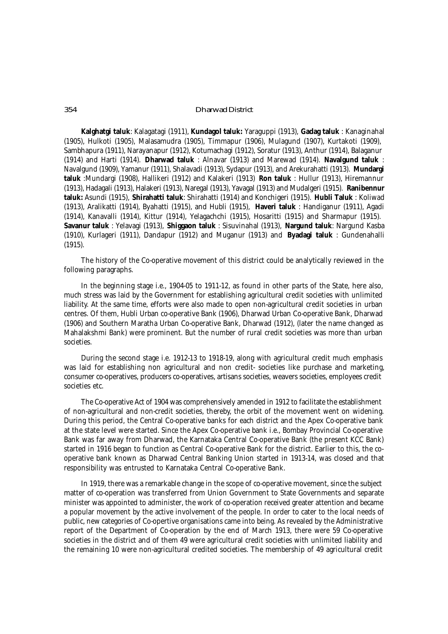**Kalghatgi taluk**: Kalagatagi (1911), **Kundagol taluk:** Yaraguppi (1913), **Gadag taluk** : Kanaginahal (1905), Hulkoti (1905), Malasamudra (1905), Timmapur (1906), Mulagund (1907), Kurtakoti (1909), Sambhapura (1911), Narayanapur (1912), Kotumachagi (1912), Soratur (1913), Anthur (1914), Balaganur (1914) and Harti (1914). **Dharwad taluk** : Alnavar (1913) and Marewad (1914). **Navalgund taluk** : Navalgund (1909), Yamanur (1911), Shalavadi (1913), Sydapur (1913), and Arekurahatti (1913). **Mundargi taluk** :Mundargi (1908), Hallikeri (1912) and Kalakeri (1913) **Ron taluk** : Hullur (1913), Hiremannur (1913), Hadagali (1913), Halakeri (1913), Naregal (1913), Yavagal (1913) and Mudalgeri (1915). **Ranibennur taluk:** Asundi (1915), **Shirahatti taluk***:* Shirahatti (1914) and Konchigeri (1915). **Hubli Taluk** : Koliwad (1913), Aralikatti (1914), Byahatti (1915), and Hubli (1915), **Haveri taluk** : Handiganur (1911), Agadi (1914), Kanavalli (1914), Kittur (1914), Yelagachchi (1915), Hosaritti (1915) and Sharmapur (1915). **Savanur taluk** : Yelavagi (1913), **Shiggaon taluk** : Sisuvinahal (1913), **Nargund taluk***:* Nargund Kasba (1910), Kurlageri (1911), Dandapur (1912) and Muganur (1913) and **Byadagi taluk** : Gundenahalli (1915).

The history of the Co-operative movement of this district could be analytically reviewed in the following paragraphs.

In the beginning stage i.e., 1904-05 to 1911-12, as found in other parts of the State, here also, much stress was laid by the Government for establishing agricultural credit societies with unlimited liability. At the same time, efforts were also made to open non-agricultural credit societies in urban centres. Of them, Hubli Urban co-operative Bank (1906), Dharwad Urban Co-operative Bank, Dharwad (1906) and Southern Maratha Urban Co-operative Bank, Dharwad (1912), (later the name changed as Mahalakshmi Bank) were prominent. But the number of rural credit societies was more than urban societies.

During the second stage i.e. 1912-13 to 1918-19, along with agricultural credit much emphasis was laid for establishing non agricultural and non credit- societies like purchase and marketing, consumer co-operatives, producers co-operatives, artisans societies, weavers societies, employees credit societies etc.

The Co-operative Act of 1904 was comprehensively amended in 1912 to facilitate the establishment of non-agricultural and non-credit societies, thereby, the orbit of the movement went on widening. During this period, the Central Co-operative banks for each district and the Apex Co-operative bank at the state level were started. Since the Apex Co-operative bank i.e., Bombay Provincial Co-operative Bank was far away from Dharwad, the Karnataka Central Co-operative Bank (the present KCC Bank) started in 1916 began to function as Central Co-operative Bank for the district. Earlier to this, the cooperative bank known as Dharwad Central Banking Union started in 1913-14, was closed and that responsibility was entrusted to Karnataka Central Co-operative Bank.

In 1919, there was a remarkable change in the scope of co-operative movement, since the subject matter of co-operation was transferred from Union Government to State Governments and separate minister was appointed to administer, the work of co-operation received greater attention and became a popular movement by the active involvement of the people. In order to cater to the local needs of public, new categories of Co-opertive organisations came into being. As revealed by the Administrative report of the Department of Co-operation by the end of March 1913, there were 59 Co-operative societies in the district and of them 49 were agricultural credit societies with unlimited liability and the remaining 10 were non-agricultural credited societies. The membership of 49 agricultural credit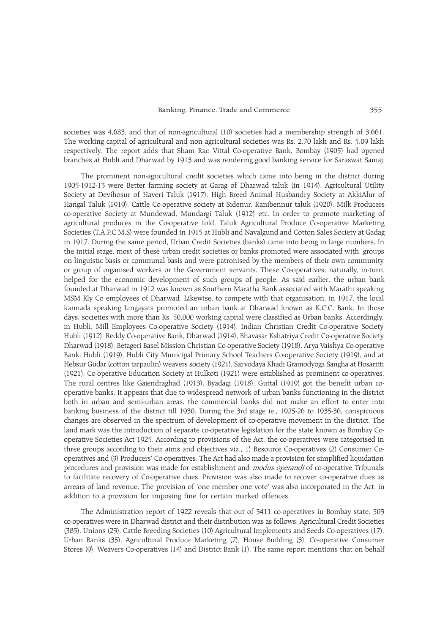## Banking, Finance, Trade and Commerce 355

societies was 4,683, and that of non-agricultural (10) societies had a membership strength of 3,661. The working capital of agricultural and non agricultural societies was Rs. 2.70 lakh and Rs. 5.09 lakh respectively. The report adds that Sham Rao Vittal Co-operative Bank, Bombay (1905) had opened branches at Hubli and Dharwad by 1913 and was rendering good banking service for Saraswat Samaj.

The prominent non-agricultural credit societies which came into being in the district during 1905-1912-13 were Better farming society at Garag of Dharwad taluk (in 1914), Agricultural Utility Society at Devihosur of Haveri Taluk (1917). High Breed Animal Husbandry Society at AkkiAlur of Hangal Taluk (1919), Cattle Co-operative society at Sidenur, Ranibennur taluk (1920), Milk Producers co-operative Society at Mundewad, Mundargi Taluk (1912) etc. In order to promote marketing of agricultural produces in the Co-operative fold, Taluk Agricultural Produce Co-operative Marketing Societies (T.A.P.C.M.S) were founded in 1915 at Hubli and Navalgund and Cotton Sales Society at Gadag in 1917. During the same period, Urban Credit Societies (banks) came into being in large numbers. In the initial stage, most of these urban credit societies or banks promoted were associated with, groups on linguistic basis or communal basis and were patronised by the members of their own community, or group of organised workers or the Government servants. These Co-operatives, naturally, in-turn, helped for the economic development of such groups of people. As said earlier, the urban bank founded at Dharwad in 1912 was known as Southern Maratha Bank associated with Marathi speaking MSM Rly Co employees of Dharwad. Likewise, to compete with that organisation, in 1917, the local kannada speaking Lingayats promoted an urban bank at Dharwad known as K.C.C. Bank. In those days, societies with more than Rs. 50,000 working capital were classified as Urban banks. Accordingly, in Hubli, Mill Employees Co-operative Society (1914), Indian Christian Credit Co-operative Society Hubli (1912), Reddy Co-operative Bank, Dharwad (1914), Bhavasar Kshatriya Credit Co-operative Society Dharwad (1918), Betageri Basel Mission Christian Co-operative Society (1918), Arya Vaishya Co-operative Bank, Hubli (1919), Hubli City Municipal Primary School Teachers Co-operative Society (1919), and at Hebsur Gudar (cotton tarpaulin) weavers society (1921), Sarvodaya Khadi Gramodyoga Sangha at Hosaritti (1921), Co-operative Education Society at Hulkoti (1921) were established as prominent co-operatives. The rural centres like Gajendraghad (1913), Byadagi (1918), Guttal (1919) got the benefit urban cooperative banks. It appears that due to widespread network of urban banks functioning in the district both in urban and semi-urban areas, the commercial banks did not make an effort to enter into banking business of the district till 1930. During the 3rd stage ie., 1925-26 to 1935-36, conspicuous changes are observed in the spectrum of development of co-operative movement in the district. The land mark was the introduction of separate co-operative legislation for the state known as Bombay Cooperative Societies Act 1925. According to provisions of the Act, the co-operatives were categorised in three groups according to their aims and objectives viz., 1) Resource Co-operatives (2) Consumer Cooperatives and (3) Producers Co-operatives. The Act had also made a provision for simplified liquidation procedures and provision was made for establishment and modus operandi of co-operative Tribunals to facilitate recovery of Co-operative dues. Provision was also made to recover co-operative dues as arrears of land revenue. The provision of 'one member one vote' was also incorporated in the Act, in addition to a provision for imposing fine for certain marked offences.

The Administration report of 1922 reveals that out of 3411 co-operatives in Bombay state, 503 co-operatives were in Dharwad district and their distribution was as follows: Agricultural Credit Societies (385), Unions (23), Cattle Breeding Societies (10) Agricultural Implements and Seeds Co-operatives (17), Urban Banks (35), Agricultural Produce Marketing (7), House Building (3), Co-operative Consumer Stores (9), Weavers Co-operatives (14) and District Bank (1). The same report mentions that on behalf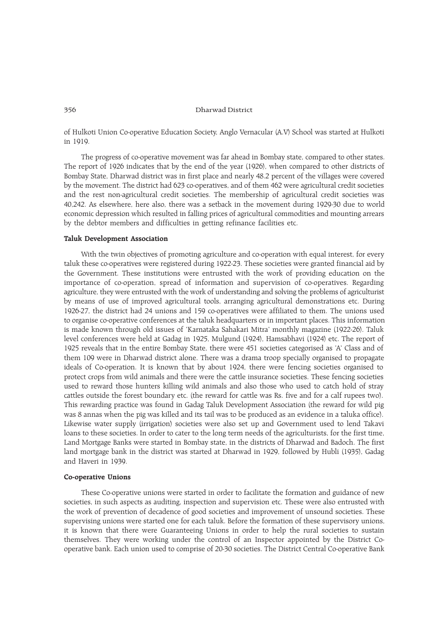of Hulkoti Union Co-operative Education Society, Anglo Vernacular (A.V) School was started at Hulkoti in 1919.

The progress of co-operative movement was far ahead in Bombay state, compared to other states. The report of 1926 indicates that by the end of the year (1926), when compared to other districts of Bombay State, Dharwad district was in first place and nearly 48.2 percent of the villages were covered by the movement. The district had 623 co-operatives, and of them 462 were agricultural credit societies and the rest non-agricultural credit societies. The membership of agricultural credit societies was 40,242. As elsewhere, here also, there was a setback in the movement during 1929-30 due to world economic depression which resulted in falling prices of agricultural commodities and mounting arrears by the debtor members and difficulties in getting refinance facilities etc.

## Taluk Development Association

With the twin objectives of promoting agriculture and co-operation with equal interest, for every taluk these co-operatives were registered during 1922-23. These societies were granted financial aid by the Government. These institutions were entrusted with the work of providing education on the importance of co-operation, spread of information and supervision of co-operatives. Regarding agriculture, they were entrusted with the work of understanding and solving the problems of agriculturist by means of use of improved agricultural tools, arranging agricultural demonstrations etc. During 1926-27, the district had 24 unions and 159 co-operatives were affiliated to them. The unions used to organise co-operative conferences at the taluk headquarters or in important places. This information is made known through old issues of 'Karnataka Sahakari Mitra' monthly magazine (1922-26). Taluk level conferences were held at Gadag in 1925, Mulgund (1924), Hamsabhavi (1924) etc. The report of 1925 reveals that in the entire Bombay State, there were 451 societies categorised as 'A' Class and of them 109 were in Dharwad district alone. There was a drama troop specially organised to propagate ideals of Co-operation. It is known that by about 1924, there were fencing societies organised to protect crops from wild animals and there were the cattle insurance societies. These fencing societies used to reward those hunters killing wild animals and also those who used to catch hold of stray cattles outside the forest boundary etc. (the reward for cattle was Rs. five and for a calf rupees two). This rewarding practice was found in Gadag Taluk Development Association (the reward for wild pig was 8 annas when the pig was killed and its tail was to be produced as an evidence in a taluka office). Likewise water supply (irrigation) societies were also set up and Government used to lend Takavi loans to these societies. In order to cater to the long term needs of the agriculturists, for the first time, Land Mortgage Banks were started in Bombay state, in the districts of Dharwad and Badoch. The first land mortgage bank in the district was started at Dharwad in 1929, followed by Hubli (1935), Gadag and Haveri in 1939.

## Co-operative Unions

These Co-operative unions were started in order to facilitate the formation and guidance of new societies, in such aspects as auditing, inspection and supervision etc. These were also entrusted with the work of prevention of decadence of good societies and improvement of unsound societies. These supervising unions were started one for each taluk. Before the formation of these supervisory unions, it is known that there were Guaranteeing Unions in order to help the rural societies to sustain themselves. They were working under the control of an Inspector appointed by the District Cooperative bank. Each union used to comprise of 20-30 societies. The District Central Co-operative Bank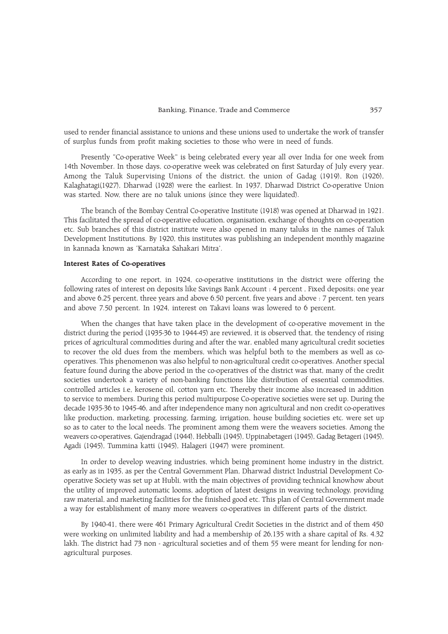used to render financial assistance to unions and these unions used to undertake the work of transfer of surplus funds from profit making societies to those who were in need of funds.

Presently "Co-operative Week" is being celebrated every year all over India for one week from 14th November. In those days, co-operative week was celebrated on first Saturday of July every year. Among the Taluk Supervising Unions of the district, the union of Gadag (1919), Ron (1926), Kalaghatagi(1927), Dharwad (1928) were the earliest. In 1937, Dharwad District Co-operative Union was started. Now, there are no taluk unions (since they were liquidated).

The branch of the Bombay Central Co-operative Institute (1918) was opened at Dharwad in 1921. This facilitated the spread of co-operative education, organisation, exchange of thoughts on co-operation etc. Sub branches of this district institute were also opened in many taluks in the names of Taluk Development Institutions. By 1920, this institutes was publishing an independent monthly magazine in kannada known as 'Karnataka Sahakari Mitra'.

# Interest Rates of Co-operatives

According to one report, in 1924, co-operative institutions in the district were offering the following rates of interest on deposits like Savings Bank Account : 4 percent , Fixed deposits; one year and above 6.25 percent, three years and above 6.50 percent, five years and above : 7 percent, ten years and above 7.50 percent. In 1924, interest on Takavi loans was lowered to 6 percent.

When the changes that have taken place in the development of co-operative movement in the district during the period (1935-36 to 1944-45) are reviewed, it is observed that, the tendency of rising prices of agricultural commodities during and after the war, enabled many agricultural credit societies to recover the old dues from the members, which was helpful both to the members as well as cooperatives. This phenomenon was also helpful to non-agricultural credit co-operatives. Another special feature found during the above period in the co-operatives of the district was that, many of the credit societies undertook a variety of non-banking functions like distribution of essential commodities, controlled articles i.e, kerosene oil, cotton yarn etc. Thereby their income also increased in addition to service to members. During this period multipurpose Co-operative societies were set up. During the decade 1935-36 to 1945-46, and after independence many non agricultural and non credit co-operatives like production, marketing, processing, farming, irrigation, house building societies etc. were set up so as to cater to the local needs. The prominent among them were the weavers societies. Among the weavers co-operatives, Gajendragad (1944), Hebballi (1945), Uppinabetageri (1945), Gadag Betageri (1945), Agadi (1945), Tummina katti (1945), Halageri (1947) were prominent.

In order to develop weaving industries, which being prominent home industry in the district, as early as in 1935, as per the Central Government Plan, Dharwad district Industrial Development Cooperative Society was set up at Hubli, with the main objectives of providing technical knowhow about the utility of improved automatic looms, adoption of latest designs in weaving technology, providing raw material, and marketing facilities for the finished good etc. This plan of Central Government made a way for establishment of many more weavers co-operatives in different parts of the district.

By 1940-41, there were 461 Primary Agricultural Credit Societies in the district and of them 450 were working on unlimited liability and had a membership of 26,135 with a share capital of Rs. 4.32 lakh. The district had 73 non - agricultural societies and of them 55 were meant for lending for nonagricultural purposes.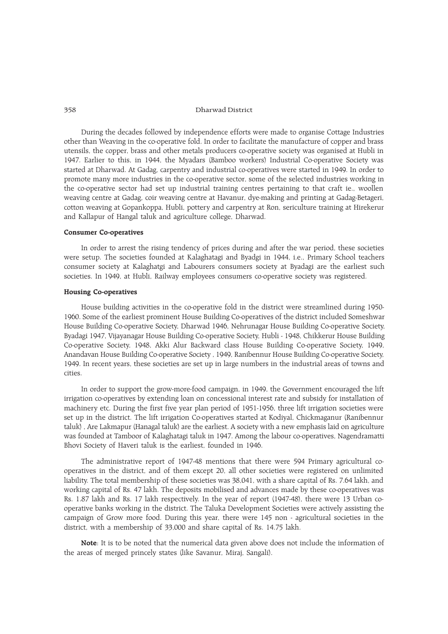During the decades followed by independence efforts were made to organise Cottage Industries other than Weaving in the co-operative fold. In order to facilitate the manufacture of copper and brass utensils, the copper, brass and other metals producers co-operative society was organised at Hubli in 1947. Earlier to this, in 1944, the Myadars (Bamboo workers) Industrial Co-operative Society was started at Dharwad. At Gadag, carpentry and industrial co-operatives were started in 1949. In order to promote many more industries in the co-operative sector, some of the selected industries working in the co-operative sector had set up industrial training centres pertaining to that craft ie., woollen weaving centre at Gadag, coir weaving centre at Havanur, dye-making and printing at Gadag-Betageri, cotton weaving at Gopankoppa, Hubli, pottery and carpentry at Ron, sericulture training at Hirekerur and Kallapur of Hangal taluk and agriculture college, Dharwad.

## Consumer Co-operatives

In order to arrest the rising tendency of prices during and after the war period, these societies were setup. The societies founded at Kalaghatagi and Byadgi in 1944, i.e., Primary School teachers consumer society at Kalaghatgi and Labourers consumers society at Byadagi are the earliest such societies. In 1949, at Hubli, Railway employees consumers co-operative society was registered.

# Housing Co-operatives

House building activities in the co-operative fold in the district were streamlined during 1950- 1960. Some of the earliest prominent House Building Co-operatives of the district included Someshwar House Building Co-operative Society, Dharwad 1946, Nehrunagar House Building Co-operative Society, Byadagi 1947, Vijayanagar House Building Co-operative Society, Hubli - 1948, Chikkerur House Building Co-operative Society, 1948, Akki Alur Backward class House Building Co-operative Society, 1949, Anandavan House Building Co-operative Society , 1949, Ranibennur House Building Co-operative Society, 1949. In recent years, these societies are set up in large numbers in the industrial areas of towns and cities.

In order to support the grow-more-food campaign, in 1949, the Government encouraged the lift irrigation co-operatives by extending loan on concessional interest rate and subsidy for installation of machinery etc. During the first five year plan period of 1951-1956, three lift irrigation societies were set up in the district. The lift irrigation Co-operatives started at Kodiyal, Chickmaganur (Ranibennur taluk) , Are Lakmapur (Hanagal taluk) are the earliest. A society with a new emphasis laid on agriculture was founded at Tamboor of Kalaghatagi taluk in 1947. Among the labour co-operatives, Nagendramatti Bhovi Society of Haveri taluk is the earliest, founded in 1946.

The administrative report of 1947-48 mentions that there were 594 Primary agricultural cooperatives in the district, and of them except 20, all other societies were registered on unlimited liability. The total membership of these societies was 38,041, with a share capital of Rs. 7.64 lakh, and working capital of Rs. 47 lakh. The deposits mobilised and advances made by these co-operatives was Rs. 1.87 lakh and Rs. 17 lakh respectively. In the year of report (1947-48), there were 13 Urban cooperative banks working in the district. The Taluka Development Societies were actively assisting the campaign of Grow more food. During this year, there were 145 non - agricultural societies in the district, with a membership of 33,000 and share capital of Rs. 14.75 lakh.

Note: It is to be noted that the numerical data given above does not include the information of the areas of merged princely states (like Savanur, Miraj, Sangali).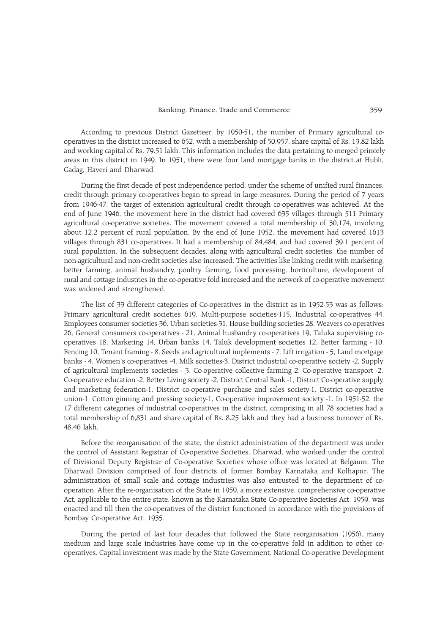According to previous District Gazetteer, by 1950-51, the number of Primary agricultural cooperatives in the district increased to 652, with a membership of 50,957, share capital of Rs. 13.82 lakh and working capital of Rs. 79.51 lakh. This information includes the data pertaining to merged princely areas in this district in 1949. In 1951, there were four land mortgage banks in the district at Hubli, Gadag, Haveri and Dharwad.

During the first decade of post independence period, under the scheme of unified rural finances, credit through primary co-operatives began to spread in large measures. During the period of 7 years from 1946-47, the target of extension agricultural credit through co-operatives was achieved. At the end of June 1946, the movement here in the district had covered 635 villages through 511 Primary agricultural co-operative societies. The movement covered a total membership of 30,174, involving about 12.2 percent of rural population. By the end of June 1952, the movement had covered 1613 villages through 831 co-operatives. It had a membership of 84,484, and had covered 39.1 percent of rural population. In the subsequent decades, along with agricultural credit societies, the number of non-agricultural and non-credit societies also increased. The activities like linking credit with marketing, better farming, animal husbandry, poultry farming, food processing, horticulture, development of rural and cottage industries in the co-operative fold increased and the network of co-operative movement was widened and strengthened.

The list of 33 different categories of Co-operatives in the district as in 1952-53 was as follows: Primary agricultural credit societies 619, Multi-purpose societies-115, Industrial co-operatives 44, Employees consumer societies-36, Urban societies-31, House building societies 28, Weavers co-operatives 26, General consumers co-operatives - 21, Animal husbandry co-operatives 19, Taluka supervising cooperatives 18, Marketing 14, Urban banks 14, Taluk development societies 12, Better farming - 10, Fencing 10, Tenant framing - 8, Seeds and agricultural implements - 7, Lift irrigation - 5, Land mortgage banks - 4, Women's co-operatives -4, Milk societies-3, District industrial co-operative society -2, Supply of agricultural implements societies - 3, Co-operative collective farming 2, Co-operative transport -2, Co-operative education -2, Better Living society -2, District Central Bank -1, District Co-operative supply and marketing federation-1, District co-operative purchase and sales society-1, District co-operative union-1, Cotton ginning and pressing society-1, Co-operative improvement society -1. In 1951-52, the 17 different categories of industrial co-operatives in the district, comprising in all 78 societies had a total membership of 6,831 and share capital of Rs. 8.25 lakh and they had a business turnover of Rs. 48.46 lakh.

Before the reorganisation of the state, the district administration of the department was under the control of Assistant Registrar of Co-operative Societies, Dharwad, who worked under the control of Divisional Deputy Registrar of Co-operative Societies whose office was located at Belgaum. The Dharwad Division comprised of four districts of former Bombay Karnataka and Kolhapur. The administration of small scale and cottage industries was also entrusted to the department of cooperation. After the re-organisation of the State in 1959, a more extensive, comprehensive co-operative Act, applicable to the entire state, known as the Karnataka State Co-operative Societies Act, 1959, was enacted and till then the co-operatives of the district functioned in accordance with the provisions of Bombay Co-operative Act, 1935.

During the period of last four decades that followed the State reorganisation (1956), many medium and large scale industries have come up in the co-operative fold in addition to other cooperatives. Capital investment was made by the State Government, National Co-operative Development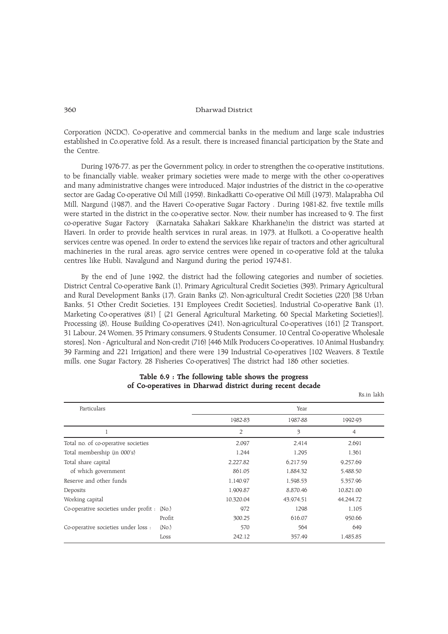Corporation (NCDC), Co-operative and commercial banks in the medium and large scale industries established in Co.operative fold. As a result, there is increased financial participation by the State and the Centre.

During 1976-77, as per the Government policy, in order to strengthen the co-operative institutions, to be financially viable, weaker primary societies were made to merge with the other co-operatives and many administrative changes were introduced. Major industries of the district in the co-operative sector are Gadag Co-operative Oil Mill (1959), Binkadkatti Co-operative Oil Mill (1973), Malaprabha Oil Mill, Nargund (1987), and the Haveri Co-operative Sugar Factory . During 1981-82, five textile mills were started in the district in the co-operative sector. Now, their number has increased to 9. The first co-operative Sugar Factory (Karnataka Sahakari Sakkare Kharkhane)in the district was started at Haveri. In order to provide health services in rural areas, in 1973, at Hulkoti, a Co-operative health services centre was opened. In order to extend the services like repair of tractors and other agricultural machineries in the rural areas, agro service centres were opened in co-operative fold at the taluka centres like Hubli, Navalgund and Nargund during the period 1974-81.

By the end of June 1992, the district had the following categories and number of societies. District Central Co-operative Bank (1), Primary Agricultural Credit Societies (393), Primary Agricultural and Rural Development Banks (17), Grain Banks (2), Non-agricultural Credit Societies (220) [38 Urban Banks, 51 Other Credit Societies, 131 Employees Credit Societies], Industrial Co-operative Bank (1), Marketing Co-operatives (81) [ (21 General Agricultural Marketing, 60 Special Marketing Societies)], Processing (8), House Building Co-operatives (241), Non-agricultural Co-operatives (161) [2 Transport, 31 Labour, 24 Women, 35 Primary consumers, 9 Students Consumer, 10 Central Co-operative Wholesale stores], Non - Agricultural and Non-credit (716) [446 Milk Producers Co-operatives, 10 Animal Husbandry, 39 Farming and 221 Irrigation] and there were 139 Industrial Co-operatives [102 Weavers, 8 Textile mills, one Sugar Factory, 28 Fisheries Co-operatives] The district had 186 other societies.

| Particulars                                 |                   |                | Year      |           |  |
|---------------------------------------------|-------------------|----------------|-----------|-----------|--|
|                                             |                   | 1982-83        | 1987-88   | 1992-93   |  |
|                                             |                   | $\overline{2}$ | 3         | 4         |  |
| Total no. of co-operative societies         |                   | 2,097          | 2,414     | 2,691     |  |
| Total membership (in 000's)                 |                   | 1.244          | 1,295     | 1,361     |  |
| Total share capital                         |                   | 2,227.82       | 6,217.59  | 9,257.69  |  |
| of which government                         |                   | 861.05         | 1,884.32  | 5,488.50  |  |
| Reserve and other funds                     |                   | 1,140.97       | 1,598.53  | 5,357.96  |  |
| Deposits                                    |                   | 1,909.87       | 8.870.46  | 10,821.00 |  |
| Working capital                             |                   | 10,320.04      | 43,974.51 | 44.244.72 |  |
| Co-operative societies under profit : (No.) |                   | 972            | 1298      | 1,105     |  |
|                                             | Profit            | 300.25         | 616.07    | 950.66    |  |
| Co-operative societies under loss :         | (N <sub>O</sub> ) | 570            | 564       | 649       |  |
|                                             | Loss              | 242.12         | 357.49    | 1,485.85  |  |

# Table 6.9 : The following table shows the progress of Co-operatives in Dharwad district during recent decade

Rs.in lakh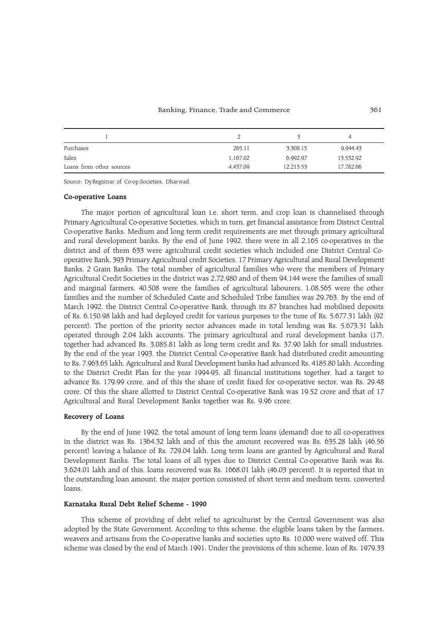#### Banking, Finance, Trade and Commerce 361

| Purchases                | 265.11   | 3,308.15  | 9,944.43  |
|--------------------------|----------|-----------|-----------|
| Sales                    | 1.167.02 | 6,992.97  | 13,532.92 |
| Loans from other sources | 4.437.09 | 12,213.53 | 17,782.66 |

Source: Dy.Registrar of Co-op.Societies, Dharwad.

#### Co-operative Loans

The major portion of agricultural loan i.e. short term, and crop loan is channelised through Primary Agricultural Co-operative Societies, which in turn, get financial assistance from District Central Co-operative Banks. Medium and long term credit requirements are met through primary agricultural and rural development banks. By the end of June 1992, there were in all 2,165 co-operatives in the district and of them 633 were agricultural credit societies which included one District Central Cooperative Bank, 393 Primary Agricultural credit Societies, 17 Primary Agricultural and Rural Development Banks, 2 Grain Banks. The total number of agricultural families who were the members of Primary Agricultural Credit Societies in the district was 2,72,980 and of them 94,144 were the families of small and marginal farmers, 40,508 were the families of agricultural labourers, 1,08,565 were the other families and the number of Scheduled Caste and Scheduled Tribe families was 29,763. By the end of March 1992, the District Central Co-operative Bank, through its 87 branches had mobilised deposits of Rs. 6,150.98 lakh and had deployed credit for various purposes to the tune of Rs. 5,677.31 lakh (92 percent). The portion of the priority sector advances made in total lending was Rs. 5,673.31 lakh operated through 2.04 lakh accounts. The primary agricultural and rural development banks (17), together had advanced Rs. 3,085.81 lakh as long term credit and Rs. 37.90 lakh for small industries. By the end of the year 1993, the District Central Co-operative Bank had distributed credit amounting to Rs. 7,963.65 lakh, Agricultural and Rural Development banks had advanced Rs. 4185.80 lakh. According to the District Credit Plan for the year 1994-95, all financial institutions together, had a target to advance Rs. 179.99 crore, and of this the share of credit fixed for co-operative sector, was Rs. 29.48 crore. Of this the share allotted to District Central Co-operative Bank was 19.52 crore and that of 17 Agricultural and Rural Development Banks together was Rs. 9.96 crore.

# Recovery of Loans

By the end of June 1992, the total amount of long term loans (demand) due to all co-operatives in the district was Rs. 1364.32 lakh and of this the amount recovered was Rs. 635.28 lakh (46.56 percent) leaving a balance of Rs. 729.04 lakh. Long term loans are granted by Agricultural and Rural Development Banks. The total loans of all types due to District Central Co-operative Bank was Rs. 3,624.01 lakh and of this, loans recovered was Rs. 1668.01 lakh (46.03 percent). It is reported that in the outstanding loan amount, the major portion consisted of short term and medium term, converted loans.

# Karnataka Rural Debt Relief Scheme - 1990

This scheme of providing of debt relief to agriculturist by the Central Government was also adopted by the State Government. According to this scheme, the eligible loans taken by the farmers, weavers and artisans from the Co-operative banks and societies upto Rs. 10,000 were waived off. This scheme was closed by the end of March 1991. Under the provisions of this scheme, loan of Rs. 1979.33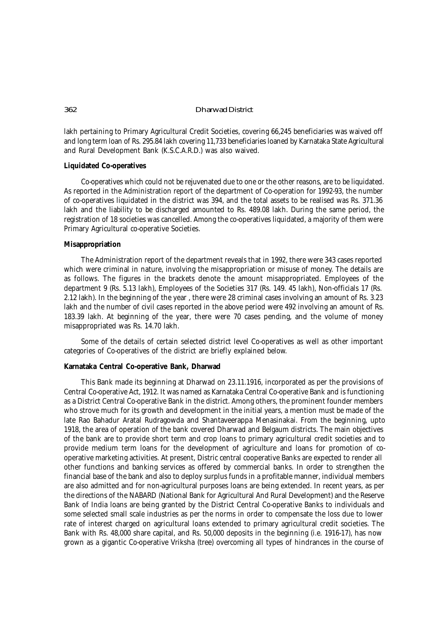lakh pertaining to Primary Agricultural Credit Societies, covering 66,245 beneficiaries was waived off and long term loan of Rs. 295.84 lakh covering 11,733 beneficiaries loaned by Karnataka State Agricultural and Rural Development Bank (K.S.C.A.R.D.) was also waived.

# **Liquidated Co-operatives**

Co-operatives which could not be rejuvenated due to one or the other reasons, are to be liquidated. As reported in the Administration report of the department of Co-operation for 1992-93, the number of co-operatives liquidated in the district was 394, and the total assets to be realised was Rs. 371.36 lakh and the liability to be discharged amounted to Rs. 489.08 lakh. During the same period, the registration of 18 societies was cancelled. Among the co-operatives liquidated, a majority of them were Primary Agricultural co-operative Societies.

# **Misappropriation**

The Administration report of the department reveals that in 1992, there were 343 cases reported which were criminal in nature, involving the misappropriation or misuse of money. The details are as follows. The figures in the brackets denote the amount misappropriated. Employees of the department 9 (Rs. 5.13 lakh), Employees of the Societies 317 (Rs. 149. 45 lakh), Non-officials 17 (Rs. 2.12 lakh). In the beginning of the year , there were 28 criminal cases involving an amount of Rs. 3.23 lakh and the number of civil cases reported in the above period were 492 involving an amount of Rs. 183.39 lakh. At beginning of the year, there were 70 cases pending, and the volume of money misappropriated was Rs. 14.70 lakh.

Some of the details of certain selected district level Co-operatives as well as other important categories of Co-operatives of the district are briefly explained below.

# **Karnataka Central Co-operative Bank, Dharwad**

This Bank made its beginning at Dharwad on 23.11.1916, incorporated as per the provisions of Central Co-operative Act, 1912. It was named as Karnataka Central Co-operative Bank and is functioning as a District Central Co-operative Bank in the district. Among others, the prominent founder members who strove much for its growth and development in the initial years, a mention must be made of the late Rao Bahadur Aratal Rudragowda and Shantaveerappa Menasinakai. From the beginning, upto 1918, the area of operation of the bank covered Dharwad and Belgaum districts. The main objectives of the bank are to provide short term and crop loans to primary agricultural credit societies and to provide medium term loans for the development of agriculture and loans for promotion of cooperative marketing activities. At present, Distric central cooperative Banks are expected to render all other functions and banking services as offered by commercial banks. In order to strengthen the financial base of the bank and also to deploy surplus funds in a profitable manner, individual members are also admitted and for non-agricultural purposes loans are being extended. In recent years, as per the directions of the NABARD (National Bank for Agricultural And Rural Development) and the Reserve Bank of India loans are being granted by the District Central Co-operative Banks to individuals and some selected small scale industries as per the norms in order to compensate the loss due to lower rate of interest charged on agricultural loans extended to primary agricultural credit societies. The Bank with Rs. 48,000 share capital, and Rs. 50,000 deposits in the beginning (i.e. 1916-17), has now grown as a gigantic Co-operative *Vriksha* (tree) overcoming all types of hindrances in the course of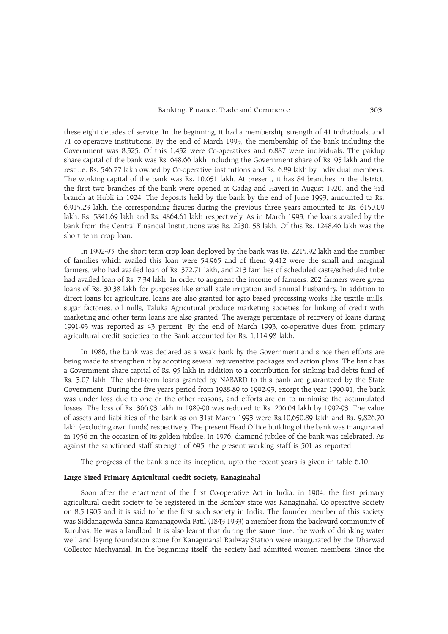these eight decades of service. In the beginning, it had a membership strength of 41 individuals, and 71 co-operative institutions. By the end of March 1993, the membership of the bank including the Government was 8,325, Of this 1,432 were Co-operatives and 6,887 were individuals. The paidup share capital of the bank was Rs. 648.66 lakh including the Government share of Rs. 95 lakh and the rest i.e, Rs. 546.77 lakh owned by Co-operative institutions and Rs. 6.89 lakh by individual members. The working capital of the bank was Rs. 10,651 lakh. At present, it has 84 branches in the district, the first two branches of the bank were opened at Gadag and Haveri in August 1920, and the 3rd branch at Hubli in 1924. The deposits held by the bank by the end of June 1993, amounted to Rs. 6,915.23 lakh, the corresponding figures during the previous three years amounted to Rs. 6150.09 lakh, Rs. 5841.69 lakh and Rs. 4864.61 lakh respectively. As in March 1993, the loans availed by the bank from the Central Financial Institutions was Rs. 2230. 58 lakh. Of this Rs. 1248.46 lakh was the short term crop loan.

In 1992-93, the short term crop loan deployed by the bank was Rs. 2215.92 lakh and the number of families which availed this loan were 54,965 and of them 9,412 were the small and marginal farmers, who had availed loan of Rs. 372.71 lakh, and 213 families of scheduled caste/scheduled tribe had availed loan of Rs. 7.34 lakh. In order to augment the income of farmers, 202 farmers were given loans of Rs. 30.38 lakh for purposes like small scale irrigation and animal husbandry. In addition to direct loans for agriculture, loans are also granted for agro based processing works like textile mills, sugar factories, oil mills, Taluka Agricutural produce marketing societies for linking of credit with marketing and other term loans are also granted. The average percentage of recovery of loans during 1991-93 was reported as 43 percent. By the end of March 1993, co-operative dues from primary agricultural credit societies to the Bank accounted for Rs. 1,114.98 lakh.

In 1986, the bank was declared as a weak bank by the Government and since then efforts are being made to strengthen it by adopting several rejuvenative packages and action plans. The bank has a Government share capital of Rs. 95 lakh in addition to a contribution for sinking bad debts fund of Rs. 3.07 lakh. The short-term loans granted by NABARD to this bank are guaranteed by the State Government. During the five years period from 1988-89 to 1992-93, except the year 1990-91, the bank was under loss due to one or the other reasons, and efforts are on to minimise the accumulated losses. The loss of Rs. 366.93 lakh in 1989-90 was reduced to Rs. 206.04 lakh by 1992-93. The value of assets and liabilities of the bank as on 31st March 1993 were Rs.10,650.89 lakh and Rs. 9,826.70 lakh (excluding own funds) respectively. The present Head Office building of the bank was inaugurated in 1956 on the occasion of its golden jubilee. In 1976, diamond jubilee of the bank was celebrated. As against the sanctioned staff strength of 695, the present working staff is 501 as reported.

The progress of the bank since its inception, upto the recent years is given in table 6.10.

#### Large Sized Primary Agricultural credit society, Kanaginahal

Soon after the enactment of the first Co-operative Act in India, in 1904, the first primary agricultural credit society to be registered in the Bombay state was Kanaginahal Co-operative Society on 8.5.1905 and it is said to be the first such society in India. The founder member of this society was Siddanagowda Sanna Ramanagowda Patil (1843-1933) a member from the backward community of Kurubas. He was a landlord. It is also learnt that during the same time, the work of drinking water well and laying foundation stone for Kanaginahal Railway Station were inaugurated by the Dharwad Collector Mechyanial. In the beginning itself, the society had admitted women members. Since the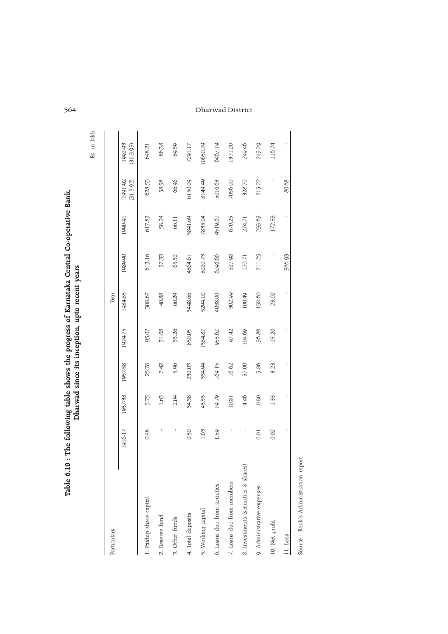|                                                                                             |                                            | i<br>S |
|---------------------------------------------------------------------------------------------|--------------------------------------------|--------|
| following table shows the progress of Karnataka Central Co-operative Banl<br>ŗ<br>Table 6.1 | vad since its inception, upto recent years |        |

Rs. in lakh

| Particulars                          |         |         |         |         | Year    |         |         |                      |                      |
|--------------------------------------|---------|---------|---------|---------|---------|---------|---------|----------------------|----------------------|
| I                                    | 1916-17 | 1937-38 | 1957-58 | 1974-75 | 1984-85 | 1989-90 | 1990-91 | 1991-92<br>(31.3.92) | 1992-93<br>(31.3.93) |
| 1. Paidup share capital              | 0.48    | 5.75    | 25.78   | 95.07   | 308.67  | 613.16  | 617.83  | 628.53               | 648.21               |
| 2. Reserve fund                      |         | 1.63    | 7.42    | 31.08   | 40.88   | 57.33   | 58.24   | 58.58                | 86.38                |
| 3. Other funds                       |         | 2.04    | 5.96    | 33.26   | 60.29   | 65.32   | 66.11   | 66.96                | 89.59                |
| 4. Total deposits                    | 0.50    | 34.38   | 230.03  | 850.05  | 3448.66 | 4864.61 | 5841.69 | 6150.09              | 7291.17              |
| 5. Working capital                   | 1.63    | 43.53   | 334.94  | 1384.87 | 5294.02 | 8020.73 | 7835.04 | 8149.49              | 10650.79             |
| 6. Loans due from societies          | 1.59    | 19.79   | 169.15  | 953.62  | 4038.00 | 6096.66 | 4519.61 | 5016.63              | 6467.19              |
| 7. Loans due from members            |         | 10.81   | 16.62   | 97.42   | 302.99  | 527.98  | 670.25  | 7056.00              | 1371.20              |
| 8. Investments (securities & shares) |         | 4.46    | 57.00   | 104.69  | 100.49  | 170.71  | 274.71  | 328.70               | 249.46               |
| 9. Administrative expenses           | 0.01    | 0.80    | 5.86    | 36.86   | 158.60  | 211.25  | 233.63  | 215.22               | 243.29               |
| 10. Net profit                       | 0.02    | 1.33    | 3.23    | 15.20   | 23.02   |         | 172.58  |                      | 116.74               |
| 11. Loss                             |         |         |         |         |         | 366.93  |         | 80.68                |                      |
| Course Dank's Administration ronor   |         |         |         |         |         |         |         |                      |                      |

364 Dharwad District

Source : Bank's Administration report. Source : Banks Administration report.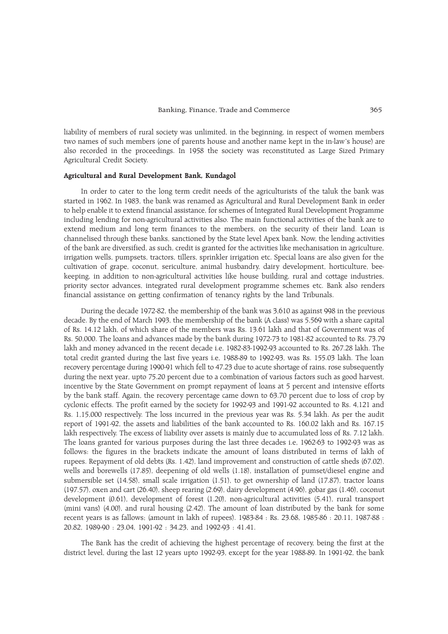liability of members of rural society was unlimited, in the beginning, in respect of women members two names of such members (one of parents house and another name kept in the in-law's house) are also recorded in the proceedings. In 1958 the society was reconstituted as Large Sized Primary Agricultural Credit Society.

# Agricultural and Rural Development Bank, Kundagol

In order to cater to the long term credit needs of the agriculturists of the taluk the bank was started in 1962. In 1983, the bank was renamed as Agricultural and Rural Development Bank in order to help enable it to extend financial assistance, for schemes of Integrated Rural Development Programme including lending for non-agricultural activities also. The main functional activities of the bank are to extend medium and long term finances to the members, on the security of their land. Loan is channelised through these banks, sanctioned by the State level Apex bank. Now, the lending activities of the bank are diversified, as such, credit is granted for the activities like mechanisation in agriculture, irrigation wells, pumpsets, tractors, tillers, sprinkler irrigation etc. Special loans are also given for the cultivation of grape, coconut, sericulture, animal husbandry, dairy development, horticulture, beekeeping, in addition to non-agricultural activities like house building, rural and cottage industries, priority sector advances, integrated rural development programme schemes etc. Bank also renders financial assistance on getting confirmation of tenancy rights by the land Tribunals.

During the decade 1972-82, the membership of the bank was 3,610 as against 998 in the previous decade. By the end of March 1993, the membership of the bank (A class) was 5,569 with a share capital of Rs. 14.12 lakh, of which share of the members was Rs. 13.61 lakh and that of Government was of Rs. 50,000. The loans and advances made by the bank during 1972-73 to 1981-82 accounted to Rs. 73.79 lakh and money advanced in the recent decade i.e, 1982-83-1992-93 accounted to Rs. 267.28 lakh. The total credit granted during the last five years i.e, 1988-89 to 1992-93, was Rs. 155.03 lakh. The loan recovery percentage during 1990-91 which fell to 47.23 due to acute shortage of rains, rose subsequently during the next year, upto 75.20 percent due to a combination of various factors such as good harvest, incentive by the State Government on prompt repayment of loans at 5 percent and intensive efforts by the bank staff. Again, the recovery percentage came down to 63.70 percent due to loss of crop by cyclonic effects. The profit earned by the society for 1992-93 and 1991-92 accounted to Rs. 4,121 and Rs. 1,15,000 respectively. The loss incurred in the previous year was Rs. 5.34 lakh. As per the audit report of 1991-92, the assets and liabilities of the bank accounted to Rs. 160.02 lakh and Rs. 167.15 lakh respectively. The excess of liability over assets is mainly due to accumulated loss of Rs. 7.12 lakh. The loans granted for various purposes during the last three decades i.e, 1962-63 to 1992-93 was as follows: the figures in the brackets indicate the amount of loans distributed in terms of lakh of rupees. Repayment of old debts (Rs. 1.42), land improvement and construction of cattle sheds (67.02), wells and borewells (17.85), deepening of old wells (1.18), installation of pumset/diesel engine and submersible set (14.58), small scale irrigation (1.51), to get ownership of land (17.87), tractor loans (197.57), oxen and cart (26.40), sheep rearing (2.69), dairy development (4.96), gobar gas (1.46), coconut development (0.61), development of forest (1.20), non-agricultural activities (5.41), rural transport (mini vans) (4.00), and rural housing (2.42). The amount of loan distributed by the bank for some recent years is as fallows; (amount in lakh of rupees). 1983-84 : Rs. 23.68, 1985-86 : 20.11, 1987-88 : 20.82, 1989-90 : 23.04, 1991-92 : 34.23, and 1992-93 : 41.41.

The Bank has the credit of achieving the highest percentage of recovery, being the first at the district level, during the last 12 years upto 1992-93, except for the year 1988-89. In 1991-92, the bank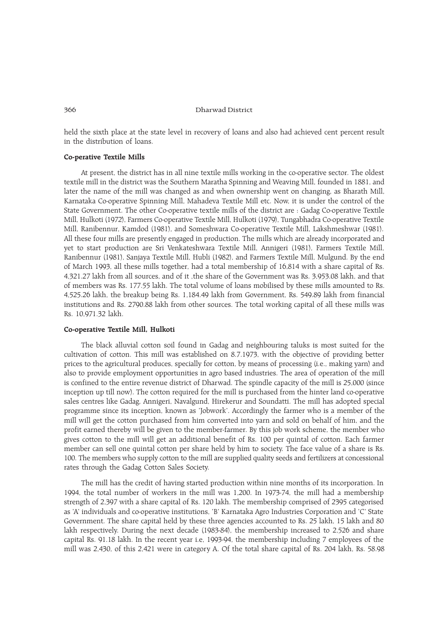held the sixth place at the state level in recovery of loans and also had achieved cent percent result in the distribution of loans.

# Co-perative Textile Mills

At present, the district has in all nine textile mills working in the co-operative sector. The oldest textile mill in the district was the Southern Maratha Spinning and Weaving Mill, founded in 1881, and later the name of the mill was changed as and when ownership went on changing, as Bharath Mill, Karnataka Co-operative Spinning Mill, Mahadeva Textile Mill etc. Now, it is under the control of the State Government. The other Co-operative textile mills of the district are : Gadag Co-operative Textile Mill, Hulkoti (1972), Farmers Co-operative Textile Mill, Hulkoti (1979), Tungabhadra Co-operative Textile Mill, Ranibennur, Kamdod (1981), and Someshwara Co-operative Textile Mill, Lakshmeshwar (1981). All these four mills are presently engaged in production. The mills which are already incorporated and yet to start production are Sri Venkateshwara Textile Mill, Annigeri (1981), Farmers Textile Mill, Ranibennur (1981), Sanjaya Textile Mill, Hubli (1982), and Farmers Textile Mill, Mulgund. By the end of March 1993, all these mills together, had a total membership of 16,814 with a share capital of Rs. 4,321.27 lakh from all sources, and of it ,the share of the Government was Rs. 3,953.08 lakh, and that of members was Rs. 177.55 lakh. The total volume of loans mobilised by these mills amounted to Rs. 4,525.26 lakh, the breakup being Rs. 1,184.49 lakh from Government, Rs. 549.89 lakh from financial institutions and Rs. 2790.88 lakh from other sources. The total working capital of all these mills was Rs. 10,971.32 lakh.

### Co-operative Textile Mill, Hulkoti

The black alluvial cotton soil found in Gadag and neighbouring taluks is most suited for the cultivation of cotton. This mill was established on 8.7.1973, with the objective of providing better prices to the agricultural produces, specially for cotton, by means of processing (i.e., making yarn) and also to provide employment opportunities in agro based industries. The area of operation of the mill is confined to the entire revenue district of Dharwad. The spindle capacity of the mill is 25,000 (since inception up till now). The cotton required for the mill is purchased from the hinter land co-operative sales centres like Gadag, Annigeri, Navalgund, Hirekerur and Soundatti. The mill has adopted special programme since its inception, known as 'Jobwork'. Accordingly the farmer who is a member of the mill will get the cotton purchased from him converted into yarn and sold on behalf of him, and the profit earned thereby will be given to the member-farmer. By this job work scheme, the member who gives cotton to the mill will get an additional benefit of Rs. 100 per quintal of cotton. Each farmer member can sell one quintal cotton per share held by him to society. The face value of a share is Rs. 100. The members who supply cotton to the mill are supplied quality seeds and fertilizers at concessional rates through the Gadag Cotton Sales Society.

The mill has the credit of having started production within nine months of its incorporation. In 1994, the total number of workers in the mill was 1,200. In 1973-74, the mill had a membership strength of 2,397 with a share capital of Rs. 120 lakh. The membership comprised of 2395 categorised as 'A' individuals and co-operative institutions, 'B' Karnataka Agro Industries Corporation and 'C' State Government. The share capital held by these three agencies accounted to Rs. 25 lakh, 15 lakh and 80 lakh respectively. During the next decade (1983-84), the membership increased to 2,526 and share capital Rs. 91.18 lakh. In the recent year i.e, 1993-94, the membership including 7 employees of the mill was 2,430, of this 2,421 were in category A. Of the total share capital of Rs. 204 lakh, Rs. 58.98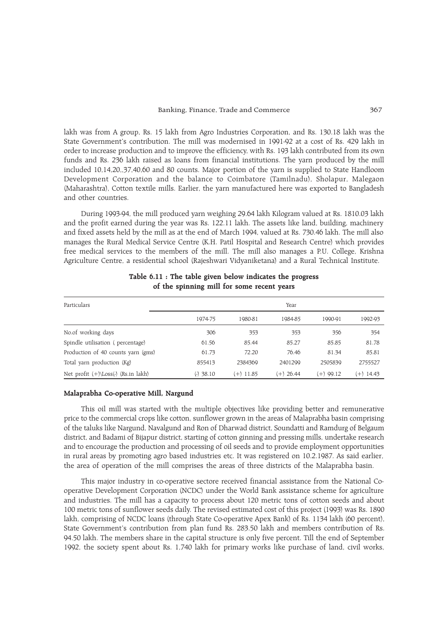lakh was from A group, Rs. 15 lakh from Agro Industries Corporation, and Rs. 130.18 lakh was the State Government's contribution. The mill was modernised in 1991-92 at a cost of Rs. 429 lakh in order to increase production and to improve the efficiency, with Rs. 193 lakh contributed from its own funds and Rs. 236 lakh raised as loans from financial institutions. The yarn produced by the mill included 10,14,20,,37,40,60 and 80 counts. Major portion of the yarn is supplied to State Handloom Development Corporation and the balance to Coimbatore (Tamilnadu), Sholapur, Malegaon (Maharashtra), Cotton textile mills. Earlier, the yarn manufactured here was exported to Bangladesh and other countries.

During 1993-94, the mill produced yarn weighing 29.64 lakh Kilogram valued at Rs. 1810.03 lakh and the profit earned during the year was Rs. 122.11 lakh. The assets like land, building, machinery and fixed assets held by the mill as at the end of March 1994, valued at Rs. 730.46 lakh. The mill also manages the Rural Medical Service Centre (K.H. Patil Hospital and Research Centre) which provides free medical services to the members of the mill. The mill also manages a P.U. College, Krishna Agriculture Centre, a residential school (Rajeshwari Vidyaniketana) and a Rural Technical Institute.

| Particulars                                   |             |           | Year        |             |           |
|-----------------------------------------------|-------------|-----------|-------------|-------------|-----------|
|                                               | 1974-75     | 1980-81   | 1984-85     | 1990-91     | 1992-93   |
| No.of working days                            | 306         | 353       | 353         | 356         | 354       |
| Spindle utilisation (percentage)              | 61.56       | 85.44     | 85.27       | 85.85       | 81.78     |
| Production of 40 counts yarn (gms)            | 61.73       | 72.20     | 76.46       | 81.34       | 85.81     |
| Total yarn production (Kg)                    | 855413      | 2384369   | 2401299     | 2505839     | 2755527   |
| Net profit $(+)\$ Loss $(\cdot)$ (Rs.in lakh) | $(-)$ 38.10 | (+) 11.85 | $(+)$ 26.44 | $(+)$ 99.12 | (+) 14.43 |

# Table 6.11 : The table given below indicates the progress of the spinning mill for some recent years

#### Malaprabha Co-operative Mill, Nargund

This oil mill was started with the multiple objectives like providing better and remunerative price to the commercial crops like cotton, sunflower grown in the areas of Malaprabha basin comprising of the taluks like Nargund, Navalgund and Ron of Dharwad district, Soundatti and Ramdurg of Belgaum district, and Badami of Bijapur district, starting of cotton ginning and pressing mills, undertake research and to encourage the production and processing of oil seeds and to provide employment opportunities in rural areas by promoting agro based industries etc. It was registered on 10.2.1987. As said earlier, the area of operation of the mill comprises the areas of three districts of the Malaprabha basin.

This major industry in co-operative sectore received financial assistance from the National Cooperative Development Corporation (NCDC) under the World Bank assistance scheme for agriculture and industries. The mill has a capacity to process about 120 metric tons of cotton seeds and about 100 metric tons of sunflower seeds daily. The revised estimated cost of this project (1993) was Rs. 1890 lakh, comprising of NCDC loans (through State Co-operative Apex Bank) of Rs. 1134 lakh (60 percent), State Government's contribution from plan fund Rs. 283.50 lakh and members contribution of Rs. 94.50 lakh. The members share in the capital structure is only five percent. Till the end of September 1992, the society spent about Rs. 1,740 lakh for primary works like purchase of land, civil works,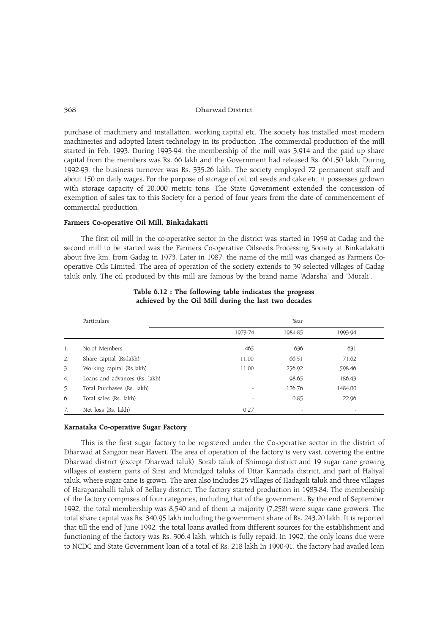purchase of machinery and installation, working capital etc. The society has installed most modern machineries and adopted latest technology in its production .The commercial production of the mill started in Feb. 1993. During 1993-94, the membership of the mill was 3,914 and the paid up share capital from the members was Rs. 66 lakh and the Government had released Rs. 661.50 lakh. During 1992-93, the business turnover was Rs. 335.26 lakh. The society employed 72 permanent staff and about 150 on daily wages. For the purpose of storage of oil, oil seeds and cake etc. it possesses godown with storage capacity of 20,000 metric tons. The State Government extended the concession of exemption of sales tax to this Society for a period of four years from the date of commencement of commercial production.

# Farmers Co-operative Oil Mill, Binkadakatti

The first oil mill in the co-operative sector in the district was started in 1959 at Gadag and the second mill to be started was the Farmers Co-operative Oilseeds Processing Society at Binkadakatti about five km. from Gadag in 1973. Later in 1987, the name of the mill was changed as Farmers Cooperative Oils Limited. The area of operation of the society extends to 39 selected villages of Gadag taluk only. The oil produced by this mill are famous by the brand name 'Adarsha' and 'Murali'.

|    | Particulars                   |                | Year                     |         |  |
|----|-------------------------------|----------------|--------------------------|---------|--|
|    |                               | 1973-74        | 1984-85                  | 1993-94 |  |
| 1. | No.of Members                 | 465            | 636                      | 631     |  |
| 2. | Share capital (Rs.lakh)       | 11.00          | 66.51                    | 71.62   |  |
| 3. | Working capital (Rs.lakh)     | 11.00          | 256.92                   | 598.46  |  |
| 4. | Loans and advances (Rs. lakh) | $\overline{a}$ | 98.65                    | 186.43  |  |
| 5. | Total Purchases (Rs. lakh)    | ٠              | 126.76                   | 1484.00 |  |
| 6. | Total sales (Rs. lakh)        | ٠              | 0.85                     | 22.96   |  |
| 7. | Net loss (Rs. lakh)           | 0.27           | $\overline{\phantom{a}}$ |         |  |

Table 6.12 : The following table indicates the progress achieved by the Oil Mill during the last two decades

# Karnataka Co-operative Sugar Factory

This is the first sugar factory to be registered under the Co-operative sector in the district of Dharwad at Sangoor near Haveri. The area of operation of the factory is very vast, covering the entire Dharwad district (except Dharwad taluk), Sorab taluk of Shimoga district and 19 sugar cane growing villages of eastern parts of Sirsi and Mundgod taluks of Uttar Kannada district, and part of Haliyal taluk, where sugar cane is grown. The area also includes 25 villages of Hadagali taluk and three villages of Harapanahalli taluk of Bellary district. The factory started production in 1983-84. The membership of the factory comprises of four categories, including that of the government. By the end of September 1992, the total membership was 8,540 and of them ,a majority (7,258) were sugar cane growers. The total share capital was Rs. 340.95 lakh including the government share of Rs. 243.20 lakh. It is reported that till the end of June 1992, the total loans availed from different sources for the establishment and functioning of the factory was Rs. 306.4 lakh, which is fully repaid. In 1992, the only loans due were to NCDC and State Government loan of a total of Rs. 218 lakh.In 1990-91, the factory had availed loan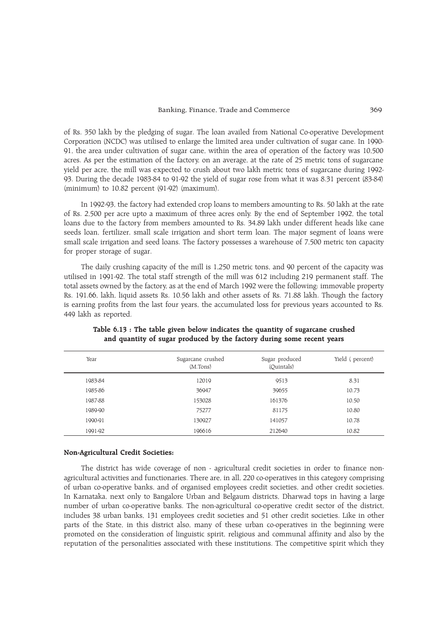of Rs. 350 lakh by the pledging of sugar. The loan availed from National Co-operative Development Corporation (NCDC) was utilised to enlarge the limited area under cultivation of sugar cane. In 1990- 91, the area under cultivation of sugar cane, within the area of operation of the factory was 10,500 acres. As per the estimation of the factory, on an average, at the rate of 25 metric tons of sugarcane yield per acre, the mill was expected to crush about two lakh metric tons of sugarcane during 1992- 93. During the decade 1983-84 to 91-92 the yield of sugar rose from what it was 8.31 percent (83-84) (minimum) to 10.82 percent (91-92) (maximum).

In 1992-93, the factory had extended crop loans to members amounting to Rs. 50 lakh at the rate of Rs. 2,500 per acre upto a maximum of three acres only. By the end of September 1992, the total loans due to the factory from members amounted to Rs. 34.89 lakh under different heads like cane seeds loan, fertilizer, small scale irrigation and short term loan. The major segment of loans were small scale irrigation and seed loans. The factory possesses a warehouse of 7,500 metric ton capacity for proper storage of sugar.

The daily crushing capacity of the mill is 1,250 metric tons, and 90 percent of the capacity was utilised in 1991-92. The total staff strength of the mill was 612 including 219 permanent staff. The total assets owned by the factory, as at the end of March 1992 were the following: immovable property Rs. 191.66, lakh, liquid assets Rs. 10.56 lakh and other assets of Rs. 71.88 lakh. Though the factory is earning profits from the last four years, the accumulated loss for previous years accounted to Rs. 449 lakh as reported.

| Year    | Sugarcane crushed<br>(M.Tons) | Sugar produced<br>(Ouintals) | Yield (percent) |
|---------|-------------------------------|------------------------------|-----------------|
| 1983-84 | 12019                         | 9513                         | 8.31            |
| 1985-86 | 36947                         | 39655                        | 10.73           |
| 1987-88 | 153028                        | 161376                       | 10.50           |
| 1989-90 | 75277                         | 81175                        | 10.80           |
| 1990-91 | 130927                        | 141057                       | 10.78           |
| 1991-92 | 196616                        | 212640                       | 10.82           |

Table 6.13 : The table given below indicates the quantity of sugarcane crushed and quantity of sugar produced by the factory during some recent years

#### Non-Agricultural Credit Societies:

The district has wide coverage of non - agricultural credit societies in order to finance nonagricultural activities and functionaries. There are, in all, 220 co-operatives in this category comprising of urban co-operative banks, and of organised employees credit societies, and other credit societies. In Karnataka, next only to Bangalore Urban and Belgaum districts, Dharwad tops in having a large number of urban co-operative banks. The non-agricultural co-operative credit sector of the district, includes 38 urban banks, 131 employees credit societies and 51 other credit societies. Like in other parts of the State, in this district also, many of these urban co-operatives in the beginning were promoted on the consideration of linguistic spirit, religious and communal affinity and also by the reputation of the personalities associated with these institutions. The competitive spirit which they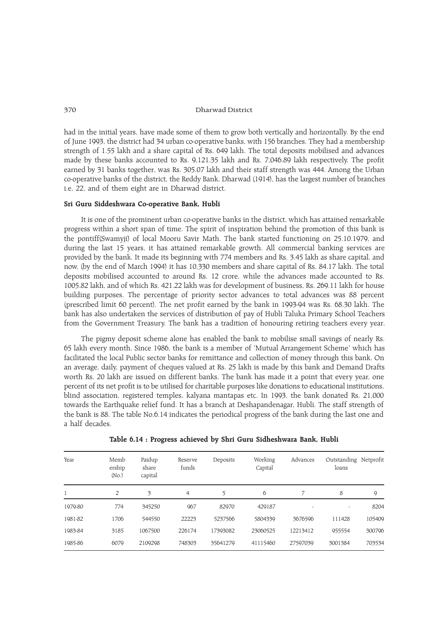had in the initial years, have made some of them to grow both vertically and horizontally. By the end of June 1993, the district had 34 urban co-operative banks, with 156 branches. They had a membership strength of 1.55 lakh and a share capital of Rs. 649 lakh. The total deposits mobilised and advances made by these banks accounted to Rs. 9,121.35 lakh and Rs. 7,046.89 lakh respectively. The profit earned by 31 banks together, was Rs. 305.07 lakh and their staff strength was 444. Among the Urban co-operative banks of the district, the Reddy Bank, Dharwad (1914), has the largest number of branches i.e, 22, and of them eight are in Dharwad district.

#### Sri Guru Siddeshwara Co-operative Bank, Hubli

It is one of the prominent urban co-operative banks in the district, which has attained remarkable progress within a short span of time. The spirit of inspiration behind the promotion of this bank is the pontiff(Swamyji) of local Mooru Savir Math. The bank started functioning on 25.10.1979, and during the last 15 years, it has attained remarkable growth. All commercial banking services are provided by the bank. It made its beginning with 774 members and Rs. 3.45 lakh as share capital, and now, (by the end of March 1994) it has 10,330 members and share capital of Rs. 84.17 lakh. The total deposits mobilised accounted to around Rs. 12 crore, while the advances made accounted to Rs. 1005.82 lakh, and of which Rs. 421.22 lakh was for development of business, Rs. 269.11 lakh for house building purposes. The percentage of priority sector advances to total advances was 88 percent (prescribed limit 60 percent). The net profit earned by the bank in 1993-94 was Rs. 68.30 lakh. The bank has also undertaken the services of distribution of pay of Hubli Taluka Primary School Teachers from the Government Treasury. The bank has a tradition of honouring retiring teachers every year.

The pigmy deposit scheme alone has enabled the bank to mobilise small savings of nearly Rs. 65 lakh every month. Since 1986, the bank is a member of Mutual Arrangement Scheme which has facilitated the local Public sector banks for remittance and collection of money through this bank. On an average, daily, payment of cheques valued at Rs. 25 lakh is made by this bank and Demand Drafts worth Rs. 20 lakh are issued on different banks. The bank has made it a point that every year, one percent of its net profit is to be utilised for charitable purposes like donations to educational institutions, blind association, registered temples, kalyana mantapas etc. In 1993, the bank donated Rs. 21,000 towards the Earthquake relief fund. It has a branch at Deshapandenagar, Hubli. The staff strength of the bank is 88. The table No.6.14 indicates the periodical progress of the bank during the last one and a half decades.

| Year    | Memb<br>ership<br>(No.) | Paidup<br>share<br>capital | Reserve<br>funds | Deposits | Working<br>Capital | Advances | Outstanding Netprofit<br>loans |        |
|---------|-------------------------|----------------------------|------------------|----------|--------------------|----------|--------------------------------|--------|
|         | 2                       | 3                          | $\overline{4}$   | 5        | 6                  |          | 8                              | 9      |
| 1979-80 | 774                     | 345250                     | 967              | 82970    | 429187             |          | ۰                              | 8204   |
| 1981-82 | 1706                    | 544550                     | 22223            | 5237566  | 5804339            | 3676596  | 111428                         | 105409 |
| 1983-84 | 3185                    | 1067500                    | 226174           | 17393082 | 23060525           | 12213412 | 955554                         | 300796 |
| 1985-86 | 6079                    | 2109298                    | 748303           | 35641279 | 41115460           | 27597039 | 3001384                        | 703534 |

Table 6.14 : Progress achieved by Shri Guru Sidheshwara Bank, Hubli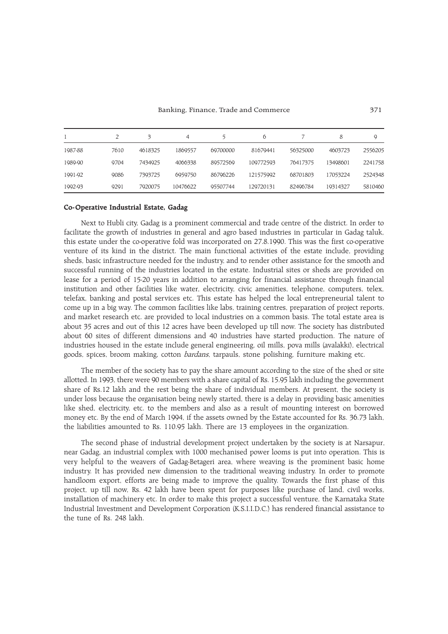#### Banking, Finance, Trade and Commerce 371

|         |      | 3       | 4        |          | $\sigma$  |          | 8        | Q       |
|---------|------|---------|----------|----------|-----------|----------|----------|---------|
| 1987-88 | 7610 | 4618325 | 1869557  | 69700000 | 81679441  | 56325000 | 4603723  | 2556205 |
| 1989-90 | 9704 | 7434925 | 4066338  | 89572569 | 109772593 | 76417375 | 13498601 | 2241758 |
| 1991-92 | 9086 | 7393725 | 6959750  | 86796226 | 121575992 | 68701803 | 17053224 | 2524348 |
| 1992-93 | 9291 | 7920075 | 10476622 | 95507744 | 129720131 | 82496784 | 19314327 | 5810460 |

# Co-Operative Industrial Estate, Gadag

Next to Hubli city, Gadag is a prominent commercial and trade centre of the district. In order to facilitate the growth of industries in general and agro based industries in particular in Gadag taluk, this estate under the co-operative fold was incorporated on 27.8.1990. This was the first co-operative venture of its kind in the district. The main functional activities of the estate include, providing sheds, basic infrastructure needed for the industry, and to render other assistance for the smooth and successful running of the industries located in the estate. Industrial sites or sheds are provided on lease for a period of 15-20 years in addition to arranging for financial assistance through financial institution and other facilities like water, electricity, civic amenities, telephone, computers, telex, telefax, banking and postal services etc. This estate has helped the local entrepreneurial talent to come up in a big way. The common facilities like labs, training centres, preparation of project reports, and market research etc. are provided to local industries on a common basis. The total estate area is about 35 acres and out of this 12 acres have been developed up till now. The society has distributed about 60 sites of different dimensions and 40 industries have started production. The nature of industries housed in the estate include general engineering, oil mills, pova mills (avalakki), electrical goods, spices, broom making, cotton *bardans*, tarpauls, stone polishing, furniture making etc.

The member of the society has to pay the share amount according to the size of the shed or site allotted. In 1993, there were 90 members with a share capital of Rs. 15.95 lakh including the government share of Rs.12 lakh and the rest being the share of individual members. At present, the society is under loss because the organisation being newly started, there is a delay in providing basic amenities like shed, electricity, etc. to the members and also as a result of mounting interest on borrowed money etc. By the end of March 1994, if the assets owned by the Estate accounted for Rs. 36.73 lakh, the liabilities amounted to Rs. 110.95 lakh. There are 13 employees in the organization.

The second phase of industrial development project undertaken by the society is at Narsapur, near Gadag, an industrial complex with 1000 mechanised power looms is put into operation. This is very helpful to the weavers of Gadag-Betageri area, where weaving is the prominent basic home industry. It has provided new dimension to the traditional weaving industry. In order to promote handloom export, efforts are being made to improve the quality. Towards the first phase of this project, up till now, Rs. 42 lakh have been spent for purposes like purchase of land, civil works, installation of machinery etc. In order to make this project a successful venture, the Karnataka State Industrial Investment and Development Corporation (K.S.I.I.D.C.) has rendered financial assistance to the tune of Rs. 248 lakh.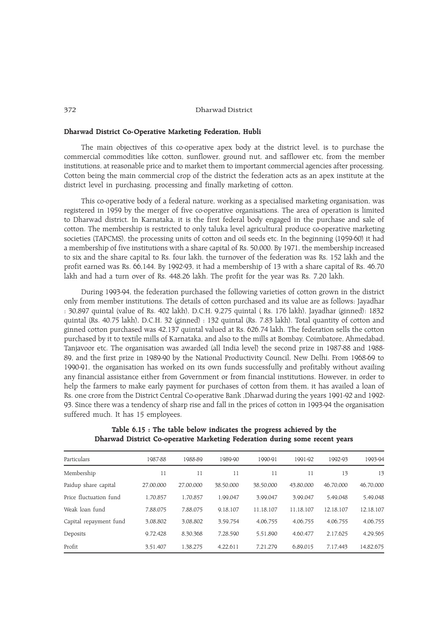## Dharwad District Co-Operative Marketing Federation, Hubli

The main objectives of this co-operative apex body at the district level, is to purchase the commercial commodities like cotton, sunflower, ground nut, and safflower etc, from the member institutions, at reasonable price and to market them to important commercial agencies after processing. Cotton being the main commercial crop of the district the federation acts as an apex institute at the district level in purchasing, processing and finally marketing of cotton.

This co-operative body of a federal nature, working as a specialised marketing organisation, was registered in 1959 by the merger of five co-operative organisations. The area of operation is limited to Dharwad district. In Karnataka, it is the first federal body engaged in the purchase and sale of cotton. The membership is restricted to only taluka level agricultural produce co-operative marketing societies (TAPCMS), the processing units of cotton and oil seeds etc. In the beginning (1959-60) it had a membership of five institutions with a share capital of Rs. 50,000. By 1971, the membership increased to six and the share capital to Rs. four lakh, the turnover of the federation was Rs. 152 lakh and the profit earned was Rs. 66,144. By 1992-93, it had a membership of 13 with a share capital of Rs. 46.70 lakh and had a turn over of Rs. 448.26 lakh. The profit for the year was Rs. 7.20 lakh.

During 1993-94, the federation purchased the following varieties of cotton grown in the district only from member institutions. The details of cotton purchased and its value are as follows: Jayadhar : 30,897 quintal (value of Rs. 402 lakh), D.C.H. 9,275 quintal ( Rs. 176 lakh), Jayadhar (ginned): 1832 quintal (Rs. 40.75 lakh), D.C.H. 32 (ginned) : 132 quintal (Rs. 7.83 lakh). Total quantity of cotton and ginned cotton purchased was 42,137 quintal valued at Rs. 626.74 lakh. The federation sells the cotton purchased by it to textile mills of Karnataka, and also to the mills at Bombay, Coimbatore, Ahmedabad, Tanjavoor etc. The organisation was awarded (all India level) the second prize in 1987-88 and 1988- 89, and the first prize in 1989-90 by the National Productivity Council, New Delhi. From 1968-69 to 1990-91, the organisation has worked on its own funds successfully and profitably without availing any financial assistance either from Government or from financial institutions. However, in order to help the farmers to make early payment for purchases of cotton from them, it has availed a loan of Rs. one crore from the District Central Co-operative Bank ,Dharwad during the years 1991-92 and 1992- 93. Since there was a tendency of sharp rise and fall in the prices of cotton in 1993-94 the organisation suffered much. It has 15 employees.

| Particulars            | 1987-88   | 1988-89   | 1989-90   | 1990-91   | 1991-92   | 1992-93   | 1993-94   |
|------------------------|-----------|-----------|-----------|-----------|-----------|-----------|-----------|
| Membership             | 11        | 11        | 11        | 11        | 11        | 13        | 13        |
| Paidup share capital   | 27.00.000 | 27.00.000 | 38,50,000 | 38,50,000 | 43.80.000 | 46.70.000 | 46,70,000 |
| Price fluctuation fund | 1,70,857  | 1,70,857  | 1,99,047  | 3.99.047  | 3.99.047  | 5,49,048  | 5,49,048  |
| Weak loan fund         | 7,88,075  | 7,88,075  | 9.18.107  | 11.18.107 | 11.18.107 | 12.18.107 | 12,18,107 |
| Capital repayment fund | 3,08,802  | 3,08,802  | 3,59,754  | 4,06,755  | 4,06,755  | 4,06,755  | 4,06,755  |
| Deposits               | 9.72.428  | 8,30,368  | 7,28,590  | 5,51,890  | 4.60.477  | 2.17.625  | 4,29,565  |
| Profit                 | 3.51.407  | 1.38.275  | 4.22.611  | 7.21.279  | 6.89.015  | 7.17.443  | 14.82.675 |

Table 6.15 : The table below indicates the progress achieved by the Dharwad District Co-operative Marketing Federation during some recent years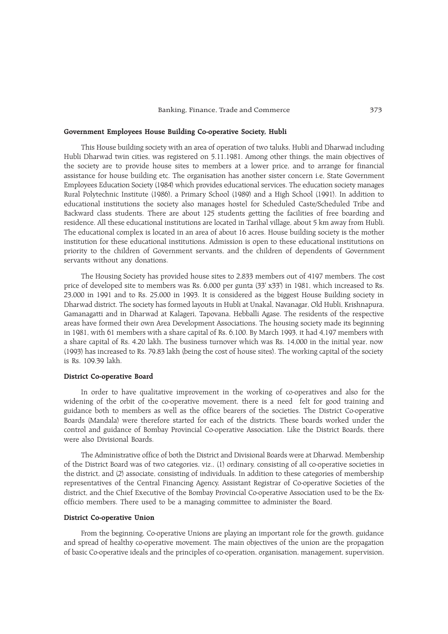## Government Employees House Building Co-operative Society, Hubli

This House building society with an area of operation of two taluks, Hubli and Dharwad including Hubli Dharwad twin cities, was registered on 5.11.1981. Among other things, the main objectives of the society are to provide house sites to members at a lower price, and to arrange for financial assistance for house building etc. The organisation has another sister concern i.e, State Government Employees Education Society (1984) which provides educational services. The education society manages Rural Polytechnic Institute (1986), a Primary School (1989) and a High School (1991). In addition to educational institutions the society also manages hostel for Scheduled Caste/Scheduled Tribe and Backward class students. There are about 125 students getting the facilities of free boarding and residence. All these educational institutions are located in Tarihal village, about 5 km away from Hubli. The educational complex is located in an area of about 16 acres. House building society is the mother institution for these educational institutions. Admission is open to these educational institutions on priority to the children of Government servants, and the children of dependents of Government servants without any donations.

The Housing Society has provided house sites to 2,833 members out of 4197 members. The cost price of developed site to members was Rs. 6,000 per gunta (33' x33') in 1981, which increased to Rs. 23,000 in 1991 and to Rs. 25,000 in 1993. It is considered as the biggest House Building society in Dharwad district. The society has formed layouts in Hubli at Unakal, Navanagar, Old Hubli, Krishnapura, Gamanagatti and in Dharwad at Kalageri, Tapovana, Hebballi Agase. The residents of the respective areas have formed their own Area Development Associations. The housing society made its beginning in 1981, with 61 members with a share capital of Rs. 6,100. By March 1993, it had 4,197 members with a share capital of Rs. 4.20 lakh. The business turnover which was Rs. 14,000 in the initial year, now (1993) has increased to Rs. 79.83 lakh (being the cost of house sites). The working capital of the society is Rs. 109.39 lakh.

## District Co-operative Board

In order to have qualitative improvement in the working of co-operatives and also for the widening of the orbit of the co-operative movement, there is a need felt for good training and guidance both to members as well as the office bearers of the societies. The District Co-operative Boards (Mandala) were therefore started for each of the districts. These boards worked under the control and guidance of Bombay Provincial Co-operative Association. Like the District Boards, there were also Divisional Boards.

The Administrative office of both the District and Divisional Boards were at Dharwad. Membership of the District Board was of two categories, viz., (1) ordinary, consisting of all co-operative societies in the district, and (2) associate, consisting of individuals. In addition to these categories of membership representatives of the Central Financing Agency, Assistant Registrar of Co-operative Societies of the district, and the Chief Executive of the Bombay Provincial Co-operative Association used to be the Exofficio members. There used to be a managing committee to administer the Board.

# District Co-operative Union

From the beginning, Co-operative Unions are playing an important role for the growth, guidance and spread of healthy co-operative movement. The main objectives of the union are the propagation of basic Co-operative ideals and the principles of co-operation, organisation, management, supervision,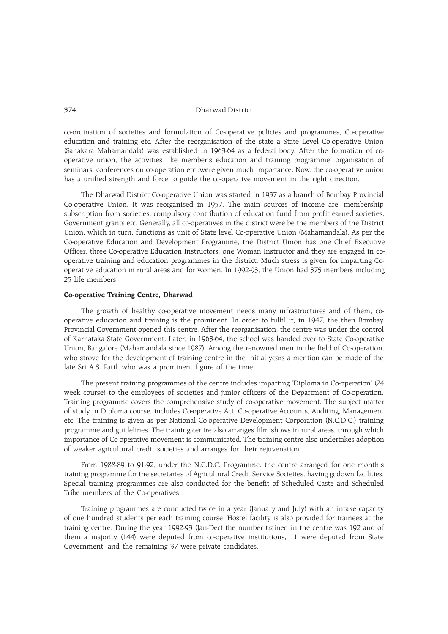co-ordination of societies and formulation of Co-operative policies and programmes, Co-operative education and training etc. After the reorganisation of the state a State Level Co-operative Union (Sahakara Mahamandala) was established in 1963-64 as a federal body. After the formation of cooperative union, the activities like member's education and training programme, organisation of seminars, conferences on co-operation etc .were given much importance. Now, the co-operative union has a unified strength and force to guide the co-operative movement in the right direction.

The Dharwad District Co-operative Union was started in 1937 as a branch of Bombay Provincial Co-operative Union. It was reorganised in 1957. The main sources of income are, membership subscription from societies, compulsory contribution of education fund from profit earned societies, Government grants etc. Generally, all co-operatives in the district were be the members of the District Union, which in turn, functions as unit of State level Co-operative Union (Mahamandala). As per the Co-operative Education and Development Programme, the District Union has one Chief Executive Officer, three Co-operative Education Instructors, one Woman Instructor and they are engaged in cooperative training and education programmes in the district. Much stress is given for imparting Cooperative education in rural areas and for women. In 1992-93, the Union had 375 members including 25 life members.

# Co-operative Training Centre, Dharwad

The growth of healthy co-operative movement needs many infrastructures and of them, cooperative education and training is the prominent. In order to fulfil it, in 1947, the then Bombay Provincial Government opened this centre. After the reorganisation, the centre was under the control of Karnataka State Government. Later, in 1963-64, the school was handed over to State Co-operative Union, Bangalore (Mahamandala since 1987). Among the renowned men in the field of Co-operation, who strove for the development of training centre in the initial years a mention can be made of the late Sri A.S. Patil, who was a prominent figure of the time.

The present training programmes of the centre includes imparting 'Diploma in Co-operation' (24 week course) to the employees of societies and junior officers of the Department of Co-operation. Training programme covers the comprehensive study of co-operative movement. The subject matter of study in Diploma course, includes Co-operative Act, Co-operative Accounts, Auditing, Management etc. The training is given as per National Co-operative Development Corporation (N.C.D.C.) training programme and guidelines. The training centre also arranges film shows in rural areas, through which importance of Co-operative movement is communicated. The training centre also undertakes adoption of weaker agricultural credit societies and arranges for their rejuvenation.

From 1988-89 to 91-92, under the N.C.D.C. Programme, the centre arranged for one month's training programme for the secretaries of Agricultural Credit Service Societies, having godown facilities. Special training programmes are also conducted for the benefit of Scheduled Caste and Scheduled Tribe members of the Co-operatives.

Training programmes are conducted twice in a year (January and July) with an intake capacity of one hundred students per each training course. Hostel facility is also provided for trainees at the training centre. During the year 1992-93 (Jan-Dec) the number trained in the centre was 192 and of them a majority (144) were deputed from co-operative institutions, 11 were deputed from State Government, and the remaining 37 were private candidates.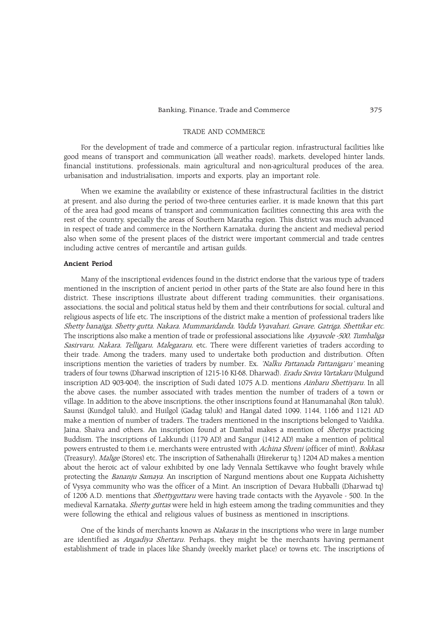## TRADE AND COMMERCE

For the development of trade and commerce of a particular region, infrastructural facilities like good means of transport and communication (all weather roads), markets, developed hinter lands, financial institutions, professionals, main agricultural and non-agricultural produces of the area, urbanisation and industrialisation, imports and exports, play an important role.

When we examine the availability or existence of these infrastructural facilities in the district at present, and also during the period of two-three centuries earlier, it is made known that this part of the area had good means of transport and communication facilities connecting this area with the rest of the country, specially the areas of Southern Maratha region. This district was much advanced in respect of trade and commerce in the Northern Karnataka, during the ancient and medieval period also when some of the present places of the district were important commercial and trade centres including active centres of mercantile and artisan guilds.

#### Ancient Period

Many of the inscriptional evidences found in the district endorse that the various type of traders mentioned in the inscription of ancient period in other parts of the State are also found here in this district. These inscriptions illustrate about different trading communities, their organisations, associations, the social and political status held by them and their contributions for social, cultural and religious aspects of life etc. The inscriptions of the district make a mention of professional traders like Shetty banajiga, Shetty gutta, Nakara, Mummaridanda, Vadda Vyavahari, Gavare, Gatriga, Shettikar etc. The inscriptions also make a mention of trade or professional associations like Ayyavole -500, Tumbaliga Sasirvaru, Nakara, Telligaru, Malegararu, etc. There were different varieties of traders according to their trade. Among the traders, many used to undertake both production and distribution. Often inscriptions mention the varieties of traders by number. Ex. 'Nalku Pattanada Pattanigaru' meaning traders of four towns (Dharwad inscription of 1215-16 KI-68, Dharwad). Eradu Savira Vartakaru (Mulgund inscription AD 903-904), the inscription of Sudi dated 1075 A.D. mentions Ainbaru Shettiyaru. In all the above cases, the number associated with trades mention the number of traders of a town or village. In addition to the above inscriptions, the other inscriptions found at Hanumanahal (Ron taluk), Saunsi (Kundgol taluk), and Huilgol (Gadag taluk) and Hangal dated 1099, 1144, 1166 and 1121 AD make a mention of number of traders. The traders mentioned in the inscriptions belonged to Vaidika, Jaina, Shaiva and others. An inscription found at Dambal makes a mention of Shettys practicing Buddism. The inscriptions of Lakkundi (1179 AD) and Sangur (1412 AD) make a mention of political powers entrusted to them i.e, merchants were entrusted with Achina Shreni (officer of mint), Bokkasa (Treasury), Malige (Stores) etc. The inscription of Sathenahalli (Hirekerur tq.) 1204 AD makes a mention about the heroic act of valour exhibited by one lady Vennala Settikavve who fought bravely while protecting the Bananju Samaya. An inscription of Nargund mentions about one Kuppata Aichishetty of Vysya community who was the officer of a Mint. An inscription of Devara Hubballi (Dharwad tq) of 1206 A.D. mentions that *Shettyguttaru* were having trade contacts with the Ayyavole - 500. In the medieval Karnataka, Shetty guttas were held in high esteem among the trading communities and they were following the ethical and religious values of business as mentioned in inscriptions.

One of the kinds of merchants known as *Nakaras* in the inscriptions who were in large number are identified as *Angadiya Shettaru*. Perhaps, they might be the merchants having permanent establishment of trade in places like Shandy (weekly market place) or towns etc. The inscriptions of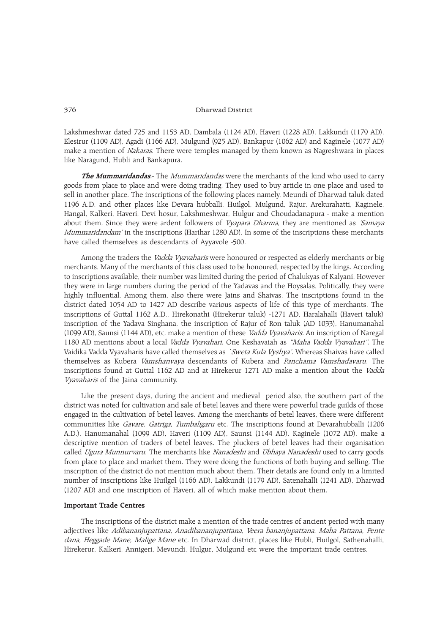Lakshmeshwar dated 725 and 1153 AD, Dambala (1124 AD), Haveri (1228 AD), Lakkundi (1179 AD), Elesirur (1109 AD), Agadi (1166 AD), Mulgund (925 AD), Bankapur (1062 AD) and Kaginele (1077 AD) make a mention of *Nakaras*. There were temples managed by them known as Nagreshwara in places like Naragund, Hubli and Bankapura.

The Mummaridandas:- The Mummaridandas were the merchants of the kind who used to carry goods from place to place and were doing trading. They used to buy article in one place and used to sell in another place. The inscriptions of the following places namely, Meundi of Dharwad taluk dated 1196 A.D. and other places like Devara hubballi, Huilgol, Mulgund, Rajur, Arekurahatti, Kaginele, Hangal, Kalkeri, Haveri, Devi hosur, Lakshmeshwar, Hulgur and Choudadanapura - make a mention about them. Since they were ardent followers of *Vyapara Dharma*, they are mentioned as *'Samaya* Mummaridandam' in the inscriptions (Harihar 1280 AD). In some of the inscriptions these merchants have called themselves as descendants of Ayyavole -500.

Among the traders the *Vadda Vyavaharis* were honoured or respected as elderly merchants or big merchants. Many of the merchants of this class used to be honoured, respected by the kings. According to inscriptions available, their number was limited during the period of Chalukyas of Kalyani. However they were in large numbers during the period of the Yadavas and the Hoysalas. Politically, they were highly influential. Among them, also there were Jains and Shaivas. The inscriptions found in the district dated 1054 AD to 1427 AD describe various aspects of life of this type of merchants. The inscriptions of Guttal 1162 A.D., Hirekonathi (Hirekerur taluk) -1271 AD, Haralahalli (Haveri taluk) inscription of the Yadava Singhana, the inscription of Rajur of Ron taluk (AD 1033), Hanumanahal (1099 AD), Saunsi (1144 AD), etc. make a mention of these Vadda Vyavaharis. An inscription of Naregal 1180 AD mentions about a local *Vadda Vyavahari*. One Keshavaiah as *"Maha Vadda Vyavahari"*. The Vaidika Vadda Vyavaharis have called themselves as `Sweta Kula Vyshya'. Whereas Shaivas have called themselves as Kubera *Vamshanvaya* descendants of Kubera and *Panchama Vamshadavaru*. The inscriptions found at Guttal 1162 AD and at Hirekerur 1271 AD make a mention about the Vadda Vyavaharis of the Jaina community.

Like the present days, during the ancient and medieval period also, the southern part of the district was noted for cultivation and sale of betel leaves and there were powerful trade guilds of those engaged in the cultivation of betel leaves. Among the merchants of betel leaves, there were different communities like Gavare, Gatriga, Tumbaligaru etc. The inscriptions found at Devarahubballi (1206 A.D.), Hanumanahal (1099 AD), Haveri (1109 AD), Saunsi (1144 AD), Kaginele (1072 AD), make a descriptive mention of traders of betel leaves. The pluckers of betel leaves had their organisation called Ugura Munnurvaru. The merchants like Nanadeshi and Ubhaya Nanadeshi used to carry goods from place to place and market them. They were doing the functions of both buying and selling. The inscription of the district do not mention much about them. Their details are found only in a limited number of inscriptions like Huilgol (1166 AD), Lakkundi (1179 AD), Satenahalli (1241 AD), Dharwad (1207 AD) and one inscription of Haveri, all of which make mention about them.

# Important Trade Centres

The inscriptions of the district make a mention of the trade centres of ancient period with many adjectives like Adibananjupattana, Anadibananjupattana, Veera bananjupattana. Maha Pattana, Pente dana, Heggade Mane, Malige Mane etc. In Dharwad district, places like Hubli, Huilgol, Sathenahalli, Hirekerur, Kalkeri, Annigeri, Mevundi, Hulgur, Mulgund etc were the important trade centres.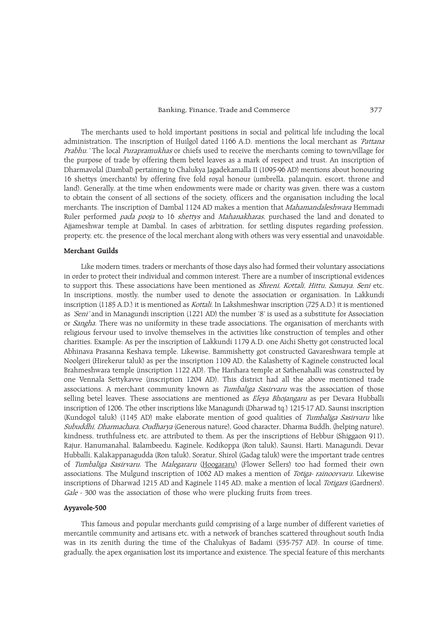The merchants used to hold important positions in social and political life including the local administration. The inscription of Huilgol dated 1166 A.D. mentions the local merchant as *'Pattana* Prabhu. The local Purapramukhas or chiefs used to receive the merchants coming to town/village for the purpose of trade by offering them betel leaves as a mark of respect and trust. An inscription of Dharmavolal (Dambal) pertaining to Chalukya Jagadekamalla II (1095-96 AD) mentions about honouring 16 shettys (merchants) by offering five fold royal honour (umbrella, palanquin, escort, throne and land). Generally, at the time when endowments were made or charity was given, there was a custom to obtain the consent of all sections of the society, officers and the organisation including the local merchants. The inscription of Dambal 1124 AD makes a mention that *Mahamandaleshwara* Hemmadi Ruler performed *pada pooja* to 16 shettys and Mahanakharas, purchased the land and donated to Ajjameshwar temple at Dambal. In cases of arbitration, for settling disputes regarding profession, property, etc. the presence of the local merchant along with others was very essential and unavoidable.

# Merchant Guilds

Like modern times, traders or merchants of those days also had formed their voluntary associations in order to protect their individual and common interest. There are a number of inscriptional evidences to support this. These associations have been mentioned as *Shreni, Kottali, Hittu, Samaya, Seni* etc. In inscriptions, mostly, the number used to denote the association or organisation. In Lakkundi inscription (1185 A.D.) it is mentioned as Kottali. In Lakshmeshwar inscription (725 A.D.) it is mentioned as *'Seni*' and in Managundi inscription (1221 AD) the number '8' is used as a substitute for Association or *Sangha*. There was no uniformity in these trade associations. The organisation of merchants with religious fervour used to involve themselves in the activities like construction of temples and other charities. Example: As per the inscription of Lakkundi 1179 A.D. one Aichi Shetty got constructed local Abhinava Prasanna Keshava temple. Likewise, Bammishetty got constructed Gavareshwara temple at Noolgeri (Hirekerur taluk) as per the inscription 1109 AD, the Kalashetty of Kaginele constructed local Brahmeshwara temple (inscription 1122 AD). The Harihara temple at Sathenahalli was constructed by one Vennala Settykavve (inscription 1204 AD). This district had all the above mentioned trade associations. A merchant community known as Tumbaliga Sasirvaru was the association of those selling betel leaves. These associations are mentioned as *Eleya Bhojangaru* as per Devara Hubballi inscription of 1206. The other inscriptions like Managundi (Dharwad tq.) 1215-17 AD, Saunsi inscription (Kundogol taluk) (1145 AD) make elaborate mention of good qualities of Tumbaliga Sasirvaru like Subuddhi, Dharmachara, Qudharya (Generous nature), Good character, Dharma Buddh, (helping nature), kindness, truthfulness etc. are attributed to them. As per the inscriptions of Hebbur (Shiggaon 911), Rajur, Hanumanahal, Balambeedu, Kaginele, Kodikoppa (Ron taluk), Saunsi, Harti, Managundi, Devar Hubballi, Kalakappanagudda (Ron taluk), Soratur, Shirol (Gadag taluk) were the important trade centres of Tumbaliga Sasirvaru. The Malegararu (Hoogararu) (Flower Sellers) too had formed their own associations. The Mulgund inscription of 1062 AD makes a mention of Totiga- rainoorvaru. Likewise inscriptions of Dharwad 1215 AD and Kaginele 1145 AD, make a mention of local Totigars (Gardners). Gale - 300 was the association of those who were plucking fruits from trees.

#### Ayyavole-500

This famous and popular merchants guild comprising of a large number of different varieties of mercantile community and artisans etc, with a network of branches scattered throughout south India was in its zenith during the time of the Chalukyas of Badami (535-757 AD). In course of time, gradually, the apex organisation lost its importance and existence. The special feature of this merchants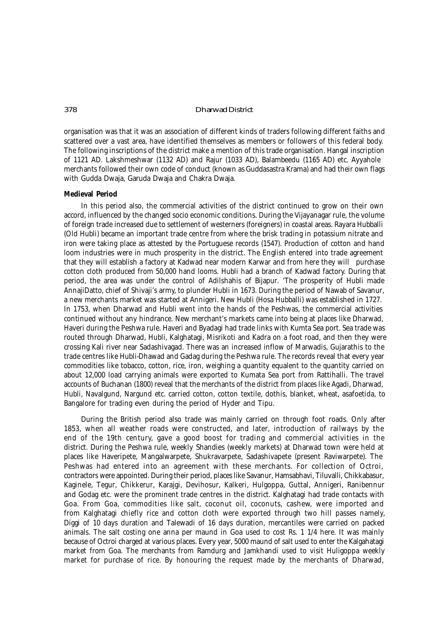organisation was that it was an association of different kinds of traders following different faiths and scattered over a vast area, have identified themselves as members or followers of this federal body. The following inscriptions of the district make a mention of this trade organisation. Hangal inscription of 1121 AD. Lakshmeshwar (1132 AD) and Rajur (1033 AD), Balambeedu (1165 AD) etc. Ayyahole merchants followed their own code of conduct (known as *Guddasastra Krama*) and had their own flags with *Gudda Dwaja, Garuda Dwaja* and *Chakra Dwaja.*

#### **Medieval Period**

In this period also, the commercial activities of the district continued to grow on their own accord, influenced by the changed socio economic conditions. During the Vijayanagar rule, the volume of foreign trade increased due to settlement of westerners (foreigners) in coastal areas. Rayara Hubballi (Old Hubli) became an important trade centre from where the brisk trading in potassium nitrate and iron were taking place as attested by the Portuguese records (1547). Production of cotton and hand loom industries were in much prosperity in the district. The English entered into trade agreement that they will establish a factory at Kadwad near modern Karwar and from here they will purchase cotton cloth produced from 50,000 hand looms. Hubli had a branch of Kadwad factory. During that period, the area was under the control of Adilshahis of Bijapur. 'The prosperity of Hubli made AnnajiDatto, chief of Shivaji's army, to plunder Hubli in 1673. During the period of Nawab of Savanur, a new merchants market was started at Annigeri. New Hubli (Hosa Hubballi) was established in 1727. In 1753, when Dharwad and Hubli went into the hands of the Peshwas, the commercial activities continued without any hindrance. New merchant's markets came into being at places like Dharwad, Haveri during the Peshwa rule. Haveri and Byadagi had trade links with Kumta Sea port. Sea trade was routed through Dharwad, Hubli, Kalghatagi, Misrikoti and Kadra on a foot road, and then they were crossing Kali river near Sadashivagad. There was an increased inflow of Marwadis, Gujarathis to the trade centres like Hubli-Dhawad and Gadag during the Peshwa rule. The records reveal that every year commodities like tobacco, cotton, rice, iron, weighing a quantity equalent to the quantity carried on about 12,000 load carrying animals were exported to Kumata Sea port from Rattihalli. The travel accounts of Buchanan (1800) reveal that the merchants of the district from places like Agadi, Dharwad, Hubli, Navalgund, Nargund etc. carried cotton, cotton textile, dothis, blanket, wheat, asafoetida, to Bangalore for trading even during the period of Hyder and Tipu.

During the British period also trade was mainly carried on through foot roads. Only after 1853, when all weather roads were constructed, and later, introduction of railways by the end of the 19th century, gave a good boost for trading and commercial activities in the district. During the Peshwa rule, weekly *Shandies* (weekly markets) at Dharwad town were held at places like Haveripete, Mangalwarpete, Shukravarpete, Sadashivapete (present Raviwarpete). The Peshwas had entered into an agreement with these merchants. For collection of Octroi, contractors were appointed. During their period, places like Savanur, Hamsabhavi, Tiluvalli, Chikkabasur, Kaginele, Tegur, Chikkerur, Karajgi, Devihosur, Kalkeri, Hulgoppa, Guttal, Annigeri, Ranibennur and Godag etc. were the prominent trade centres in the district. Kalghatagi had trade contacts with Goa. From Goa, commodities like salt, coconut oil, coconuts, cashew, were imported and from Kalghatagi chiefly rice and cotton cloth were exported through two hill passes namely, Diggi of 10 days duration and Talewadi of 16 days duration, mercantiles were carried on packed animals. The salt costing one anna per maund in Goa used to cost Rs. 1 1/4 here. It was mainly because of Octroi charged at various places. Every year, 5000 maund of salt used to enter the Kalgahatagi market from Goa. The merchants from Ramdurg and Jamkhandi used to visit Huligoppa weekly market for purchase of rice. By honouring the request made by the merchants of Dharwad,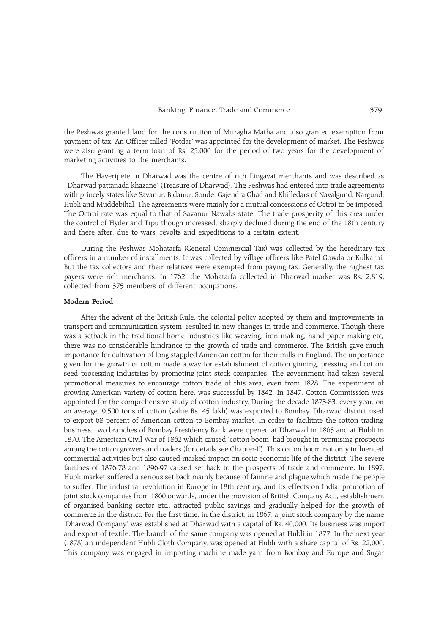the Peshwas granted land for the construction of Muragha Matha and also granted exemption from payment of tax. An Officer called 'Potdar' was appointed for the development of market. The Peshwas were also granting a term loan of Rs. 25,000 for the period of two years for the development of marketing activities to the merchants.

The Haveripete in Dharwad was the centre of rich Lingayat merchants and was described as `Dharwad pattanada khazane' (Treasure of Dharwad). The Peshwas had entered into trade agreements with princely states like Savanur, Bidanur, Sonde, Gajendra Ghad and Khilledars of Navalgund, Nargund, Hubli and Muddebihal. The agreements were mainly for a mutual concessions of Octroi to be imposed. The Octroi rate was equal to that of Savanur Nawabs state. The trade prosperity of this area under the control of Hyder and Tipu though increased, sharply declined during the end of the 18th century and there after, due to wars, revolts and expeditions to a certain extent.

During the Peshwas Mohatarfa (General Commercial Tax) was collected by the hereditary tax officers in a number of installments. It was collected by village officers like Patel Gowda or Kulkarni. But the tax collectors and their relatives were exempted from paying tax. Generally, the highest tax payers were rich merchants. In 1762, the Mohatarfa collected in Dharwad market was Rs. 2,819, collected from 375 members of different occupations.

### Modern Period

After the advent of the British Rule, the colonial policy adopted by them and improvements in transport and communication system, resulted in new changes in trade and commerce. Though there was a setback in the traditional home industries like weaving, iron making, hand paper making etc, there was no considerable hindrance to the growth of trade and commerce. The British gave much importance for cultivation of long stappled American cotton for their mills in England. The importance given for the growth of cotton made a way for establishment of cotton ginning, pressing and cotton seed processing industries by promoting joint stock companies. The government had taken several promotional measures to encourage cotton trade of this area, even from 1828. The experiment of growing American variety of cotton here, was successful by 1842. In 1847, Cotton Commission was appointed for the comprehensive study of cotton industry. During the decade 1873-83, every year, on an average, 9,500 tons of cotton (value Rs. 45 lakh) was exported to Bombay. Dharwad district used to export 68 percent of American cotton to Bombay market. In order to facilitate the cotton trading business, two branches of Bombay Presidency Bank were opened at Dharwad in 1863 and at Hubli in 1870. The American Civil War of 1862 which caused 'cotton boom' had brought in promising prospects among the cotton growers and traders (for details see Chapter-II). This cotton boom not only influenced commercial activities but also caused marked impact on socio-economic life of the district. The severe famines of 1876-78 and 1896-97 caused set back to the prospects of trade and commerce. In 1897, Hubli market suffered a serious set back mainly because of famine and plague which made the people to suffer. The industrial revolution in Europe in 18th century, and its effects on India, promotion of joint stock companies from 1860 onwards, under the provision of British Company Act., establishment of organised banking sector etc., attracted public savings and gradually helped for the growth of commerce in the district. For the first time, in the district, in 1867, a joint stock company by the name Dharwad Company was established at Dharwad with a capital of Rs. 40,000. Its business was import and export of textile. The branch of the same company was opened at Hubli in 1877. In the next year (1878) an independent Hubli Cloth Company, was opened at Hubli with a share capital of Rs. 22,000. This company was engaged in importing machine made yarn from Bombay and Europe and Sugar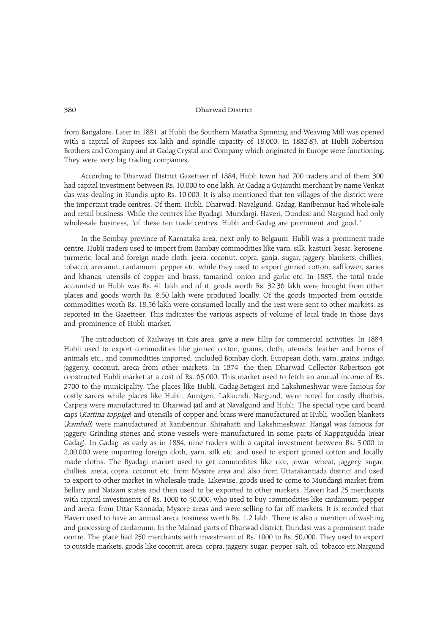from Bangalore. Later in 1881, at Hubli the Southern Maratha Spinning and Weaving Mill was opened with a capital of Rupees six lakh and spindle capacity of 18,000. In 1882-83, at Hubli Robertson Brothers and Company and at Gadag Crystal and Company which originated in Europe were functioning. They were very big trading companies.

According to Dharwad District Gazetteer of 1884, Hubli town had 700 traders and of them 300 had capital investment between Rs. 10,000 to one lakh. At Gadag a Gujarathi merchant by name Venkat das was dealing in Hundis upto Rs. 10,000. It is also mentioned that ten villages of the district were the important trade centres. Of them, Hubli, Dharwad, Navalgund, Gadag, Ranibennur had whole-sale and retail business. While the centres like Byadagi, Mundargi, Haveri, Dundasi and Nargund had only whole-sale business, "of these ten trade centres, Hubli and Gadag are prominent and good."

In the Bombay province of Karnataka area, next only to Belgaum, Hubli was a prominent trade centre. Hubli traders used to import from Bambay commodities like yarn, silk, kasturi, kesar, kerosene, turmeric, local and foreign made cloth, jeera, coconut, copra, ganja, sugar, jaggery, blankets, chillies, tobacco, arecanut. cardamum, pepper etc. while they used to export ginned cotton, safflower, saries and khanas, utensils of copper and brass, tamarind, onion and garlic etc. In 1883, the total trade accounted in Hubli was Rs. 41 lakh and of it, goods worth Rs. 32.36 lakh were brought from other places and goods worth Rs. 8.50 lakh were produced locally. Of the goods imported from outside, commodities worth Rs. 18.56 lakh were consumed locally and the rest were sent to other markets, as reported in the Gazetteer. This indicates the various aspects of volume of local trade in those days and prominence of Hubli market.

The introduction of Railways in this area, gave a new fillip for commercial activities. In 1884, Hubli used to export commodities like ginned cotton, grains, cloth, utensils, leather and horns of animals etc., and commodities imported, included Bombay cloth, European cloth, yarn, grains, indigo, jaggerry, coconut, areca from other markets. In 1874, the then Dharwad Collector Robertson got constructed Hubli market at a cost of Rs. 65,000. This market used to fetch an annual income of Rs. 2700 to the municipality. The places like Hubli, Gadag-Betageri and Lakshmeshwar were famous for costly sarees while places like Hubli, Annigeri, Lakkundi, Nargund, were noted for costly dhothis. Carpets were manufactured in Dharwad jail and at Navalgund and Hubli. The special type card board caps (Rattina toppige) and utensils of copper and brass were manufactured at Hubli, woollen blankets (kambali) were manufactured at Ranibennur, Shirahatti and Lakshmeshwar. Hangal was famous for jaggery. Grinding stones and stone vessels were manufactured in some parts of Kappatgudda (near Gadag). In Gadag, as early as in 1884, nine traders with a capital investment between Rs. 5,000 to 2,00,000 were importing foreign cloth, yarn, silk etc. and used to export ginned cotton and locally made cloths. The Byadagi market used to get commodites like rice, jowar, wheat, jaggery, sugar, chillies, areca, copra, coconut etc. from Mysore area and also from Uttarakannada district and used to export to other market in wholesale trade. Likewise, goods used to come to Mundargi market from Bellary and Naizam states and then used to be exported to other markets. Haveri had 25 merchants with capital investments of Rs. 1000 to 50,000, who used to buy commodities like cardamum, pepper and areca, from Uttar Kannada, Mysore areas and were selling to far off markets. It is recorded that Haveri used to have an annual areca business worth Rs. 1.2 lakh. There is also a mention of washing and processing of cardamum. In the Malnad parts of Dharwad district, Dundasi was a prominent trade centre. The place had 250 merchants with investment of Rs. 1000 to Rs. 50,000. They used to export to outside markets, goods like coconut, areca, copra, jaggery, sugar, pepper, salt, oil, tobacco etc.Nargund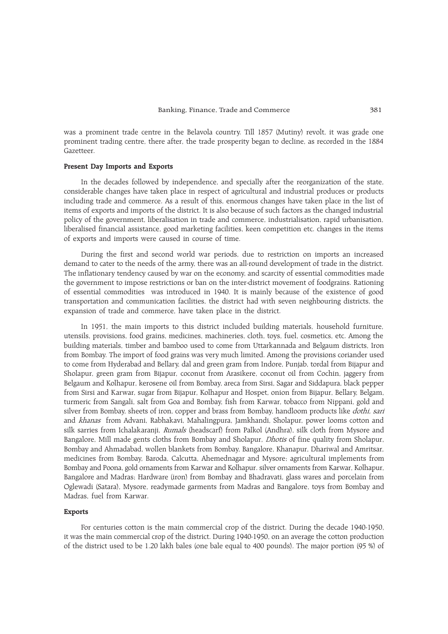was a prominent trade centre in the Belavola country. Till 1857 (Mutiny) revolt, it was grade one prominent trading centre, there after, the trade prosperity began to decline, as recorded in the 1884 Gazetteer.

### Present Day Imports and Exports

In the decades followed by independence, and specially after the reorganization of the state, considerable changes have taken place in respect of agricultural and industrial produces or products including trade and commerce. As a result of this, enormous changes have taken place in the list of items of exports and imports of the district. It is also because of such factors as the changed industrial policy of the government, liberalisation in trade and commerce, industrialisation, rapid urbanisation, liberalised financial assistance, good marketing facilities, keen competition etc. changes in the items of exports and imports were caused in course of time.

During the first and second world war periods, due to restriction on imports an increased demand to cater to the needs of the army, there was an all-round development of trade in the district. The inflationary tendency caused by war on the economy, and scarcity of essential commodities made the government to impose restrictions or ban on the inter-district movement of foodgrains. Rationing of essential commodities was introduced in 1940. It is mainly because of the existence of good transportation and communication facilities, the district had with seven neighbouring districts, the expansion of trade and commerce, have taken place in the district.

In 1951, the main imports to this district included building materials, household furniture, utensils, provisions, food grains, medicines, machineries, cloth, toys, fuel, cosmetics, etc. Among the building materials, timber and bamboo used to come from Uttarkannada and Belgaum districts, Iron from Bombay. The import of food grains was very much limited. Among the provisions coriander used to come from Hyderabad and Bellary, dal and green gram from Indore, Punjab, tordal from Bijapur and Sholapur, green gram from Bijapur, coconut from Arasikere, coconut oil from Cochin, jaggery from Belgaum and Kolhapur, kerosene oil from Bombay, areca from Sirsi, Sagar and Siddapura, black pepper from Sirsi and Karwar, sugar from Bijapur, Kolhapur and Hospet, onion from Bijapur, Bellary, Belgam, turmeric from Sangali, salt from Goa and Bombay, fish from Karwar, tobacco from Nippani, gold and silver from Bombay, sheets of iron, copper and brass from Bombay, handloom products like *dothi, sari* and khanas from Advani, Rabhakavi, Mahalingpura, Jamkhandi, Sholapur, power looms cotton and silk sarries from Ichalakaranji, Rumals (headscarf) from Palkol (Andhra), silk cloth from Mysore and Bangalore, Mill made gents cloths from Bombay and Sholapur, Dhotis of fine quality from Sholapur, Bombay and Ahmadabad, wollen blankets from Bombay, Bangalore, Khanapur, Dhariwal and Amritsar, medicines from Bombay, Baroda, Calcutta, Ahemednagar and Mysore; agricultural implements from Bombay and Poona, gold ornaments from Karwar and Kolhapur. silver ornaments from Karwar, Kolhapur, Bangalore and Madras; Hardware (iron) from Bombay and Bhadravati, glass wares and porcelain from Oglewadi (Satara), Mysore, readymade garments from Madras and Bangalore, toys from Bombay and Madras, fuel from Karwar.

# Exports

For centuries cotton is the main commercial crop of the district. During the decade 1940-1950, it was the main commercial crop of the district. During 1940-1950, on an average the cotton production of the district used to be 1.20 lakh bales (one bale equal to 400 pounds). The major portion (95 %) of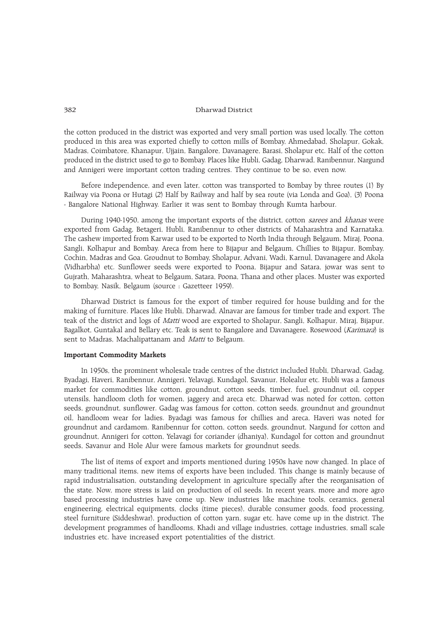the cotton produced in the district was exported and very small portion was used locally. The cotton produced in this area was exported chiefly to cotton mills of Bombay, Ahmedabad, Sholapur, Gokak, Madras, Coimbatore, Khanapur, Ujjain, Bangalore, Davanagere, Barasi, Sholapur etc. Half of the cotton produced in the district used to go to Bombay. Places like Hubli, Gadag, Dharwad, Ranibennur, Nargund and Annigeri were important cotton trading centres. They continue to be so, even now.

Before independence, and even later, cotton was transported to Bombay by three routes (1) By Railway via Poona or Hutagi (2) Half by Railway and half by sea route (via Londa and Goa), (3) Poona - Bangalore National Highway. Earlier it was sent to Bombay through Kumta harbour.

During 1940-1950, among the important exports of the district, cotton *sarees* and *khanas* were exported from Gadag, Betageri, Hubli, Ranibennur to other districts of Maharashtra and Karnataka. The cashew imported from Karwar used to be exported to North India through Belgaum, Miraj, Poona, Sangli, Kolhapur and Bombay. Areca from here to Bijapur and Belgaum, Chillies to Bijapur, Bombay, Cochin, Madras and Goa. Groudnut to Bombay, Sholapur, Advani, Wadi, Karnul, Davanagere and Akola (Vidharbha) etc. Sunflower seeds were exported to Poona, Bijapur and Satara, jowar was sent to Gujrath, Maharashtra, wheat to Belgaum, Satara, Poona, Thana and other places. Muster was exported to Bombay, Nasik, Belgaum (source : Gazetteer 1959).

Dharwad District is famous for the export of timber required for house building and for the making of furniture. Places like Hubli, Dharwad, Alnavar are famous for timber trade and export. The teak of the district and logs of Matti wood are exported to Sholapur, Sangli, Kolhapur, Miraj, Bijapur, Bagalkot, Guntakal and Bellary etc. Teak is sent to Bangalore and Davanagere. Rosewood (Karimara) is sent to Madras, Machalipattanam and Matti to Belgaum.

#### Important Commodity Markets

In 1950s, the prominent wholesale trade centres of the district included Hubli, Dharwad, Gadag, Byadagi, Haveri, Ranibennur, Annigeri, Yelavagi, Kundagol, Savanur, Holealur etc. Hubli was a famous market for commodities like cotton, groundnut, cotton seeds, timber, fuel, groundnut oil, copper utensils, handloom cloth for women, jaggery and areca etc. Dharwad was noted for cotton, cotton seeds, groundnut, sunflower. Gadag was famous for cotton, cotton seeds, groundnut and groundnut oil, handloom wear for ladies. Byadagi was famous for chillies and areca, Haveri was noted for groundnut and cardamom. Ranibennur for cotton, cotton seeds, groundnut, Nargund for cotton and groundnut, Annigeri for cotton, Yelavagi for coriander (dhaniya), Kundagol for cotton and groundnut seeds, Savanur and Hole Alur were famous markets for groundnut seeds.

The list of items of export and imports mentioned during 1950s have now changed. In place of many traditional items, new items of exports have been included. This change is mainly because of rapid industrialisation, outstanding development in agriculture specially after the reorganisation of the state. Now, more stress is laid on production of oil seeds. In recent years, more and more agro based processing industries have come up. New industries like machine tools, ceramics, general engineering, electrical equipments, clocks (time pieces), durable consumer goods, food processing, steel furniture (Siddeshwar), production of cotton yarn, sugar etc. have come up in the district. The development programmes of handlooms, Khadi and village industries, cottage industries, small scale industries etc. have increased export potentialities of the district.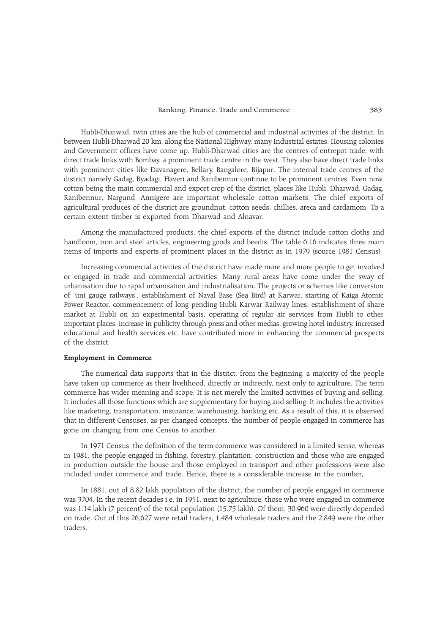#### Banking, Finance, Trade and Commerce 383

Hubli-Dharwad, twin cities are the hub of commercial and industrial activities of the district. In between Hubli-Dharwad 20 km. along the National Highway, many Industrial estates, Housing colonies and Government offices have come up. Hubli-Dharwad cities are the centres of entrepot trade, with direct trade links with Bombay, a prominent trade centre in the west. They also have direct trade links with prominent cities like Davanagere, Bellary, Bangalore, Bijapur. The internal trade centres of the district namely Gadag, Byadagi, Haveri and Ranibennur continue to be prominent centres. Even now, cotton being the main commercial and export crop of the district, places like Hubli, Dharwad, Gadag, Ranibennur, Nargund, Annigere are important wholesale cotton markets. The chief exports of agricultural produces of the district are groundnut, cotton seeds, chillies, areca and cardamom. To a certain extent timber is exported from Dharwad and Alnavar.

Among the manufactured products, the chief exports of the district include cotton cloths and handloom, iron and steel articles, engineering goods and beedis. The table 6.16 indicates three main items of imports and exports of prominent places in the district as in 1979 (source 1981 Census)

Increasing commercial activities of the district have made more and more people to get involved or engaged in trade and commercial activities. Many rural areas have come under the sway of urbanisation due to rapid urbanisation and industrialisation. The projects or schemes like conversion of 'uni gauge railways', establishment of Naval Base (Sea Bird) at Karwar, starting of Kaiga Atomic Power Reactor, commencement of long pending Hubli Karwar Railway lines, establishment of share market at Hubli on an experimental basis, operating of regular air services from Hubli to other important places, increase in publicity through press and other medias, growing hotel industry, increased educational and health services etc. have contributed more in enhancing the commercial prospects of the district.

# Employment in Commerce

The numerical data supports that in the district, from the beginning, a majority of the people have taken up commerce as their livelihood, directly or indirectly, next only to agriculture. The term commerce has wider meaning and scope. It is not merely the limited activities of buying and selling. It includes all those functions which are supplementary for buying and selling. It includes the activities like marketing, transportation, insurance, warehousing, banking etc. As a result of this, it is observed that in different Censuses, as per changed concepts, the number of people engaged in commerce has gone on changing from one Census to another.

In 1971 Census, the definition of the term commerce was considered in a limited sense, whereas in 1981, the people engaged in fishing, forestry, plantation, construction and those who are engaged in production outside the house and those employed in transport and other professions were also included under commerce and trade. Hence, there is a considerable increase in the number,

In 1881, out of 8.82 lakh population of the district, the number of people engaged in commerce was 3704. In the recent decades i.e, in 1951, next to agriculture, those who were engaged in commerce was 1.14 lakh (7 percent) of the total population (15.75 lakh). Of them, 30,960 were directly depended on trade. Out of this 26,627 were retail traders, 1,484 wholesale traders and the 2,849 were the other traders.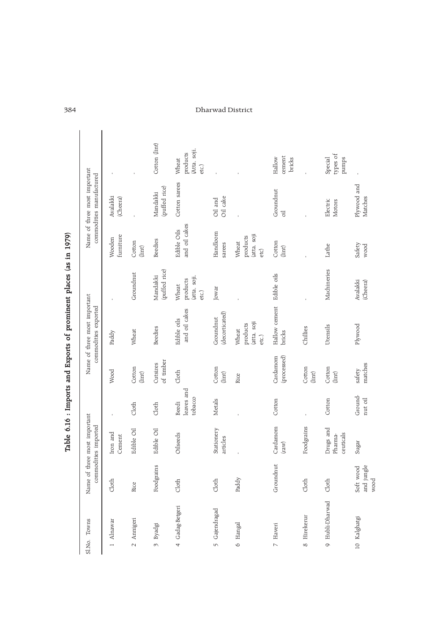| Towns<br>Sl.No.           |                                             | Name of three most important<br>commodities imported |                                |                             | Name of three most important<br>commodities exported |                                            |                                          | Name of three most important<br>commodities manufactured |                                            |
|---------------------------|---------------------------------------------|------------------------------------------------------|--------------------------------|-----------------------------|------------------------------------------------------|--------------------------------------------|------------------------------------------|----------------------------------------------------------|--------------------------------------------|
| 1 Alnawar                 | Cloth                                       | Iron and<br>Cement                                   |                                | Wood                        | Paddy                                                |                                            | furniture<br>Wooden                      | Avalakki<br>(Cheera)                                     |                                            |
| 2 Annigeri                | Rice                                        | Edible Oil                                           | Cloth                          | Cotton<br>$\frac{1}{2}$     | Wheat                                                | Groundnut                                  | Cotton<br>$(\text{int})$                 |                                                          |                                            |
| Byadgi<br>$\omega$        | lgrains<br>Food                             | Edible Oil                                           | Cloth                          | of timber<br>Cutsizes       | <b>Beedies</b>                                       | (puffed rice)<br>Mandakki                  | <b>Beedies</b>                           | (puffed rice)<br>Mandakki                                | Cotton (lint)                              |
| 4 Gadag-Betgeri           | dot                                         | Oilseeds                                             | leaves and<br>tobacco<br>Beedi | doth                        | and oil cakes<br>Edible oils                         | (atta, soji,<br>products<br>Wheat<br>etc.) | and oil cakes<br>Edible Oils             | Cotton sarees                                            | (Atta, soji,<br>products<br>Wheat<br>etc.) |
| Gajendragad<br>$\sqrt{2}$ | Cloth                                       | Stationery<br>articles                               | Metals                         | Cotton<br>$_{\text{limit}}$ | (decorticated)<br>Groundnut                          | Jowar                                      | Handloom<br>sarees                       | Oil cake<br>Oil and                                      |                                            |
| Hangal<br>$\circ$         | Paddy                                       |                                                      |                                | Rice                        | (atta, soji<br>products<br>Wheat<br>etc.)            |                                            | (atta, soji<br>products<br>Wheat<br>etc) |                                                          |                                            |
| 7 Haveri                  | Groundnut                                   | Cardamom<br>$\text{(raw)}$                           | Cotton                         | Cardamom<br>(processed)     | Hallow cement Edible oils<br>bricks                  |                                            | Cotton<br>$(\text{line})$                | Groundnut<br>$\overline{d}$                              | cement<br>Hallow<br>bricks                 |
| Hirekerur<br>$\infty$     | Cloth                                       | Foodgrains                                           |                                | Cotton<br>$_{\text{limit}}$ | Chillies                                             |                                            |                                          |                                                          |                                            |
| 9 Hubli-Dharwad           | Cloth                                       | Drugs and<br>ceuticals<br>Pharma-                    | Cotton                         | Cotton<br>$_{\text{limit}}$ | Utensils                                             | Machineries                                | Lathe                                    | Electric<br>Motors                                       | types of<br>Special<br>pumps               |
| 10 Kalghatgi              | jungle<br>Soft wood<br>$_{\rm wood}$<br>and | Sugar                                                | Ground-<br>nut oil             | matches<br>safety           | Plywood                                              | Avalakki<br>(Cheera)                       | Safety<br>wood                           | Plywood and<br>Matches                                   |                                            |

Table 6.16 : Imports and Exports of prominent places (as in 1979) Table 6.16 : Imports and Exports of prominent places (as in 1979)

 $\overline{\phantom{a}}$ 

# 384 Dharwad District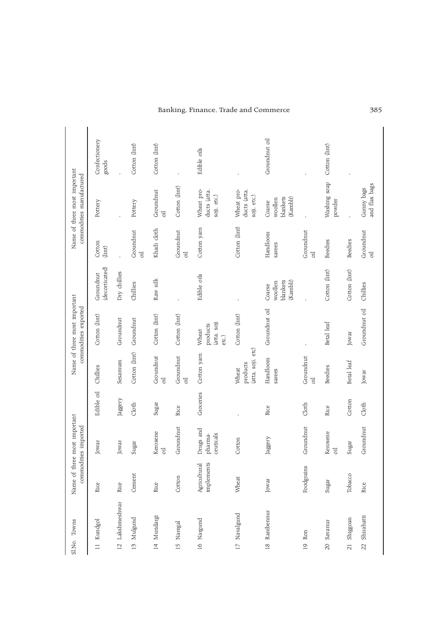|                 | Sl.No. Towns |                            | Name of three most important<br>commodities imported |            |                                        | Name of three most important<br>commodities exported |                                           |                             | Name of three most important<br>commodities manufactured |                        |
|-----------------|--------------|----------------------------|------------------------------------------------------|------------|----------------------------------------|------------------------------------------------------|-------------------------------------------|-----------------------------|----------------------------------------------------------|------------------------|
|                 | 11 Kundgol   | Rice                       | Jowar                                                | Edible oil | Chillies                               | Cotton (lint)                                        | (decorticated)<br>Groundnut               | Cotton<br>(lint)            | Pottery                                                  | Confectionery<br>goods |
| $\overline{2}$  | Lakshmeshwar | Rice                       | Jowar                                                | Jaggery    | Sesamum                                | Groundnut                                            | Dry chillies                              |                             |                                                          |                        |
| $\vec{z}$       | Mulgund      | Cement                     | Sugar                                                | Cloth      | Cotton (lint)                          | Groundnut                                            | Chillies                                  | Groundnut<br>$\overline{d}$ | Pottery                                                  | Cotton (lint)          |
|                 | 14 Mundargi  | Rice                       | Kerosene<br>oil                                      | Sugar      | Groundnut<br>$\overline{\mathbf{d}}$   | Cotton (lint)                                        | Raw silk                                  | Khadi cloth                 | Groundnut<br>oil                                         | Cotton (lint)          |
| $15 \,$         | Naregal      | Cotton                     | Groundnut                                            | Rice       | Groundnut<br>$\overline{d}$            | Cotton (lint)                                        |                                           | Groundnut<br>oil            | Cotton (lint)                                            |                        |
|                 | 16 Nargund   | implements<br>Agricultural | Drugs and<br>ceuticals<br>pharma-                    | Groceries  | Cotton yarn                            | (atta, soji<br>products<br>Wheat<br>etc.)            | Edible oils                               | Cotton yam                  | Wheat pro-<br>ducts (atta,<br>soji, etc.)                | Edible oils            |
| $\overline{17}$ | Navalgund    | Wheat                      | Cotton                                               |            | (atta, soji, etc)<br>products<br>Wheat | Cotton (lint)                                        |                                           | Cotton (lint)               | Wheat pro-<br>ducts (atta,<br>soji, etc.)                |                        |
| $\frac{8}{2}$   | Ranibennur   | Jowar                      | Jaggery                                              | Rice       | Handloom<br>sarees                     | Groundnut oil                                        | blankets<br>(Kambli)<br>woollen<br>Coarse | Handloom<br>sarees          | blankets<br>(Kambli)<br>woollen<br>Coarse                | Groundnut oil          |
| $\overline{0}$  | Ron          | Foodgrains                 | Groundnut                                            | Cloth      | Groundnut<br>$\overline{d}$            |                                                      |                                           | Groundnut<br>oil            |                                                          |                        |
| $\Omega$        | Savanur      | Sugar                      | Kerosene<br>$\overline{d}$                           | Rice       | <b>Beedies</b>                         | Betal leaf                                           | Cotton (lint)                             | <b>Beedies</b>              | Washing soap<br>powder                                   | Cotton (lint)          |
| $\overline{21}$ | Shiggoan     | Tobacco                    | Sugar                                                | Cotton     | Betal leaf                             | Jowar                                                | Cotton (lint)                             | <b>Beedies</b>              |                                                          |                        |
| $\overline{2}$  | Shirahatti   | Rice                       | Groundnut                                            | Cloth      | Jowar                                  | Groundnut oil                                        | Chillies                                  | Groundnut<br>$\overline{d}$ | and flax bags<br>Gunny bags                              |                        |

# Banking, Finance, Trade and Commerce 385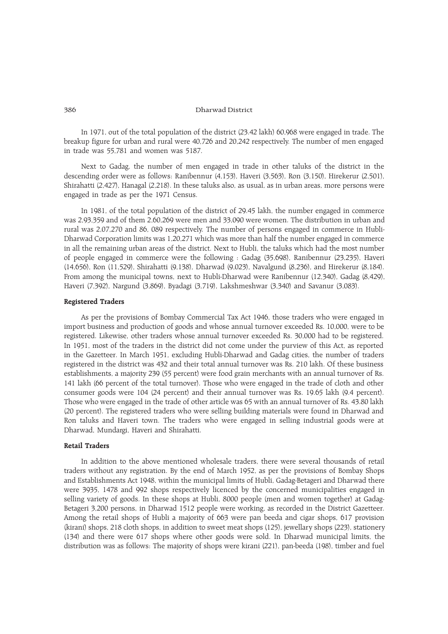In 1971, out of the total population of the district (23.42 lakh) 60,968 were engaged in trade. The breakup figure for urban and rural were 40,726 and 20,242 respectively. The number of men engaged in trade was 55,781 and women was 5187.

Next to Gadag, the number of men engaged in trade in other taluks of the district in the descending order were as follows: Ranibennur (4,153), Haveri (3,563), Ron (3,150), Hirekerur (2,501), Shirahatti (2,427), Hanagal (2,218). In these taluks also, as usual, as in urban areas, more persons were engaged in trade as per the 1971 Census.

In 1981, of the total population of the district of 29.45 lakh, the number engaged in commerce was 2,93,359 and of them 2,60,269 were men and 33,090 were women. The distribution in urban and rural was 2,07,270 and 86, 089 respectively. The number of persons engaged in commerce in Hubli-Dharwad Corporation limits was 1,20,271 which was more than half the number engaged in commerce in all the remaining urban areas of the district. Next to Hubli, the taluks which had the most number of people engaged in commerce were the following : Gadag (35,698), Ranibennur (23,235), Haveri (14,656), Ron (11,529), Shirahatti (9,138), Dharwad (9,023), Navalgund (8,236), and Hirekerur (8,184). From among the municipal towns, next to Hubli-Dharwad were Ranibennur (12,340), Gadag (8,429), Haveri (7,392), Nargund (3,869), Byadagi (3,719), Lakshmeshwar (3,340) and Savanur (3,083).

# Registered Traders

As per the provisions of Bombay Commercial Tax Act 1946, those traders who were engaged in import business and production of goods and whose annual turnover exceeded Rs. 10,000, were to be registered. Likewise, other traders whose annual turnover exceeded Rs. 30,000 had to be registered. In 1951, most of the traders in the district did not come under the purview of this Act, as reported in the Gazetteer. In March 1951, excluding Hubli-Dharwad and Gadag cities, the number of traders registered in the district was 432 and their total annual turnover was Rs. 210 lakh. Of these business establishments, a majority 239 (55 percent) were food grain merchants with an annual turnover of Rs. 141 lakh (66 percent of the total turnover). Those who were engaged in the trade of cloth and other consumer goods were 104 (24 percent) and their annual turnover was Rs. 19.65 lakh (9.4 percent). Those who were engaged in the trade of other article was 65 with an annual turnover of Rs. 43.80 lakh (20 percent). The registered traders who were selling building materials were found in Dharwad and Ron taluks and Haveri town. The traders who were engaged in selling industrial goods were at Dharwad, Mundargi, Haveri and Shirahatti.

# Retail Traders

In addition to the above mentioned wholesale traders, there were several thousands of retail traders without any registration. By the end of March 1952, as per the provisions of Bombay Shops and Establishments Act 1948, within the municipal limits of Hubli, Gadag-Betageri and Dharwad there were 3935, 1478 and 992 shops respectively licenced by the concerned municipalities engaged in selling variety of goods. In these shops at Hubli, 8000 people (men and women together) at Gadag-Betageri 3,200 persons, in Dharwad 1512 people were working, as recorded in the District Gazetteer. Among the retail shops of Hubli a majority of 663 were pan beeda and cigar shops, 617 provision (kirani) shops, 218 cloth shops, in addition to sweet meat shops (125), jewellary shops (223), stationery (134) and there were 617 shops where other goods were sold. In Dharwad municipal limits, the distribution was as follows: The majority of shops were kirani (221), pan-beeda (198), timber and fuel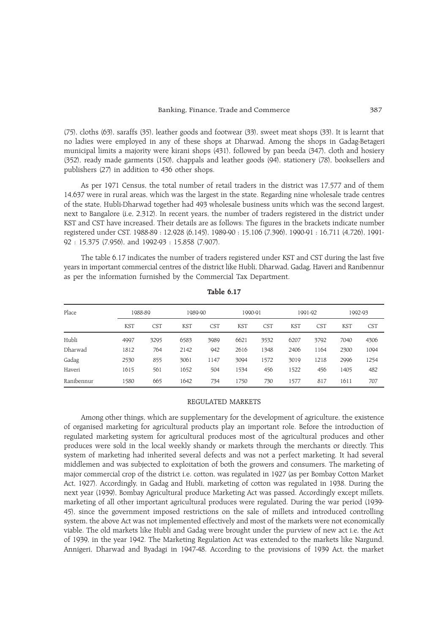(75), cloths (63), saraffs (35), leather goods and footwear (33), sweet meat shops (33). It is learnt that no ladies were employed in any of these shops at Dharwad. Among the shops in Gadag-Betageri municipal limits a majority were kirani shops (431), followed by pan beeda (347), cloth and hosiery (352), ready made garments (150), chappals and leather goods (94), stationery (78), booksellers and publishers (27) in addition to 436 other shops.

As per 1971 Census, the total number of retail traders in the district was 17,577 and of them 14,637 were in rural areas, which was the largest in the state. Regarding nine wholesale trade centres of the state, Hubli-Dharwad together had 493 wholesale business units which was the second largest, next to Bangalore (i.e, 2,312). In recent years, the number of traders registered in the district under KST and CST have increased. Their details are as follows: The figures in the brackets indicate number registered under CST. 1988-89 : 12,928 (6,145), 1989-90 : 15,106 (7,396), 1990-91 : 16,711 (4,726), 1991- 92 : 15,375 (7,956), and 1992-93 : 15,858 (7,907).

The table 6.17 indicates the number of traders registered under KST and CST during the last five years in important commercial centres of the district like Hubli, Dharwad, Gadag, Haveri and Ranibennur as per the information furnished by the Commercial Tax Department.

| Place      | 1988-89    |            | 1989-90    |            | 1990-91    |            | 1991-92    |            |            | 1992-93    |
|------------|------------|------------|------------|------------|------------|------------|------------|------------|------------|------------|
|            | <b>KST</b> | <b>CST</b> | <b>KST</b> | <b>CST</b> | <b>KST</b> | <b>CST</b> | <b>KST</b> | <b>CST</b> | <b>KST</b> | <b>CST</b> |
| Hubli      | 4997       | 3295       | 6583       | 3989       | 6621       | 3532       | 6207       | 3792       | 7040       | 4306       |
| Dharwad    | 1812       | 764        | 2142       | 942        | 2616       | 1348       | 2406       | 1164       | 2300       | 1094       |
| Gadag      | 2530       | 855        | 3061       | 1147       | 3094       | 1572       | 3019       | 1218       | 2996       | 1254       |
| Haveri     | 1615       | 561        | 1652       | 504        | 1534       | 456        | 1522       | 456        | 1405       | 482        |
| Ranibennur | 1580       | 665        | 1642       | 734        | 1750       | 730        | 1577       | 817        | 1611       | 707        |

Table 6.17

## REGULATED MARKETS

Among other things, which are supplementary for the development of agriculture, the existence of organised marketing for agricultural products play an important role. Before the introduction of regulated marketing system for agricultural produces most of the agricultural produces and other produces were sold in the local weekly shandy or markets through the merchants or directly. This system of marketing had inherited several defects and was not a perfect marketing. It had several middlemen and was subjected to exploitation of both the growers and consumers. The marketing of major commercial crop of the district i.e. cotton, was regulated in 1927 (as per Bombay Cotton Market Act, 1927). Accordingly, in Gadag and Hubli, marketing of cotton was regulated in 1938. During the next year (1939), Bombay Agricultural produce Marketing Act was passed. Accordingly except millets, marketing of all other important agricultural produces were regulated. During the war period (1939- 45), since the government imposed restrictions on the sale of millets and introduced controlling system, the above Act was not implemented effectively and most of the markets were not economically viable. The old markets like Hubli and Gadag were brought under the purview of new act i.e, the Act of 1939, in the year 1942. The Marketing Regulation Act was extended to the markets like Nargund, Annigeri, Dharwad and Byadagi in 1947-48. According to the provisions of 1939 Act, the market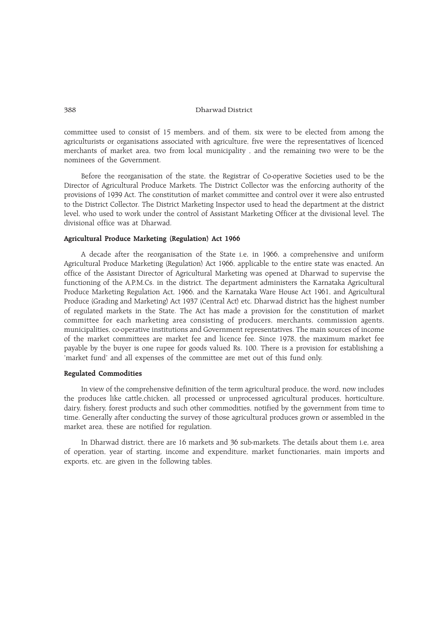committee used to consist of 15 members, and of them, six were to be elected from among the agriculturists or organisations associated with agriculture, five were the representatives of licenced merchants of market area, two from local municipality , and the remaining two were to be the nominees of the Government.

Before the reorganisation of the state, the Registrar of Co-operative Societies used to be the Director of Agricultural Produce Markets. The District Collector was the enforcing authority of the provisions of 1939 Act. The constitution of market committee and control over it were also entrusted to the District Collector. The District Marketing Inspector used to head the department at the district level, who used to work under the control of Assistant Marketing Officer at the divisional level. The divisional office was at Dharwad.

#### Agricultural Produce Marketing (Regulation) Act 1966

A decade after the reorganisation of the State i.e, in 1966, a comprehensive and uniform Agricultural Produce Marketing (Regulation) Act 1966, applicable to the entire state was enacted. An office of the Assistant Director of Agricultural Marketing was opened at Dharwad to supervise the functioning of the A.P.M.Cs. in the district. The department administers the Karnataka Agricultural Produce Marketing Regulation Act, 1966, and the Karnataka Ware House Act 1961, and Agricultural Produce (Grading and Marketing) Act 1937 (Central Act) etc. Dharwad district has the highest number of regulated markets in the State. The Act has made a provision for the constitution of market committee for each marketing area consisting of producers, merchants, commission agents, municipalities, co-operative institutions and Government representatives. The main sources of income of the market committees are market fee and licence fee. Since 1978, the maximum market fee payable by the buyer is one rupee for goods valued Rs. 100. There is a provision for establishing a 'market fund' and all expenses of the committee are met out of this fund only.

#### Regulated Commodities

In view of the comprehensive definition of the term agricultural produce, the word, now includes the produces like cattle,chicken, all processed or unprocessed agricultural produces, horticulture, dairy, fishery, forest products and such other commodities, notified by the government from time to time. Generally after conducting the survey of those agricultural produces grown or assembled in the market area, these are notified for regulation.

In Dharwad district, there are 16 markets and 36 sub-markets. The details about them i.e, area of operation, year of starting, income and expenditure, market functionaries, main imports and exports, etc. are given in the following tables.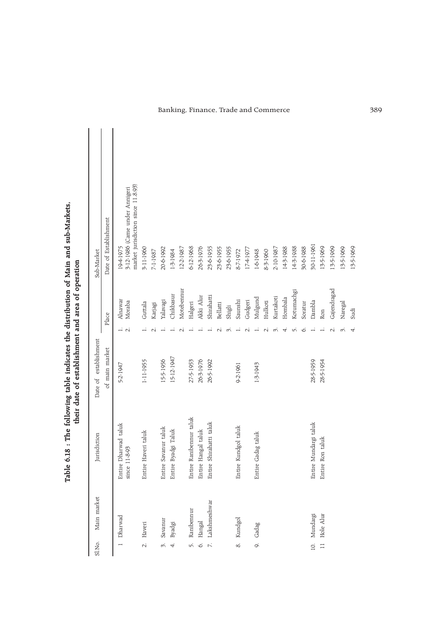| Sl.No.                   | Main market  | Jurisdiction                                       | Date of establishment |      |                   | Sub-Market                                                                        |
|--------------------------|--------------|----------------------------------------------------|-----------------------|------|-------------------|-----------------------------------------------------------------------------------|
|                          |              |                                                    | of main market        |      | Place             | Date of Establishment                                                             |
|                          | 1 Dharwad    | Dharwad taluk<br>$1 - 8 - 93$<br>since 1<br>Entire | 5-2-1947              | -i N | Alnawar<br>Moraba | market jurisdiction since 11.8.93)<br>3-12-1986 (Came under Annigeri<br>19-4-1975 |
| $\overline{C}$           | Haveri       | Haveri taluk<br>Entire                             | 1-11-1955             |      | Guttala           | 3-11-1960                                                                         |
|                          |              |                                                    |                       |      | Karjagi           | 7-1-1987                                                                          |
| w.                       | Savanur      | Entire Savanur taluk                               | 15-5-1956             |      | Yalavagi          | 20-6-1992                                                                         |
| 4.                       | Byadgi       | Byadgi Taluk<br>Entire                             | 15-12-1947            |      | Chikbasur         | 1-3-1984                                                                          |
|                          |              |                                                    |                       |      | Motebennur        | 12-2-1987                                                                         |
| 5.                       | Ranibennur   | Ranibennur taluk<br>Entire                         | 27-5-1953             |      | Halgeri           | $6 - 12 - 1968$                                                                   |
| $\circ$                  | Hangal       | Hangal taluk<br>Entire                             | 26-3-1976             |      | Akki Alur         | 26-3-1976                                                                         |
| $\overline{\mathcal{L}}$ | Lakshmeshwar | Shirahatti taluk<br>Entire                         | 26-5-1992             |      | Shirahatti        | 23-6-1955                                                                         |
|                          |              |                                                    |                       |      | Bellatti          | 23-6-1955                                                                         |
|                          |              |                                                    |                       |      | Shigli            | 23-6-1955                                                                         |
| &.                       | Kundgol      | Kundgol taluk<br>Entire                            | 9-2-1961              |      | Saunshi           | 8-7-1972                                                                          |
|                          |              |                                                    |                       |      | Gudgeri           | 17-4-1977                                                                         |
|                          | 9. Gadag     | Entire Gadag taluk                                 | $1 - 3 - 1943$        |      | Mulgund           | 1-6-1948                                                                          |
|                          |              |                                                    |                       |      | Hulkoti           | 8-3-1960                                                                          |
|                          |              |                                                    |                       |      | Kurtakoti         | 2-10-1987                                                                         |
|                          |              |                                                    |                       |      | Hombala           | 143-1988                                                                          |
|                          |              |                                                    |                       |      | Kotumachgi        | 14-3-1988                                                                         |
|                          |              |                                                    |                       |      | Soratur           | 30-6-1988                                                                         |
|                          | 10. Mundargi | Mundargi taluk<br>Entire                           | 28-5-1959             |      | Dambla            | 30-11-1961                                                                        |
| $\equiv$                 | Hole Alur    | Ron taluk<br>Entire                                | 28-5-1954             |      | Ron               | 13-5-1969                                                                         |
|                          |              |                                                    |                       |      | Gajendragad       | 13-5-1969                                                                         |
|                          |              |                                                    |                       |      | Naregal           | 13-5-1969                                                                         |
|                          |              |                                                    |                       | 4.   | Sudi              | 13-5-1969                                                                         |

Table 6.18 : The following table indicates the distribution of Main and sub-Markets,<br>their date of establishment and area of operation Table 6.18 : The following table indicates the distribution of Main and sub-Markets, their date of establishment and area of operation

# Banking, Finance, Trade and Commerce 389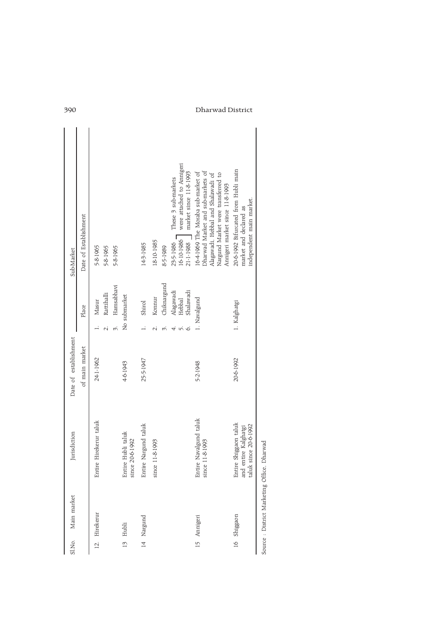| Sl.No. | Main market   | Jurisdiction                                                              | Date of establishment |   |                                  | Sub-Market                                                                                                                                                                             |
|--------|---------------|---------------------------------------------------------------------------|-----------------------|---|----------------------------------|----------------------------------------------------------------------------------------------------------------------------------------------------------------------------------------|
|        |               |                                                                           | of main market        |   | Place                            | Date of Establishment                                                                                                                                                                  |
|        | 12. Hirekerur | Entire Hirekerur taluk                                                    | 24-1-1962             | N | Rattihalli<br>Masur              | 5-8-1965<br>5-8-1965                                                                                                                                                                   |
|        |               |                                                                           |                       |   | Hamsabhavi                       | 5-8-1965                                                                                                                                                                               |
|        | 13 Hubli      | Entire Hubli taluk<br>20-6-1992<br>since                                  | 46-1943               |   | No submarket                     |                                                                                                                                                                                        |
|        | 14 Nargund    | Entire Nargund taluk                                                      | 25-5-1947             |   | Shirol                           | 14-3-1985                                                                                                                                                                              |
|        |               | 11-8-1993<br>since                                                        |                       |   | Konnur                           | 18-10-1985                                                                                                                                                                             |
|        |               |                                                                           |                       |   | Chiknargund                      | 8-5-1989                                                                                                                                                                               |
|        |               |                                                                           |                       | ⊖ | Alagawadi<br>Shalawadi<br>Hebbal | were attached to Annigeri<br>market since 11-8-1993<br>These 3 sub-markets<br>23-5-1986<br>16-10-1986<br>21-1-1988                                                                     |
|        | 15 Annigeri   | Entire Navalgund taluk<br>11-8-1993<br>since                              | 5-2-1948              |   | 1. Navalgund                     | Dharwad Market and sub-markets of<br>16-4-1969 The Moraba sub-market of<br>Alagawadi, Hebbal and Shalawadi of<br>Nargund Market were transferred to<br>Annigeri market since 11-8-1993 |
|        | 16 Shiggaon   | Entire Shiggaon taluk<br>and entire Kalghatgi<br>since 20-6-1992<br>taluk | 20-6-1992             |   | 1. Kalghatgi                     | 20-6-1992 Bifurcated from Hubli main<br>independent main market.<br>market and declared as                                                                                             |
|        |               |                                                                           |                       |   |                                  |                                                                                                                                                                                        |

Source : District Marketing Office, Dharwad

# 390 Dharwad District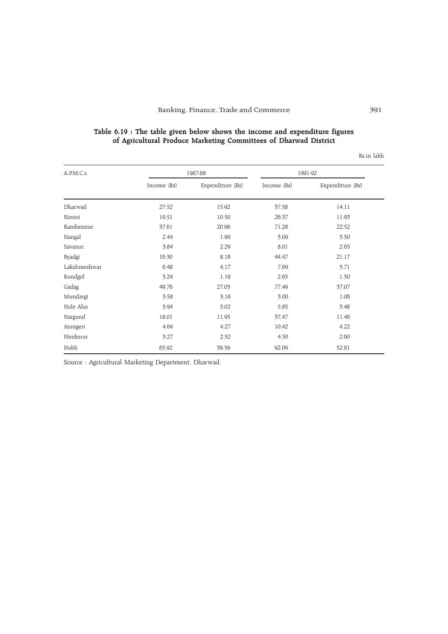# Table 6.19 : The table given below shows the income and expenditure figures of Agricultural Produce Marketing Committees of Dharwad District

Rs.in lakh

| A.P.M.C.s    |             | 1987-88          | 1991-92     |                  |  |
|--------------|-------------|------------------|-------------|------------------|--|
|              | Income (Rs) | Expenditure (Rs) | Income (Rs) | Expenditure (Rs) |  |
| Dharwad      | 27.52       | 15.92            | 37.58       | 14.11            |  |
| Haveri       | 19.51       | 10.50            | 26.37       | 11.93            |  |
| Ranibennur   | 37.61       | 20.66            | 71.28       | 22.52            |  |
| Hangal       | 2.44        | 1.99             | 3.09        | 3.50             |  |
| Savanur      | 3.84        | 2.29             | 8.01        | 2.63             |  |
| Byadgi       | 16.30       | 8.18             | 44.47       | 21.17            |  |
| Lakshmeshwar | 6.48        | 4.17             | 7.69        | 3.71             |  |
| Kundgol      | 3.24        | 1.19             | 2.65        | 1.50             |  |
| Gadag        | 49.76       | 27.03            | 77.49       | 37.07            |  |
| Mundargi     | 3.58        | 3.18             | 3.00        | 1.06             |  |
| Hole Alur    | 3.94        | 3.02             | 5.85        | 3.48             |  |
| Nargund      | 18.01       | 11.95            | 37.47       | 11.46            |  |
| Annigeri     | 4.69        | 4.27             | 10.42       | 4.22             |  |
| Hirekerur    | 3.27        | 2.32             | 4.50        | 2.60             |  |
| Hubli        | 65.92       | 39.59            | 92.09       | 52.81            |  |

Source : Agricultural Marketing Department, Dharwad.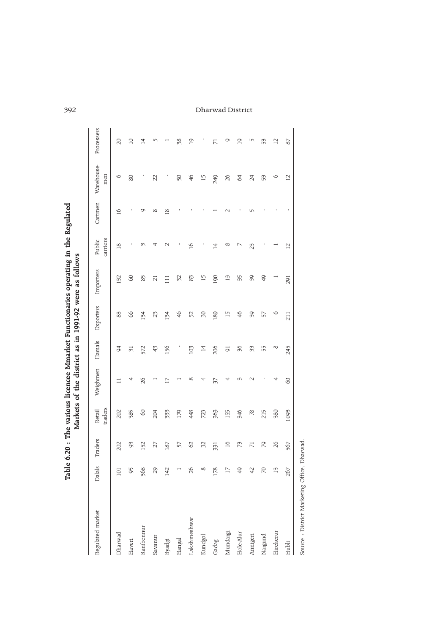|                  | Table           |                 |                   |          |                |               | 6.20: The various licencee Mmarket Functionaries operating in the Regulated<br>Markets of the district as in 1991-92 were as follows |                    |                 |                   |                |
|------------------|-----------------|-----------------|-------------------|----------|----------------|---------------|--------------------------------------------------------------------------------------------------------------------------------------|--------------------|-----------------|-------------------|----------------|
| Regulated market | Dalals          | Traders         | traders<br>Retail | Weighmen | Hamals         | Exporters     | Importers                                                                                                                            | carriers<br>Public | Cartmen         | Warehouse-<br>men | Processers     |
| Dharwad          | 101             | 202             | 202               |          | 94             | 83            | 132                                                                                                                                  | $\frac{8}{2}$      | $\overline{16}$ | ∘                 | $\Omega$       |
| Haveri           | 95              | 69              | 385               | 4        | $\overline{5}$ | 66            | $\infty$                                                                                                                             |                    |                 | 80                | $\Box$         |
| Ranibennur       | 368             | 152             | $\infty$          | 26       | 572            | 134           | 85                                                                                                                                   |                    | σ               |                   | $\overline{4}$ |
| Savanur          | 29              | 27              | 204               |          | 47             | 23            | $\overline{c}$                                                                                                                       |                    | ∝               | 22                | w              |
| Byadgi           | 142             | 187             | 333               |          | 156            | 134           | $\Xi$                                                                                                                                |                    | ⊴               |                   |                |
| Hangal           |                 | 57              | 179               |          |                | $\frac{4}{6}$ | 32                                                                                                                                   |                    |                 | 50                | 38             |
| Lakshmeshwar     | 26              | 62              | 448               | $\infty$ | 103            | 52            | 83                                                                                                                                   | $\overline{10}$    |                 | 46                | $\overline{0}$ |
| Kundgol          | $\infty$        | 52              | 723               |          | $\overline{4}$ | $\approx$     | 15                                                                                                                                   |                    |                 | 15                |                |
| Gadag            | 178             | 331             | 563               | 57       | 206            | 189           | 190                                                                                                                                  | $\overline{4}$     |                 | 249               | $\overline{7}$ |
| Mundargi         | $\overline{17}$ | $\overline{16}$ | 155               |          | 50             | 15            | IJ                                                                                                                                   | $\infty$           |                 | 26                | O              |
| Hole-Alur        | \$              | 73              | 946               |          | K              | 46            | 35                                                                                                                                   |                    |                 | 64                | $\overline{0}$ |
| Annigeri         | $\varphi$       | $\overline{7}$  | $\frac{8}{2}$     |          | 33             | 90            | 90                                                                                                                                   | 23                 |                 | 24                | m              |
| Nargund          | $\approx$       | 79              | 215               |          | 55             | 57            | \$                                                                                                                                   |                    |                 | 53                | 53             |
| Hirekerur        | $\vec{c}$       | $\approx$       | <b>380</b>        |          | ∞              | $\circ$       |                                                                                                                                      |                    |                 | ∘                 | $\overline{C}$ |
| Hubli            | 267             | 567             | 1093              | $\infty$ | 245            | 211           | 291                                                                                                                                  | $\overline{C}$     |                 | $\overline{C}$    | 87             |
|                  |                 |                 |                   |          |                |               |                                                                                                                                      |                    |                 |                   |                |

Source : District Marketing Office, Dharwad. Source : District Marketing Office, Dharwad.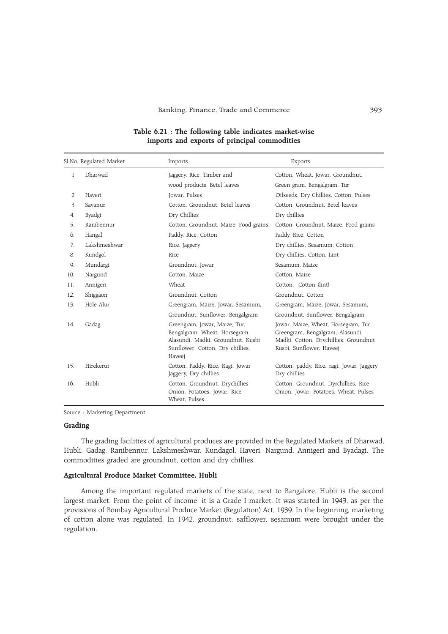Banking, Finance, Trade and Commerce 393

|              | Sl.No. Regulated Market | Imports                                                                                                                                           | Exports                                                                                                                                     |
|--------------|-------------------------|---------------------------------------------------------------------------------------------------------------------------------------------------|---------------------------------------------------------------------------------------------------------------------------------------------|
| $\mathbf{1}$ | Dharwad                 | Jaggery, Rice, Timber and                                                                                                                         | Cotton, Wheat, Jowar, Groundnut,                                                                                                            |
|              |                         | wood products, Betel leaves                                                                                                                       | Green gram, Bengalgram, Tur                                                                                                                 |
| 2            | Haveri                  | Jowar, Pulses                                                                                                                                     | Oilseeds, Dry Chillies, Cotton, Pulses                                                                                                      |
| 3            | Savanur                 | Cotton. Groundnut. Betel leaves                                                                                                                   | Cotton, Groundnut, Betel leaves                                                                                                             |
| 4.           | Byadgi                  | Dry Chillies                                                                                                                                      | Dry chillies                                                                                                                                |
| 5.           | Ranibennur              | Cotton, Groundnut, Maize, Food grains                                                                                                             | Cotton, Groundnut, Maize, Food grains                                                                                                       |
| 6.           | Hangal                  | Paddy, Rice, Cotton                                                                                                                               | Paddy, Rice, Cotton                                                                                                                         |
| 7.           | Lakshmeshwar            | Rice, Jaggery                                                                                                                                     | Dry chillies, Sesamum, Cotton                                                                                                               |
| 8.           | Kundgol                 | Rice                                                                                                                                              | Dry chillies, Cotton, Lint                                                                                                                  |
| 9.           | Mundargi                | Groundnut, Jowar                                                                                                                                  | Sesamum. Maize                                                                                                                              |
| 10.          | Nargund                 | Cotton, Maize                                                                                                                                     | Cotton, Maize                                                                                                                               |
| 11.          | Annigeri                | Wheat                                                                                                                                             | Cotton, Cotton (lint)                                                                                                                       |
| 12.          | Shiggaon                | Groundnut. Cotton                                                                                                                                 | Groundnut, Cotton                                                                                                                           |
| 13.          | Hole Alur               | Greengram, Maize, Jowar, Sesamum,                                                                                                                 | Greengram, Maize, Jowar, Sesamum,                                                                                                           |
|              |                         | Groundnut, Sunflower, Bengalgram                                                                                                                  | Groundnut, Sunflower, Bengalgram                                                                                                            |
| 14.          | Gadag                   | Greengram, Jowar, Maize, Tur,<br>Bengalgram, Wheat, Horsegram,<br>Alasundi, Madki, Groundnut, Kusbi<br>Sunflower, Cotton, Dry chillies,<br>Haveej | Jowar, Maize, Wheat, Horsegram, Tur<br>Greengram, Bengalgram, Alasundi<br>Madki, Cotton, Drychillies, Groundnut<br>Kusbi, Sunflower, Haveej |
| 15.          | Hirekerur               | Cotton, Paddy, Rice, Ragi, Jowar<br>Jaggery, Dry chillies                                                                                         | Cotton, paddy, Rice, ragi, Jowar, Jaggery<br>Dry chillies                                                                                   |
| 16.          | Hubli                   | Cotton, Groundnut, Drychillies<br>Onion, Potatoes, Jowar, Rice<br>Wheat. Pulses                                                                   | Cotton, Groundnut, Dyrchillies, Rice<br>Onion, Jowar, Potatoes, Wheat, Pulses                                                               |

# Table 6.21 : The following table indicates market-wise imports and exports of principal commodities

Source : Marketing Department.

# Grading

The grading facilities of agricultural produces are provided in the Regulated Markets of Dharwad, Hubli, Gadag, Ranibennur, Lakshmeshwar, Kundagol, Haveri, Nargund, Annigeri and Byadagi. The commodities graded are groundnut, cotton and dry chillies.

# Agricultural Produce Market Committee, Hubli

Among the important regulated markets of the state, next to Bangalore, Hubli is the second largest market. From the point of income, it is a Grade I market. It was started in 1943, as per the provisions of Bombay Agricultural Produce Market (Regulation) Act, 1939. In the beginning, marketing of cotton alone was regulated. In 1942, groundnut, safflower, sesamum were brought under the regulation.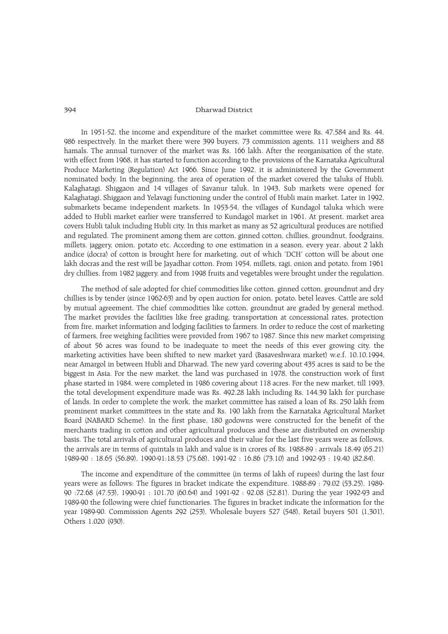In 1951-52, the income and expenditure of the market committee were Rs. 47,584 and Rs. 44, 986 respectively. In the market there were 399 buyers, 73 commission agents, 111 weighers and 88 hamals. The annual turnover of the market was Rs. 166 lakh. After the reorganisation of the state, with effect from 1968, it has started to function according to the provisions of the Karnataka Agricultural Produce Marketing (Regulation) Act 1966. Since June 1992, it is administered by the Government nominated body. In the beginning, the area of operation of the market covered the taluks of Hubli, Kalaghatagi, Shiggaon and 14 villages of Savanur taluk. In 1943, Sub markets were opened for Kalaghatagi, Shiggaon and Yelavagi functioning under the control of Hubli main market. Later in 1992, submarkets became independent markets. In 1953-54, the villages of Kundagol taluka which were added to Hubli market earlier were transferred to Kundagol market in 1961. At present, market area covers Hubli taluk including Hubli city. In this market as many as 52 agricultural produces are notified and regulated. The prominent among them are cotton, ginned cotton, chillies, groundnut, foodgrains, millets, jaggery, onion, potato etc. According to one estimation in a season, every year, about 2 lakh andice (docra) of cotton is brought here for marketing, out of which 'DCH' cotton will be about one lakh docras and the rest will be Jayadhar cotton. From 1954, millets, ragi, onion and potato, from 1961 dry chillies, from 1982 jaggery, and from 1998 fruits and vegetables were brought under the regulation.

The method of sale adopted for chief commodities like cotton, ginned cotton, groundnut and dry chillies is by tender (since 1962-63) and by open auction for onion, potato, betel leaves. Cattle are sold by mutual agreement. The chief commodities like cotton, groundnut are graded by general method. The market provides the facilities like free grading, transportation at concessional rates, protection from fire, market information and lodging facilities to farmers. In order to reduce the cost of marketing of farmers, free weighing facilities were provided from 1967 to 1987. Since this new market comprising of about 56 acres was found to be inadequate to meet the needs of this ever growing city, the marketing activities have been shifted to new market yard (Basaveshwara market) w.e.f. 10.10.1994, near Amargol in between Hubli and Dharwad. The new yard covering about 435 acres is said to be the biggest in Asia. For the new market, the land was purchased in 1978, the construction work of first phase started in 1984, were completed in 1986 covering about 118 acres. For the new market, till 1993, the total development expenditure made was Rs. 492.28 lakh including Rs. 144.39 lakh for purchase of lands. In order to complete the work, the market committee has raised a loan of Rs. 250 lakh from prominent market committees in the state and Rs. 190 lakh from the Karnataka Agricultural Market Board (NABARD Scheme). In the first phase, 180 godowns were constructed for the benefit of the merchants trading in cotton and other agricultural produces and these are distributed on ownership basis. The total arrivals of agricultural produces and their value for the last five years were as follows, the arrivals are in terms of quintals in lakh and value is in crores of Rs. 1988-89 : arrivals 18.49 (65.21) 1989-90 : 18.65 (56.89), 1990-91:18.53 (75.68), 1991-92 : 16.86 (73.10) and 1992-93 : 19.40 (82.84).

The income and expenditure of the committee (in terms of lakh of rupees) during the last four years were as follows: The figures in bracket indicate the expenditure. 1988-89 : 79.02 (53.25), 1989- 90 :72.68 (47.53), 1990-91 : 101.70 (60.64) and 1991-92 : 92.08 (52.81). During the year 1992-93 and 1989-90 the following were chief functionaries. The figures in bracket indicate the information for the year 1989-90. Commission Agents 292 (253), Wholesale buyers 527 (548), Retail buyers 501 (1,301), Others 1,020 (930).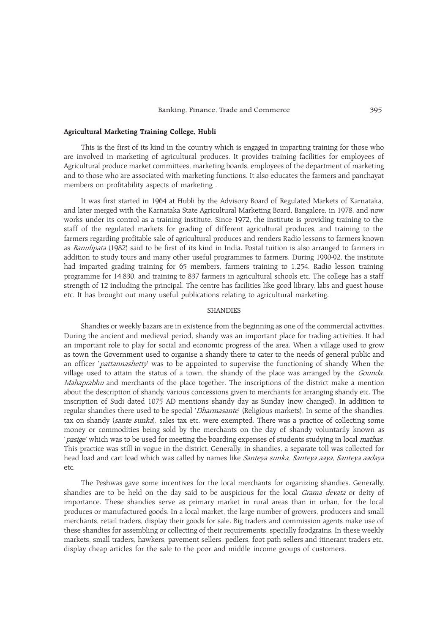# Agricultural Marketing Training College, Hubli

This is the first of its kind in the country which is engaged in imparting training for those who are involved in marketing of agricultural produces. It provides training facilities for employees of Agricultural produce market committees, marketing boards, employees of the department of marketing and to those who are associated with marketing functions. It also educates the farmers and panchayat members on profitability aspects of marketing .

It was first started in 1964 at Hubli by the Advisory Board of Regulated Markets of Karnataka, and later merged with the Karnataka State Agricultural Marketing Board, Bangalore, in 1978, and now works under its control as a training institute. Since 1972, the institute is providing training to the staff of the regulated markets for grading of different agricultural produces, and training to the farmers regarding profitable sale of agricultural produces and renders Radio lessons to farmers known as Banulipata (1982) said to be first of its kind in India. Postal tuition is also arranged to farmers in addition to study tours and many other useful programmes to farmers. During 1990-92, the institute had imparted grading training for 65 members, farmers training to 1,254. Radio lesson training programme for 14,830, and training to 837 farmers in agricultural schools etc. The college has a staff strength of 12 including the principal. The centre has facilities like good library, labs and guest house etc. It has brought out many useful publications relating to agricultural marketing.

# **SHANDIES**

Shandies or weekly bazars are in existence from the beginning as one of the commercial activities. During the ancient and medieval period, shandy was an important place for trading activities. It had an important role to play for social and economic progress of the area. When a village used to grow as town the Government used to organise a shandy there to cater to the needs of general public and an officer 'pattannashetty' was to be appointed to supervise the functioning of shandy. When the village used to attain the status of a town, the shandy of the place was arranged by the Gounda, Mahaprabhu and merchants of the place together. The inscriptions of the district make a mention about the description of shandy, various concessions given to merchants for arranging shandy etc. The inscription of Sudi dated 1075 AD mentions shandy day as Sunday (now changed). In addition to regular shandies there used to be special 'Dharmasante' (Religious markets). In some of the shandies, tax on shandy (*sante sunka*), sales tax etc. were exempted. There was a practice of collecting some money or commodities being sold by the merchants on the day of shandy voluntarily known as pasige' which was to be used for meeting the boarding expenses of students studying in local *mathas*. This practice was still in vogue in the district. Generally, in shandies, a separate toll was collected for head load and cart load which was called by names like Santeya sunka, Santeya aaya, Santeya aadaya etc.

The Peshwas gave some incentives for the local merchants for organizing shandies. Generally, shandies are to be held on the day said to be auspicious for the local *Grama devata* or deity of importance. These shandies serve as primary market in rural areas than in urban, for the local produces or manufactured goods. In a local market, the large number of growers, producers and small merchants, retail traders, display their goods for sale. Big traders and commission agents make use of these shandies for assembling or collecting of their requirements, specially foodgrains. In these weekly markets, small traders, hawkers, pavement sellers, pedlers, foot path sellers and itinerant traders etc. display cheap articles for the sale to the poor and middle income groups of customers.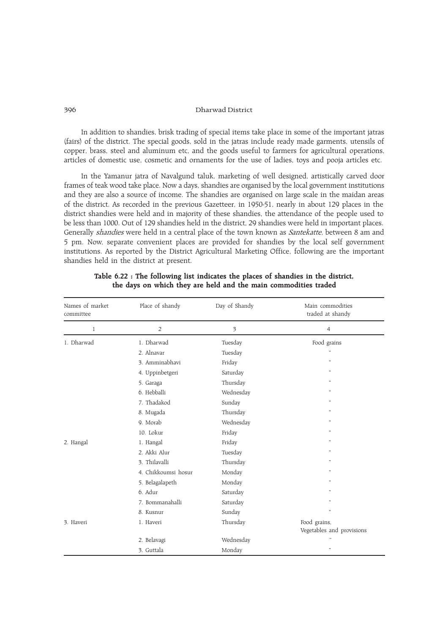In addition to shandies, brisk trading of special items take place in some of the important jatras (fairs) of the district. The special goods, sold in the jatras include ready made garments, utensils of copper, brass, steel and aluminum etc, and the goods useful to farmers for agricultural operations, articles of domestic use, cosmetic and ornaments for the use of ladies, toys and pooja articles etc.

In the Yamanur jatra of Navalgund taluk, marketing of well designed, artistically carved door frames of teak wood take place. Now a days, shandies are organised by the local government institutions and they are also a source of income. The shandies are organised on large scale in the maidan areas of the district. As recorded in the previous Gazetteer, in 1950-51, nearly in about 129 places in the district shandies were held and in majority of these shandies, the attendance of the people used to be less than 1000. Out of 129 shandies held in the district, 29 shandies were held in important places. Generally *shandies* were held in a central place of the town known as *Santekatte*, between 8 am and 5 pm. Now, separate convenient places are provided for shandies by the local self government institutions. As reported by the District Agricultural Marketing Office, following are the important shandies held in the district at present.

| Names of market<br>committee | Place of shandy     | Day of Shandy | Main commodities<br>traded at shandy      |
|------------------------------|---------------------|---------------|-------------------------------------------|
| $\mathbf{1}$                 | 2                   | 3             | $\overline{4}$                            |
| 1. Dharwad                   | 1. Dharwad          | Tuesday       | Food grains                               |
|                              | 2. Alnavar          | Tuesday       | 'n,                                       |
|                              | 3. Amminabhavi      | Friday        | $\cdots$                                  |
|                              | 4. Uppinbetgeri     | Saturday      | $\cdots$                                  |
|                              | 5. Garaga           | Thursday      | $\cdots$                                  |
|                              | 6. Hebballi         | Wednesday     | $\cdots$                                  |
|                              | 7. Thadakod         | Sunday        | $\ddot{\phantom{1}}$                      |
|                              | 8. Mugada           | Thursday      | $\cdots$                                  |
|                              | 9. Morab            | Wednesday     | $, \,$                                    |
|                              | 10. Lokur           | Friday        | ,,                                        |
| 2. Hangal                    | 1. Hangal           | Friday        | $\cdots$                                  |
|                              | 2. Akki Alur        | Tuesday       | $\cdots$                                  |
|                              | 3. Thilavalli       | Thursday      | $\cdots$                                  |
|                              | 4. Chikkoumsi hosur | Monday        | $\cdots$                                  |
|                              | 5. Belagalapeth     | Monday        | $\cdots$                                  |
|                              | 6. Adur             | Saturday      | $\cdots$                                  |
|                              | 7. Bommanahalli     | Saturday      | $\cdots$                                  |
|                              | 8. Kusnur           | Sunday        | ,,                                        |
| 3. Haveri                    | 1. Haveri           | Thursday      | Food grains,<br>Vegetables and provisions |
|                              | 2. Belavagi         | Wednesday     | $\ddot{\phantom{0}}$                      |
|                              | 3. Guttala          | Monday        | $\ddot{\phantom{0}}$                      |

|  | Table 6.22 : The following list indicates the places of shandies in the district, |  |  |  |  |
|--|-----------------------------------------------------------------------------------|--|--|--|--|
|  | the days on which they are held and the main commodities traded                   |  |  |  |  |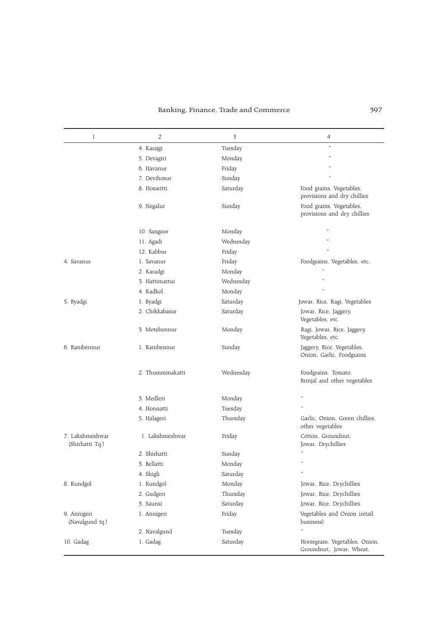# Banking, Finance, Trade and Commerce 397

| $\mathbf{1}$                       | 2                | 3         | 4                                                          |
|------------------------------------|------------------|-----------|------------------------------------------------------------|
|                                    | 4. Karajgi       | Tuesday   | $\ddot{\phantom{0}}$                                       |
|                                    | 5. Devagiri      | Monday    | $\ddot{\phantom{1}}$                                       |
|                                    | 6. Havanur       | Friday    |                                                            |
|                                    | 7. Devihosur     | Sunday    |                                                            |
|                                    | 8. Hosaritti     | Saturday  | Food grains, Vegetables,<br>provisions and dry chillies    |
|                                    | 9. Negalur       | Sunday    | Food grains, Vegetables,<br>provisions and dry chillies    |
|                                    | 10. Sangoor      | Monday    |                                                            |
|                                    | 11. Agadi        | Wednesday |                                                            |
|                                    | 12. Kabbur       | Friday    |                                                            |
| 4. Savanur                         | 1. Savanur       | Friday    | Foodgrains, Vegetables, etc.                               |
|                                    | 2. Karadgi       | Monday    |                                                            |
|                                    | 3. Hattimattur   | Wednesday |                                                            |
|                                    | 4. Kadkol        | Monday    |                                                            |
| 5. Byadgi                          | 1. Byadgi        | Saturday  | Jowar, Rice, Ragi, Vegetables                              |
|                                    | 2. Chikkabasur   | Saturday  | Jowar, Rice, Jaggery,<br>Vegetables, etc.                  |
|                                    | 3. Motebennur    | Monday    | Ragi, Jowar, Rice, Jaggery,<br>Vegetables, etc.            |
| 6. Ranibennur                      | 1. Ranibennur    | Sunday    | Jaggery, Rice, Vegetables,<br>Onion, Garlic, Foodgrains    |
|                                    | 2. Thumminakatti | Wednesday | Foodgrains, Tomato,<br>Brinjal and other vegetables        |
|                                    | 3. Medleri       | Monday    |                                                            |
|                                    | 4. Honnatti      | Tuesday   |                                                            |
|                                    | 5. Halageri      | Thursday  | Garlic, Onion, Green chillies,<br>other vegetables         |
| 7. Lakshmeshwar<br>(Shirhatti Tq.) | 1. Lakshmeshwar  | Friday    | Cotton, Groundnut,<br>Jowar, Drychillies                   |
|                                    | 2. Shirhatti     | Sunday    | ,,                                                         |
|                                    | 3. Bellatti      | Monday    |                                                            |
|                                    | 4. Shigli        | Saturday  | $\ddot{\phantom{1}}$                                       |
| 8. Kundgol                         | 1. Kundgol       | Monday    | Jowar, Rice, Drychillies                                   |
|                                    | 2. Gudgeri       | Thursday  | Jowar, Rice, Drychillies                                   |
|                                    | 3. Saunsi        | Saturday  | Jowar, Rice, Drychillies                                   |
| 9. Annigeri<br>(Navalgund tq.)     | 1. Annigeri      | Friday    | Vegetables and Onion (retail<br>business)                  |
|                                    | 2. Navalgund     | Tuesday   | ,,                                                         |
| 10. Gadag                          | 1. Gadag         | Saturday  | Horsegram, Vegetables, Onion,<br>Groundnut,. Jowar, Wheat, |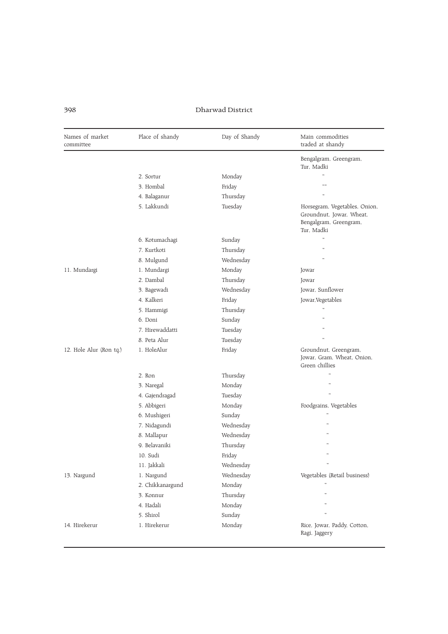| Names of market<br>committee | Place of shandy  | Day of Shandy | Main commodities<br>traded at shandy                                                              |
|------------------------------|------------------|---------------|---------------------------------------------------------------------------------------------------|
|                              |                  |               | Bengalgram, Greengram,<br>Tur, Madki                                                              |
|                              | 2. Sortur        | Monday        |                                                                                                   |
|                              | 3. Hombal        | Friday        | ,,,,                                                                                              |
|                              | 4. Balaganur     | Thursday      |                                                                                                   |
|                              | 5. Lakkundi      | Tuesday       | Horsegram, Vegetables, Onion,<br>Groundnut, Jowar, Wheat,<br>Bengalgram, Greengram,<br>Tur. Madki |
|                              | 6. Kotumachagi   | Sunday        |                                                                                                   |
|                              | 7. Kurtkoti      | Thursday      |                                                                                                   |
|                              | 8. Mulgund       | Wednesday     |                                                                                                   |
| 11. Mundargi                 | 1. Mundargi      | Monday        | Jowar                                                                                             |
|                              | 2. Dambal        | Thursday      | Jowar                                                                                             |
|                              | 3. Bagewadi      | Wednesday     | Jowar, Sunflower                                                                                  |
|                              | 4. Kalkeri       | Friday        | Jowar, Vegetables                                                                                 |
|                              | 5. Hammigi       | Thursday      |                                                                                                   |
|                              | 6. Doni          | Sunday        |                                                                                                   |
|                              | 7. Hirewaddatti  | Tuesday       |                                                                                                   |
|                              | 8. Peta Alur     | Tuesday       |                                                                                                   |
| 12. Hole Alur (Ron tq.)      | 1. HoleAlur      | Friday        | Groundnut, Greengram,<br>Jowar, Gram, Wheat, Onion,<br>Green chillies                             |
|                              | 2. Ron           | Thursday      |                                                                                                   |
|                              | 3. Naregal       | Monday        |                                                                                                   |
|                              | 4. Gajendragad   | Tuesday       |                                                                                                   |
|                              | 5. Abbigeri      | Monday        | Foodgrains, Vegetables                                                                            |
|                              | 6. Mushigeri     | Sunday        |                                                                                                   |
|                              | 7. Nidagundi     | Wednesday     |                                                                                                   |
|                              | 8. Mallapur      | Wednesday     |                                                                                                   |
|                              | 9. Belavaniki    | Thursday      |                                                                                                   |
|                              | 10. Sudi         | Friday        |                                                                                                   |
|                              | 11. Jakkali      | Wednesday     | $\cdots$                                                                                          |
| 13. Nargund                  | 1. Nargund       | Wednesday     | Vegetables (Retail business)                                                                      |
|                              | 2. Chikkanargund | Monday        |                                                                                                   |
|                              | 3. Konnur        | Thursday      | ,,                                                                                                |
|                              | 4. Hadali        | Monday        |                                                                                                   |
|                              | 5. Shirol        | Sunday        |                                                                                                   |
| 14. Hirekerur                | 1. Hirekerur     | Monday        | Rice, Jowar, Paddy, Cotton,<br>Ragi, Jaggery                                                      |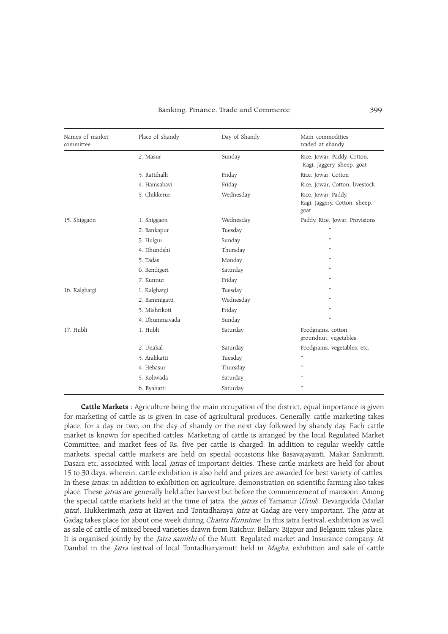#### Banking, Finance, Trade and Commerce 399

| Names of market<br>committee | Place of shandy | Day of Shandy | Main commodities<br>traded at shandy                         |
|------------------------------|-----------------|---------------|--------------------------------------------------------------|
|                              | 2. Masur        | Sunday        | Rice, Jowar, Paddy, Cotton,<br>Ragi, Jaggery, sheep, goat    |
|                              | 3. Rattihalli   | Friday        | Rice, Jowar, Cotton                                          |
|                              | 4. Hamsabavi    | Friday        | Rice, Jowar, Cotton, livestock                               |
|                              | 5. Chikkerur    | Wednesday     | Rice, Jowar, Paddy,<br>Ragi, Jaggery, Cotton, sheep,<br>goat |
| 15. Shiggaon                 | 1. Shiggaon     | Wednesday     | Paddy, Rice, Jowar, Provisions                               |
|                              | 2. Bankapur     | Tuesday       |                                                              |
|                              | 3. Hulgur       | Sunday        | 'n,                                                          |
|                              | 4. Dhundshi     | Thursday      | 'n,                                                          |
|                              | 5. Tadas        | Monday        |                                                              |
|                              | 6. Bendigeri    | Saturday      |                                                              |
|                              | 7. Kunnur       | Friday        | ٠,                                                           |
| 16. Kalghatgi                | 1. Kalghatgi    | Tuesday       | ٠,                                                           |
|                              | 2. Bammigatti   | Wednesday     | ٠,                                                           |
|                              | 3. Mishrikoti   | Friday        |                                                              |
|                              | 4. Dhummayada   | Sunday        | ٠,                                                           |
| 17. Hubli                    | 1. Hubli        | Saturday      | Foodgrains, cotton,<br>groundnut, vegetables.                |
|                              | 2. Unakal       | Saturday      | Foodgrains, vegetables, etc.                                 |
|                              | 3. Aralikatti   | Tuesday       | ,,                                                           |
|                              | 4. Hebasur      | Thursday      | $\ddot{\phantom{1}}$                                         |
|                              | 5. Koliwada     | Saturday      | ,,                                                           |
|                              | 6. Byahatti     | Saturday      | $\cdots$                                                     |

Cattle Markets : Agriculture being the main occupation of the district, equal importance is given for marketing of cattle as is given in case of agricultural produces. Generally, cattle marketing takes place, for a day or two, on the day of shandy or the next day followed by shandy day. Each cattle market is known for specified cattles. Marketing of cattle is arranged by the local Regulated Market Committee, and market fees of Rs. five per cattle is charged. In addition to regular weekly cattle markets, special cattle markets are held on special occasions like Basavajayanti, Makar Sankranti, Dasara etc. associated with local *jatras* of important deities. These cattle markets are held for about 15 to 30 days, wherein, cattle exhibition is also held and prizes are awarded for best variety of cattles. In these *jatras*, in addition to exhibition on agriculture, demonstration on scientific farming also takes place. These jatras are generally held after harvest but before the commencement of mansoon. Among the special cattle markets held at the time of jatra, the *jatras* of Yamanur (Urus), Devargudda (Mailar jatra), Hukkerimath jatra at Haveri and Tontadharaya jatra at Gadag are very important. The jatra at Gadag takes place for about one week during *Chaitra Hunnime*. In this jatra festival, exhibition as well as sale of cattle of mixed breed varieties drawn from Raichur, Bellary, Bijapur and Belgaum takes place. It is organised jointly by the *Jatra samithi* of the Mutt, Regulated market and Insurance company. At Dambal in the *Jatra* festival of local Tontadharyamutt held in *Magha*, exhibition and sale of cattle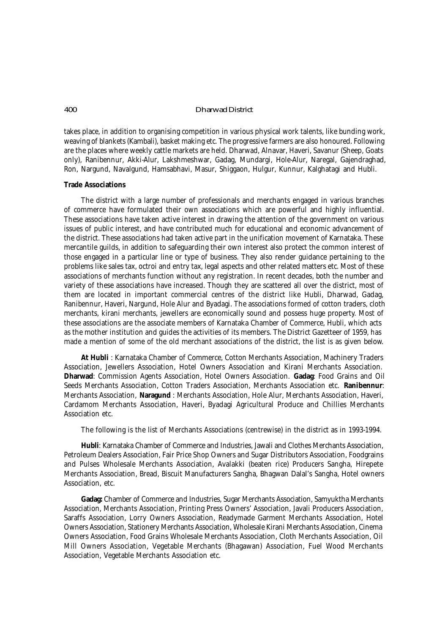takes place, in addition to organising competition in various physical work talents, like bunding work, weaving of blankets (*Kambali*), basket making etc. The progressive farmers are also honoured. Following are the places where weekly cattle markets are held. Dharwad, Alnavar, Haveri, Savanur (Sheep, Goats only), Ranibennur, Akki-Alur, Lakshmeshwar, Gadag, Mundargi, Hole-Alur, Naregal, Gajendraghad, Ron, Nargund, Navalgund, Hamsabhavi, Masur, Shiggaon, Hulgur, Kunnur, Kalghatagi and Hubli.

### **Trade Associations**

The district with a large number of professionals and merchants engaged in various branches of commerce have formulated their own associations which are powerful and highly influential. These associations have taken active interest in drawing the attention of the government on various issues of public interest, and have contributed much for educational and economic advancement of the district. These associations had taken active part in the unification movement of Karnataka. These mercantile guilds, in addition to safeguarding their own interest also protect the common interest of those engaged in a particular line or type of business. They also render guidance pertaining to the problems like sales tax, octroi and entry tax, legal aspects and other related matters etc. Most of these associations of merchants function without any registration. In recent decades, both the number and variety of these associations have increased. Though they are scattered all over the district, most of them are located in important commercial centres of the district like Hubli, Dharwad, Gadag, Ranibennur, Haveri, Nargund, Hole Alur and Byadagi. The associations formed of cotton traders, cloth merchants, kirani merchants, jewellers are economically sound and possess huge property. Most of these associations are the associate members of Karnataka Chamber of Commerce, Hubli, which acts as the mother institution and guides the activities of its members. The District Gazetteer of 1959, has made a mention of some of the old merchant associations of the district, the list is as given below.

**At Hubli** : Karnataka Chamber of Commerce, Cotton Merchants Association, Machinery Traders Association, Jewellers Association, Hotel Owners Association and Kirani Merchants Association. **Dharwad**: Commission Agents Association, Hotel Owners Association. **Gadag**: Food Grains and Oil Seeds Merchants Association, Cotton Traders Association, Merchants Association etc. **Ranibennur**: Merchants Association, **Naragund** : Merchants Association, Hole Alur, Merchants Association, Haveri, Cardamom Merchants Association, Haveri, Byadagi Agricultural Produce and Chillies Merchants Association etc.

The following is the list of Merchants Associations (centrewise) in the district as in 1993-1994.

**Hubli**: Karnataka Chamber of Commerce and Industries, Jawali and Clothes Merchants Association, Petroleum Dealers Association, Fair Price Shop Owners and Sugar Distributors Association, Foodgrains and Pulses Wholesale Merchants Association, Avalakki (beaten rice) Producers Sangha, Hirepete Merchants Association, Bread, Biscuit Manufacturers Sangha, Bhagwan Dalal's Sangha, Hotel owners Association, etc.

**Gadag:** Chamber of Commerce and Industries, Sugar Merchants Association, Samyuktha Merchants Association, Merchants Association, Printing Press Owners' Association, Javali Producers Association, Saraffs Association, Lorry Owners Association, Readymade Garment Merchants Association, Hotel Owners Association, Stationery Merchants Association, Wholesale Kirani Merchants Association, Cinema Owners Association, Food Grains Wholesale Merchants Association, Cloth Merchants Association, Oil Mill Owners Association, Vegetable Merchants (Bhagawan) Association, Fuel Wood Merchants Association, Vegetable Merchants Association etc.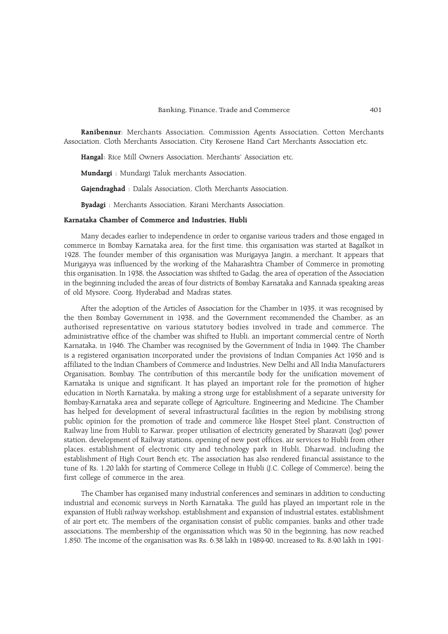### Banking, Finance, Trade and Commerce 401

Ranibennur: Merchants Association, Commission Agents Association, Cotton Merchants Association, Cloth Merchants Association, City Kerosene Hand Cart Merchants Association etc.

Hangal: Rice Mill Owners Association, Merchants' Association etc.

Mundargi : Mundargi Taluk merchants Association.

Gajendraghad : Dalals Association, Cloth Merchants Association.

Byadagi : Merchants Association, Kirani Merchants Association.

### Karnataka Chamber of Commerce and Industries, Hubli

Many decades earlier to independence in order to organise various traders and those engaged in commerce in Bombay Karnataka area, for the first time, this organisation was started at Bagalkot in 1928. The founder member of this organisation was Murigayya Jangin, a merchant. It appears that Murigayya was influenced by the working of the Maharashtra Chamber of Commerce in promoting this organisation. In 1938, the Association was shifted to Gadag. the area of operation of the Association in the beginning included the areas of four districts of Bombay Karnataka and Kannada speaking areas of old Mysore, Coorg, Hyderabad and Madras states.

After the adoption of the Articles of Association for the Chamber in 1935, it was recognised by the then Bombay Government in 1938, and the Government recommended the Chamber, as an authorised representative on various statutory bodies involved in trade and commerce. The administrative office of the chamber was shifted to Hubli, an important commercial centre of North Karnataka, in 1946. The Chamber was recognised by the Government of India in 1949. The Chamber is a registered organisation incorporated under the provisions of Indian Companies Act 1956 and is affiliated to the Indian Chambers of Commerce and Industries, New Delhi and All India Manufacturers Organisation, Bombay. The contribution of this mercantile body for the unification movement of Karnataka is unique and significant. It has played an important role for the promotion of higher education in North Karnataka, by making a strong urge for establishment of a separate university for Bombay-Karnataka area and separate college of Agriculture, Engineering and Medicine. The Chamber has helped for development of several infrastructural facilities in the region by mobilising strong public opinion for the promotion of trade and commerce like Hospet Steel plant, Construction of Railway line from Hubli to Karwar, proper utilisation of electricity generated by Sharavati (Jog) power station, development of Railway stations, opening of new post offices, air services to Hubli from other places, establishment of electronic city and technology park in Hubli, Dharwad, including the establishment of High Court Bench etc. The association has also rendered financial assistance to the tune of Rs. 1.20 lakh for starting of Commerce College in Hubli (J.C. College of Commerce), being the first college of commerce in the area.

The Chamber has organised many industrial conferences and seminars in addition to conducting industrial and economic surveys in North Karnataka. The guild has played an important role in the expansion of Hubli railway workshop, establishment and expansion of industrial estates, establishment of air port etc. The members of the organisation consist of public companies, banks and other trade associations. The membership of the organissation which was 50 in the beginning, has now reached 1,850. The income of the organisation was Rs. 6.38 lakh in 1989-90, increased to Rs. 8.90 lakh in 1991-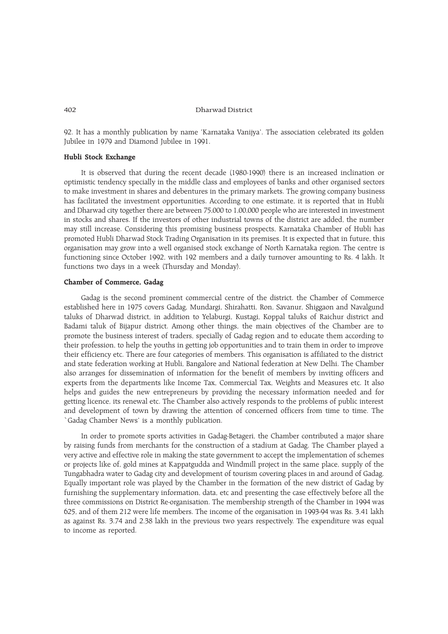92. It has a monthly publication by name 'Karnataka Vanijya'. The association celebrated its golden Jubilee in 1979 and Diamond Jubilee in 1991.

# Hubli Stock Exchange

It is observed that during the recent decade (1980-1990) there is an increased inclination or optimistic tendency specially in the middle class and employees of banks and other organised sectors to make investment in shares and debentures in the primary markets. The growing company business has facilitated the investment opportunities. According to one estimate, it is reported that in Hubli and Dharwad city together there are between 75,000 to 1,00,000 people who are interested in investment in stocks and shares. If the investors of other industrial towns of the district are added, the number may still increase. Considering this promising business prospects, Karnataka Chamber of Hubli has promoted Hubli Dharwad Stock Trading Organisation in its premises. It is expected that in future, this organisation may grow into a well organised stock exchange of North Karnataka region. The centre is functioning since October 1992, with 192 members and a daily turnover amounting to Rs. 4 lakh. It functions two days in a week (Thursday and Monday).

## Chamber of Commerce, Gadag

Gadag is the second prominent commercial centre of the district. the Chamber of Commerce established here in 1975 covers Gadag, Mundargi, Shirahatti, Ron, Savanur, Shiggaon and Navalgund taluks of Dharwad district, in addition to Yelaburgi, Kustagi, Koppal taluks of Raichur district and Badami taluk of Bijapur district. Among other things, the main objectives of the Chamber are to promote the business interest of traders, specially of Gadag region and to educate them according to their profession, to help the youths in getting job opportunities and to train them in order to improve their efficiency etc. There are four categories of members. This organisation is affiliated to the district and state federation working at Hubli, Bangalore and National federation at New Delhi. The Chamber also arranges for dissemination of information for the benefit of members by inviting officers and experts from the departments like Income Tax, Commercial Tax, Weights and Measures etc. It also helps and guides the new entrepreneurs by providing the necessary information needed and for getting licence, its renewal etc. The Chamber also actively responds to the problems of public interest and development of town by drawing the attention of concerned officers from time to time. The `Gadag Chamber News' is a monthly publication.

In order to promote sports activities in Gadag-Betageri, the Chamber contributed a major share by raising funds from merchants for the construction of a stadium at Gadag. The Chamber played a very active and effective role in making the state government to accept the implementation of schemes or projects like of, gold mines at Kappatgudda and Windmill project in the same place, supply of the Tungabhadra water to Gadag city and development of tourism covering places in and around of Gadag. Equally important role was played by the Chamber in the formation of the new district of Gadag by furnishing the supplementary information, data, etc and presenting the case effectively before all the three commissions on District Re-organisation. The membership strength of the Chamber in 1994 was 625, and of them 212 were life members. The income of the organisation in 1993-94 was Rs. 3.41 lakh as against Rs. 3.74 and 2.38 lakh in the previous two years respectively. The expenditure was equal to income as reported.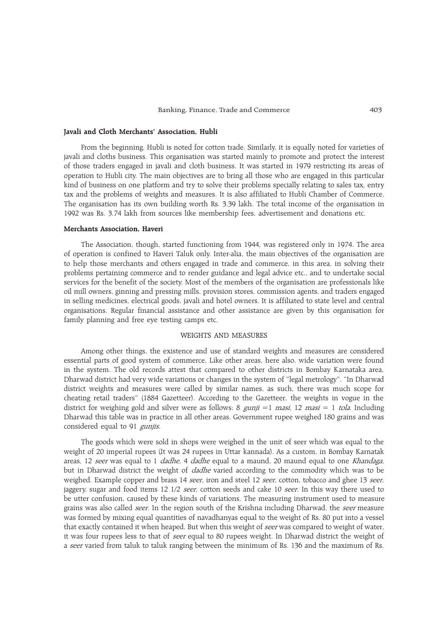### Javali and Cloth Merchants' Association, Hubli

From the beginning, Hubli is noted for cotton trade. Similarly, it is equally noted for varieties of javali and cloths business. This organisation was started mainly to promote and protect the interest of those traders engaged in javali and cloth business. It was started in 1979 restricting its areas of operation to Hubli city. The main objectives are to bring all those who are engaged in this particular kind of business on one platform and try to solve their problems specially relating to sales tax, entry tax and the problems of weights and measures. It is also affiliated to Hubli Chamber of Commerce. The organisation has its own building worth Rs. 3.39 lakh. The total income of the organisation in 1992 was Rs. 3.74 lakh from sources like membership fees, advertisement and donations etc.

### Merchants Association, Haveri

The Association, though, started functioning from 1944, was registered only in 1974. The area of operation is confined to Haveri Taluk only. Inter-alia, the main objectives of the organisation are to help those merchants and others engaged in trade and commerce, in this area, in solving their problems pertaining commerce and to render guidance and legal advice etc., and to undertake social services for the benefit of the society. Most of the members of the organisation are professionals like oil mill owners, ginning and pressing mills, provision stores, commission agents, and traders engaged in selling medicines, electrical goods, javali and hotel owners. It is affiliated to state level and central organisations. Regular financial assistance and other assistance are given by this organisation for family planning and free eye testing camps etc.

# WEIGHTS AND MEASURES

Among other things, the existence and use of standard weights and measures are considered essential parts of good system of commerce. Like other areas, here also, wide variation were found in the system. The old records attest that compared to other districts in Bombay Karnataka area, Dharwad district had very wide variations or changes in the system of "legal metrology". "In Dharwad district weights and measures were called by similar names, as such, there was much scope for cheating retail traders" (1884 Gazetteer). According to the Gazetteer, the weights in vogue in the district for weighing gold and silver were as follows: 8 gunji =1 masi, 12 masi = 1 tola. Including Dharwad this table was in practice in all other areas. Government rupee weighed 180 grains and was considered equal to 91 gunjis.

The goods which were sold in shops were weighed in the unit of seer which was equal to the weight of 20 imperial rupees (It was 24 rupees in Uttar kannada). As a custom, in Bombay Karnatak areas, 12 seer was equal to 1 dadhe, 4 dadhe equal to a maund, 20 maund equal to one Khandaga, but in Dharwad district the weight of *dadhe* varied according to the commodity which was to be weighed. Example copper and brass 14 seer, iron and steel 12 seer, cotton, tobacco and ghee 13 seer, jaggery, sugar and food items 12 1/2 seer, cotton seeds and cake 10 seer. In this way there used to be utter confusion, caused by these kinds of variations. The measuring instrument used to measure grains was also called *seer*. In the region south of the Krishna including Dharwad, the *seer* measure was formed by mixing equal quantities of navadhanyas equal to the weight of Rs. 80 put into a vessel that exactly contained it when heaped. But when this weight of seer was compared to weight of water, it was four rupees less to that of *seer* equal to 80 rupees weight. In Dharwad district the weight of a seer varied from taluk to taluk ranging between the minimum of Rs. 136 and the maximum of Rs.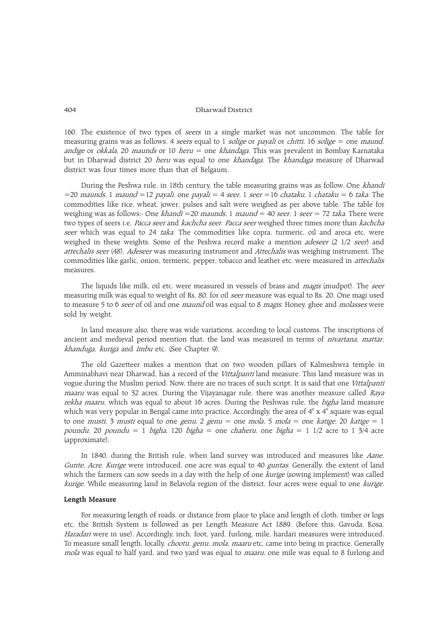160. The existence of two types of *seers* in a single market was not uncommon. The table for measuring grains was as follows. 4 *seers* equal to 1 *solige* or *payali* or *chitti*, 16 *solige* = one *maund*, andige or okkala, 20 maunds or 10 heru = one khandaga. This was prevalent in Bombay Karnataka but in Dharwad district 20 *heru* was equal to one *khandaga*. The *khandaga* measure of Dharwad district was four times more than that of Belgaum.

During the Peshwa rule, in 18th century, the table measuring grains was as follow. One khandi  $=$  20 maunds, 1 maund  $=$  12 payali, one payali  $=$  4 seer, 1 seer  $=$  16 chataku, 1 chataku  $=$  6 taka. The commodities like rice, wheat, jower, pulses and salt were weighed as per above table. The table for weighing was as follows:- One *khandi* = 20 *maunds*, 1 *maund* = 40 *seer*, 1 *seer* = 72 *taka*. There were two types of seers i.e, Pacca seer and kachcha seer. Pacca seer weighed three times more than kachcha seer which was equal to 24 taka. The commodities like copra, turmeric, oil and areca etc, were weighed in these weights. Some of the Peshwa record make a mention *adeseer* (2 1/2 seer) and attechalis seer (48). Adeseer was measuring instrument and Attechalis was weighing instrument. The commodities like garlic, onion, termeric, pepper, tobacco and leather etc. were measured in *attechalis* measures.

The liquids like milk, oil etc. were measured in vessels of brass and *magis* (mudpot). The seer measuring milk was equal to weight of Rs. 80, for oil *seer* measure was equal to Rs. 20. One magi used to measure 5 to 6 seer of oil and one maund oil was equal to 8 magis. Honey, ghee and molasses were sold by weight.

In land measure also, there was wide variations, according to local customs. The inscriptions of ancient and medieval period mention that, the land was measured in terms of *nivartana*, mattar, khanduga, kuriga and Imbu etc. (See Chapter 9).

The old Gazetteer makes a mention that on two wooden pillars of Kalmeshwra temple in Amminabhavi near Dharwad, has a record of the Vittalpanti land measure. This land measure was in vogue during the Muslim period. Now, there are no traces of such script. It is said that one Vittalpanti maaru was equal to 32 acres. During the Vijayanagar rule, there was another measure called Raya rekha maaru, which was equal to about 16 acres. During the Peshwas rule, the bigha land measure which was very popular in Bengal came into practice. Accordingly, the area of 4" x 4" square was equal to one *musti*, 3 *musti* equal to one *genu*, 2 *genu* = one *mola*, 5 *mola* = one *katige*, 20 *katige* = 1 poundu, 20 poundu = 1 bigha, 120 bigha = one chaheru, one bigha = 1 1/2 acre to 1 3/4 acre (approximate).

In 1840, during the British rule, when land survey was introduced and measures like Aane, Gunte, Acre, Kurige were introduced, one acre was equal to 40 guntas. Generally, the extent of land which the farmers can sow seeds in a day with the help of one *kurige* (sowing implement) was called kurige. While measuring land in Belavola region of the district, four acres were equal to one kurige.

# Length Measure

For measuring length of roads, or distance from place to place and length of cloth, timber or logs etc, the British System is followed as per Length Measure Act 1889. (Before this, Gavuda, Kosa, Haradari were in use). Accordingly, inch, foot, yard, furlong, mile, hardari measures were introduced. To measure small length, locally, *chootu, genu, mola, maaru* etc. came into being in practice. Generally mola was equal to half yard, and two yard was equal to *maaru*, one mile was equal to 8 furlong and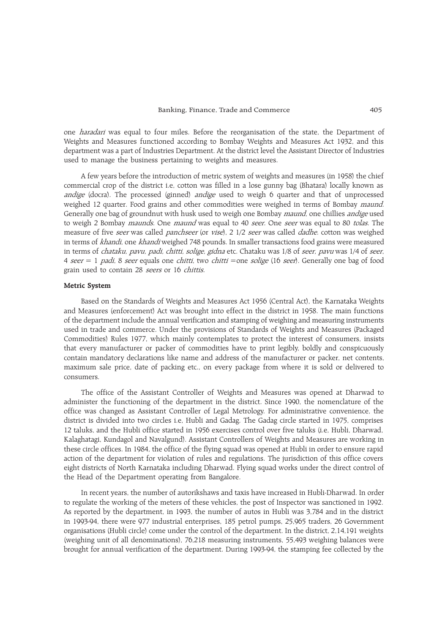one *haradari* was equal to four miles. Before the reorganisation of the state, the Department of Weights and Measures functioned according to Bombay Weights and Measures Act 1932, and this department was a part of Industries Department. At the district level the Assistant Director of Industries used to manage the business pertaining to weights and measures.

A few years before the introduction of metric system of weights and measures (in 1958) the chief commercial crop of the district i.e, cotton was filled in a lose gunny bag (Bhatara) locally known as andige (docra). The processed (ginned) andige used to weigh 6 quarter and that of unprocessed weighed 12 quarter. Food grains and other commodities were weighed in terms of Bombay maund. Generally one bag of groundnut with husk used to weigh one Bombay maund, one chillies andige used to weigh 2 Bombay *maunds*. One *maund* was equal to 40 seer. One seer was equal to 80 tolas. The measure of five seer was called panchseer (or vise), 2 1/2 seer was called dadhe. cotton was weighed in terms of khandi, one khandi weighed 748 pounds. In smaller transactions food grains were measured in terms of *chataku, pavu, padi, chitti, solige, gidna* etc. Chataku was 1/8 of *seer, pavu* was 1/4 of *seer*, 4 seer = 1 padi, 8 seer equals one chitti, two chitti =one solige (16 seer). Generally one bag of food grain used to contain 28 seers or 16 chittis.

# Metric System

Based on the Standards of Weights and Measures Act 1956 (Central Act), the Karnataka Weights and Measures (enforcement) Act was brought into effect in the district in 1958. The main functions of the department include the annual verification and stamping of weighing and measuring instruments used in trade and commerce. Under the provisions of Standards of Weights and Measures (Packaged Commodities) Rules 1977, which mainly contemplates to protect the interest of consumers, insists that every manufacturer or packer of commodities have to print legibly, boldly and conspicuously contain mandatory declarations like name and address of the manufacturer or packer, net contents, maximum sale price, date of packing etc., on every package from where it is sold or delivered to consumers.

The office of the Assistant Controller of Weights and Measures was opened at Dharwad to administer the functioning of the department in the district. Since 1990, the nomenclature of the office was changed as Assistant Controller of Legal Metrology. For administrative convenience, the district is divided into two circles i.e, Hubli and Gadag. The Gadag circle started in 1975, comprises 12 taluks, and the Hubli office started in 1956 exercises control over five taluks (i.e, Hubli, Dharwad, Kalaghatagi, Kundagol and Navalgund). Assistant Controllers of Weights and Measures are working in these circle offices. In 1984, the office of the flying squad was opened at Hubli in order to ensure rapid action of the department for violation of rules and regulations. The jurisdiction of this office covers eight districts of North Karnataka including Dharwad. Flying squad works under the direct control of the Head of the Department operating from Bangalore.

In recent years, the number of autorikshaws and taxis have increased in Hubli-Dharwad. In order to regulate the working of the meters of these vehicles, the post of Inspector was sanctioned in 1992. As reported by the department, in 1993, the number of autos in Hubli was 3,784 and in the district in 1993-94, there were 977 industrial enterprises, 185 petrol pumps, 25,965 traders, 26 Government organisations (Hubli circle) come under the control of the department. In the district, 2,14,191 weights (weighing unit of all denominations), 76,218 measuring instruments, 55,493 weighing balances were brought for annual verification of the department. During 1993-94, the stamping fee collected by the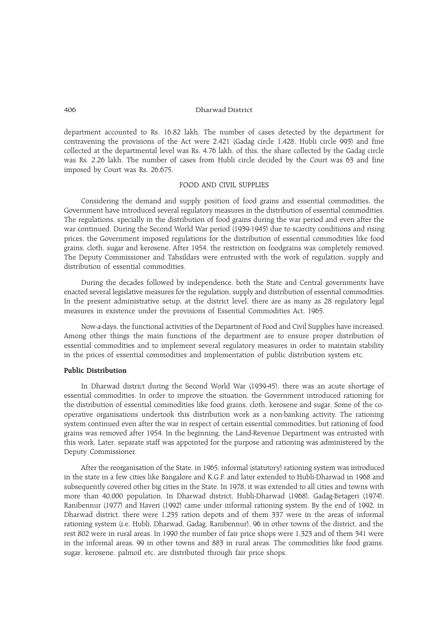department accounted to Rs. 16.82 lakh. The number of cases detected by the department for contravening the provisions of the Act were 2,421 (Gadag circle 1,428, Hubli circle 993) and fine collected at the departmental level was Rs. 4.76 lakh, of this, the share collected by the Gadag circle was Rs. 2.26 lakh. The number of cases from Hubli circle decided by the Court was 63 and fine imposed by Court was Rs. 26,675.

# FOOD AND CIVIL SUPPLIES

Considering the demand and supply position of food grains and essential commodities, the Government have introduced several regulatory measures in the distribution of essential commodities. The regulations, specially in the distribution of food grains during the war period and even after the war continued. During the Second World War period (1939-1945) due to scarcity conditions and rising prices, the Government imposed regulations for the distribution of essential commodities like food grains, cloth, sugar and kerosene. After 1954, the restriction on foodgrains was completely removed. The Deputy Commissioner and Tahsildars were entrusted with the work of regulation, supply and distribution of essential commodities.

During the decades followed by independence, both the State and Central governments have enacted several legislative measures for the regulation, supply and distribution of essential commodities. In the present administrative setup, at the district level, there are as many as 28 regulatory legal measures in existence under the provisions of Essential Commodities Act, 1965.

Now-a-days, the functional activities of the Department of Food and Civil Supplies have increased. Among other things the main functions of the department are to ensure proper distribution of essential commodities and to implement several regulatory measures in order to maintain stability in the prices of essential commodities and implementation of public distribution system etc.

### Public Distribution

In Dharwad district during the Second World War (1939-45), there was an acute shortage of essential commodities. In order to improve the situation, the Government introduced rationing for the distribution of essential commodities like food grains, cloth, kerosene and sugar. Some of the cooperative organisations undertook this distribution work as a non-banking activity. The rationing system continued even after the war in respect of certain essential commodities, but rationing of food grains was removed after 1954. In the beginning, the Land-Revenue Department was entrusted with this work. Later, separate staff was appointed for the purpose and rationing was administered by the Deputy Commissioner.

After the reorganisation of the State, in 1965, informal (statutory) rationing system was introduced in the state in a few cities like Bangalore and K.G.F. and later extended to Hubli-Dharwad in 1968 and subsequently covered other big cities in the State. In 1978, it was extended to all cities and towns with more than 40,000 population. In Dharwad district, Hubli-Dharwad (1968), Gadag-Betageri (1974), Ranibennur (1977) and Haveri (1992) came under informal rationing system. By the end of 1992, in Dharwad district, there were 1,235 ration depots and of them 337 were in the areas of informal rationing system (i.e, Hubli, Dharwad, Gadag, Ranibennur), 96 in other towns of the district, and the rest 802 were in rural areas. In 1990 the number of fair price shops were 1,323 and of them 341 were in the informal areas, 99 in other towns and 883 in rural areas. The commodities like food grains, sugar, kerosene, palmoil etc. are distributed through fair price shops.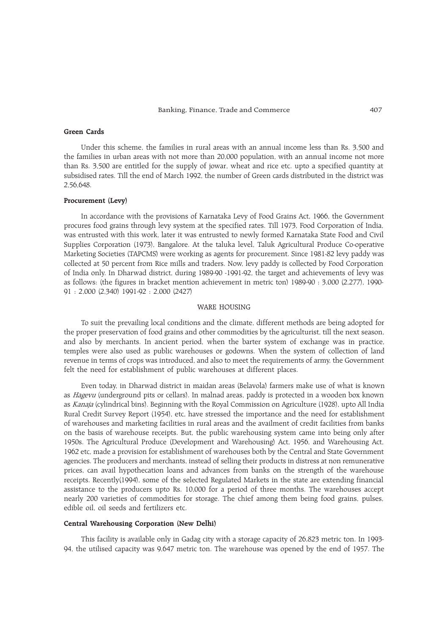### Green Cards

Under this scheme, the families in rural areas with an annual income less than Rs. 3,500 and the families in urban areas with not more than 20,000 population, with an annual income not more than Rs. 3,500 are entitled for the supply of jowar, wheat and rice etc. upto a specified quantity at subsidised rates. Till the end of March 1992, the number of Green cards distributed in the district was 2,56,648.

### Procurement (Levy)

In accordance with the provisions of Karnataka Levy of Food Grains Act, 1966, the Government procures food grains through levy system at the specified rates. Till 1973, Food Corporation of India, was entrusted with this work, later it was entrusted to newly formed Karnataka State Food and Civil Supplies Corporation (1973), Bangalore. At the taluka level, Taluk Agricultural Produce Co-operative Marketing Societies (TAPCMS) were working as agents for procurement. Since 1981-82 levy paddy was collected at 50 percent from Rice mills and traders. Now, levy paddy is collected by Food Corporation of India only. In Dharwad district, during 1989-90 -1991-92, the target and achievements of levy was as follows: (the figures in bracket mention achievement in metric ton) 1989-90 : 3,000 (2,277), 1990- 91 : 2,000 (2,340) 1991-92 : 2,000 (2427)

## WARE HOUSING

To suit the prevailing local conditions and the climate, different methods are being adopted for the proper preservation of food grains and other commodities by the agriculturist, till the next season, and also by merchants. In ancient period, when the barter system of exchange was in practice, temples were also used as public warehouses or godowns. When the system of collection of land revenue in terms of crops was introduced, and also to meet the requirements of army, the Government felt the need for establishment of public warehouses at different places.

Even today, in Dharwad district in maidan areas (Belavola) farmers make use of what is known as *Hagevu* (underground pits or cellars). In malnad areas, paddy is protected in a wooden box known as Kanaja (cylindrical bins). Beginning with the Royal Commission on Agriculture (1928), upto All India Rural Credit Survey Report (1954), etc, have stressed the importance and the need for establishment of warehouses and marketing facilities in rural areas and the availment of credit facilities from banks on the basis of warehouse receipts. But, the public warehousing system came into being only after 1950s. The Agricultural Produce (Development and Warehousing) Act, 1956, and Warehousing Act, 1962 etc, made a provision for establishment of warehouses both by the Central and State Government agencies. The producers and merchants, instead of selling their products in distress at non remunerative prices, can avail hypothecation loans and advances from banks on the strength of the warehouse receipts. Recently(1994), some of the selected Regulated Markets in the state are extending financial assistance to the producers upto Rs. 10,000 for a period of three months. The warehouses accept nearly 200 varieties of commodities for storage. The chief among them being food grains, pulses, edible oil, oil seeds and fertilizers etc.

#### Central Warehousing Corporation (New Delhi)

This facility is available only in Gadag city with a storage capacity of 26,823 metric ton. In 1993- 94, the utilised capacity was 9,647 metric ton. The warehouse was opened by the end of 1957. The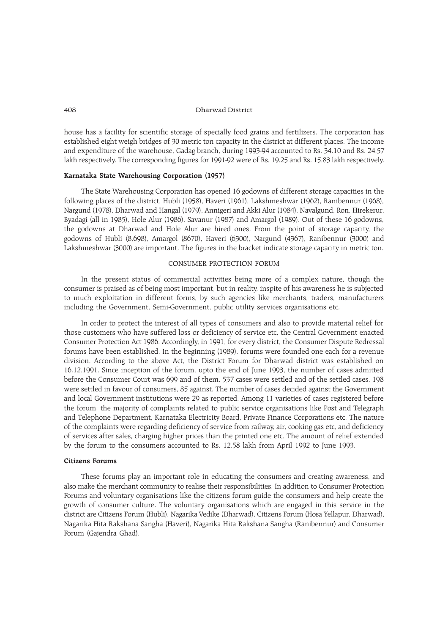house has a facility for scientific storage of specially food grains and fertilizers. The corporation has established eight weigh bridges of 30 metric ton capacity in the district at different places. The income and expenditure of the warehouse, Gadag branch, during 1993-94 accounted to Rs. 34.10 and Rs. 24.57 lakh respectively. The corresponding figures for 1991-92 were of Rs. 19.25 and Rs. 15.83 lakh respectively.

# Karnataka State Warehousing Corporation (1957)

The State Warehousing Corporation has opened 16 godowns of different storage capacities in the following places of the district. Hubli (1958), Haveri (1961), Lakshmeshwar (1962), Ranibennur (1968), Nargund (1978), Dharwad and Hangal (1979), Annigeri and Akki Alur (1984), Navalgund, Ron, Hirekerur, Byadagi (all in 1985), Hole Alur (1986), Savanur (1987) and Amargol (1989). Out of these 16 godowns, the godowns at Dharwad and Hole Alur are hired ones. From the point of storage capacity, the godowns of Hubli (8,698), Amargol (8670), Haveri (6300), Nargund (4367), Ranibennur (3000) and Lakshmeshwar (3000) are important. The figures in the bracket indicate storage capacity in metric ton.

### CONSUMER PROTECTION FORUM

In the present status of commercial activities being more of a complex nature, though the consumer is praised as of being most important, but in reality, inspite of his awareness he is subjected to much exploitation in different forms, by such agencies like merchants, traders, manufacturers including the Government, Semi-Government, public utility services organisations etc.

In order to protect the interest of all types of consumers and also to provide material relief for those customers who have suffered loss or deficiency of service etc, the Central Government enacted Consumer Protection Act 1986. Accordingly, in 1991, for every district, the Consumer Dispute Redressal forums have been established. In the beginning (1989), forums were founded one each for a revenue division. According to the above Act, the District Forum for Dharwad district was established on 16.12.1991. Since inception of the forum, upto the end of June 1993, the number of cases admitted before the Consumer Court was 699 and of them, 537 cases were settled and of the settled cases, 198 were settled in favour of consumers, 85 against. The number of cases decided against the Government and local Government institutions were 29 as reported. Among 11 varieties of cases registered before the forum, the majority of complaints related to public service organisations like Post and Telegraph and Telephone Department, Karnataka Electricity Board, Private Finance Corporations etc. The nature of the complaints were regarding deficiency of service from railway, air, cooking gas etc, and deficiency of services after sales, charging higher prices than the printed one etc. The amount of relief extended by the forum to the consumers accounted to Rs. 12.58 lakh from April 1992 to June 1993.

### Citizens Forums

These forums play an important role in educating the consumers and creating awareness, and also make the merchant community to realise their responsibilities. In addition to Consumer Protection Forums and voluntary organisations like the citizens forum guide the consumers and help create the growth of consumer culture. The voluntary organisations which are engaged in this service in the district are Citizens Forum (Hubli), Nagarika Vedike (Dharwad), Citizens Forum (Hosa Yellapur, Dharwad), Nagarika Hita Rakshana Sangha (Haveri), Nagarika Hita Rakshana Sangha (Ranibennur) and Consumer Forum (Gajendra Ghad).